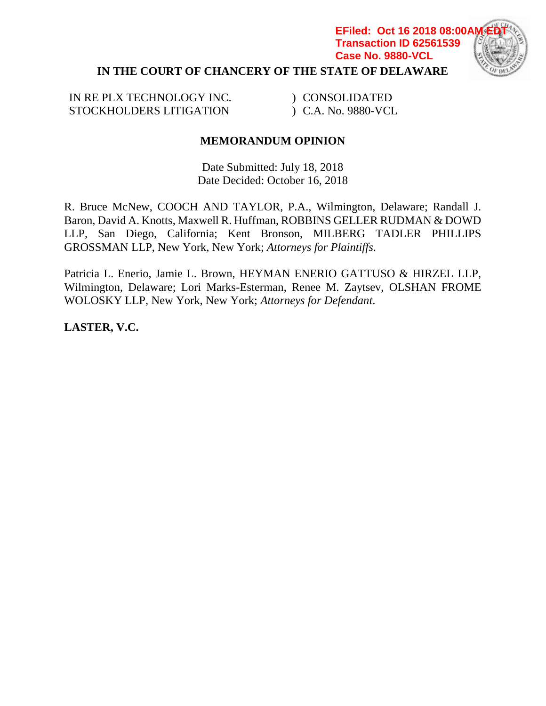# **IN THE COURT OF CHANCERY OF THE STATE OF DELAWARE EFiled: Oct 16 2018 08:00/ Transaction ID 62561539 Case No. 9880-VCL**

IN RE PLX TECHNOLOGY INC. STOCKHOLDERS LITIGATION

) CONSOLIDATED ) C.A. No. 9880-VCL

# **MEMORANDUM OPINION**

Date Submitted: July 18, 2018 Date Decided: October 16, 2018

R. Bruce McNew, COOCH AND TAYLOR, P.A., Wilmington, Delaware; Randall J. Baron, David A. Knotts, Maxwell R. Huffman, ROBBINS GELLER RUDMAN & DOWD LLP, San Diego, California; Kent Bronson, MILBERG TADLER PHILLIPS GROSSMAN LLP, New York, New York; *Attorneys for Plaintiffs*.

Patricia L. Enerio, Jamie L. Brown, HEYMAN ENERIO GATTUSO & HIRZEL LLP, Wilmington, Delaware; Lori Marks-Esterman, Renee M. Zaytsev, OLSHAN FROME WOLOSKY LLP, New York, New York; *Attorneys for Defendant*.

**LASTER, V.C.**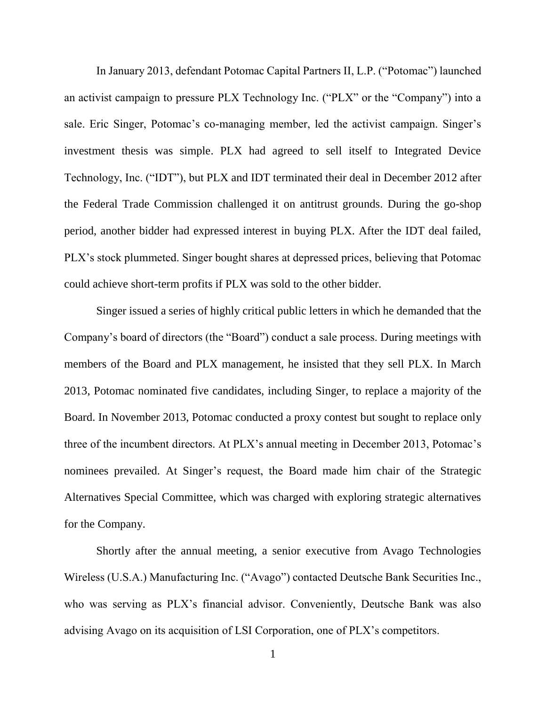In January 2013, defendant Potomac Capital Partners II, L.P. ("Potomac") launched an activist campaign to pressure PLX Technology Inc. ("PLX" or the "Company") into a sale. Eric Singer, Potomac's co-managing member, led the activist campaign. Singer's investment thesis was simple. PLX had agreed to sell itself to Integrated Device Technology, Inc. ("IDT"), but PLX and IDT terminated their deal in December 2012 after the Federal Trade Commission challenged it on antitrust grounds. During the go-shop period, another bidder had expressed interest in buying PLX. After the IDT deal failed, PLX's stock plummeted. Singer bought shares at depressed prices, believing that Potomac could achieve short-term profits if PLX was sold to the other bidder.

Singer issued a series of highly critical public letters in which he demanded that the Company's board of directors (the "Board") conduct a sale process. During meetings with members of the Board and PLX management, he insisted that they sell PLX. In March 2013, Potomac nominated five candidates, including Singer, to replace a majority of the Board. In November 2013, Potomac conducted a proxy contest but sought to replace only three of the incumbent directors. At PLX's annual meeting in December 2013, Potomac's nominees prevailed. At Singer's request, the Board made him chair of the Strategic Alternatives Special Committee, which was charged with exploring strategic alternatives for the Company.

Shortly after the annual meeting, a senior executive from Avago Technologies Wireless (U.S.A.) Manufacturing Inc. ("Avago") contacted Deutsche Bank Securities Inc., who was serving as PLX's financial advisor. Conveniently, Deutsche Bank was also advising Avago on its acquisition of LSI Corporation, one of PLX's competitors.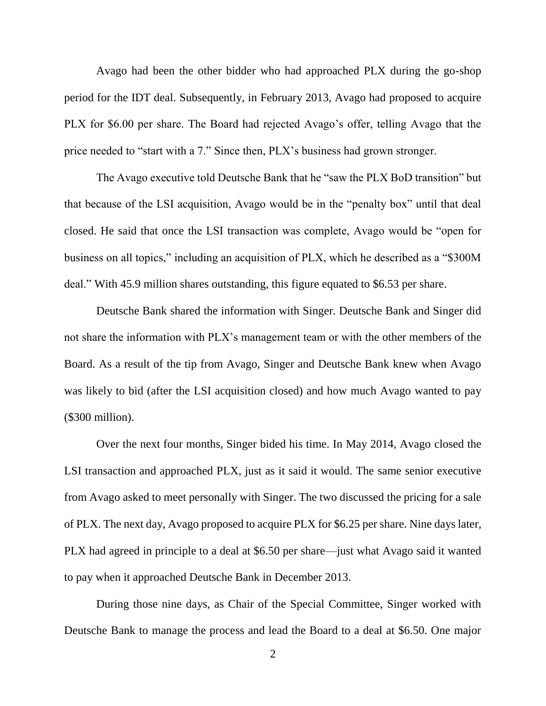Avago had been the other bidder who had approached PLX during the go-shop period for the IDT deal. Subsequently, in February 2013, Avago had proposed to acquire PLX for \$6.00 per share. The Board had rejected Avago's offer, telling Avago that the price needed to "start with a 7." Since then, PLX's business had grown stronger.

The Avago executive told Deutsche Bank that he "saw the PLX BoD transition" but that because of the LSI acquisition, Avago would be in the "penalty box" until that deal closed. He said that once the LSI transaction was complete, Avago would be "open for business on all topics," including an acquisition of PLX, which he described as a "\$300M deal." With 45.9 million shares outstanding, this figure equated to \$6.53 per share.

Deutsche Bank shared the information with Singer. Deutsche Bank and Singer did not share the information with PLX's management team or with the other members of the Board. As a result of the tip from Avago, Singer and Deutsche Bank knew when Avago was likely to bid (after the LSI acquisition closed) and how much Avago wanted to pay (\$300 million).

Over the next four months, Singer bided his time. In May 2014, Avago closed the LSI transaction and approached PLX, just as it said it would. The same senior executive from Avago asked to meet personally with Singer. The two discussed the pricing for a sale of PLX. The next day, Avago proposed to acquire PLX for \$6.25 per share. Nine days later, PLX had agreed in principle to a deal at \$6.50 per share—just what Avago said it wanted to pay when it approached Deutsche Bank in December 2013.

During those nine days, as Chair of the Special Committee, Singer worked with Deutsche Bank to manage the process and lead the Board to a deal at \$6.50. One major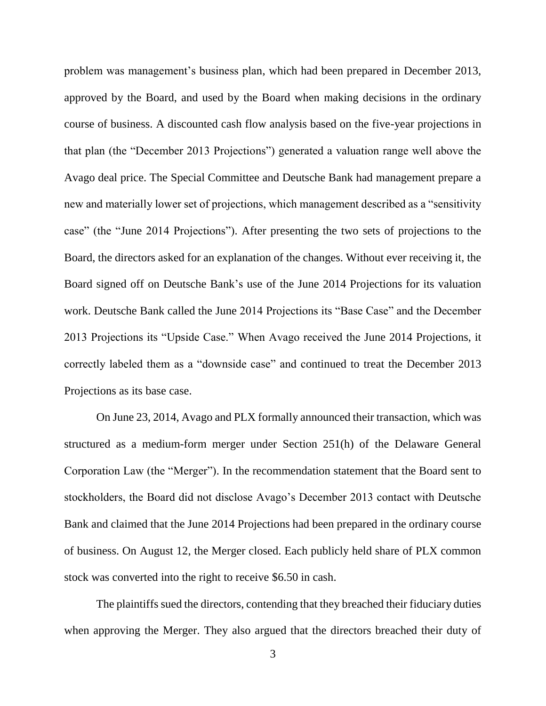problem was management's business plan, which had been prepared in December 2013, approved by the Board, and used by the Board when making decisions in the ordinary course of business. A discounted cash flow analysis based on the five-year projections in that plan (the "December 2013 Projections") generated a valuation range well above the Avago deal price. The Special Committee and Deutsche Bank had management prepare a new and materially lower set of projections, which management described as a "sensitivity case" (the "June 2014 Projections"). After presenting the two sets of projections to the Board, the directors asked for an explanation of the changes. Without ever receiving it, the Board signed off on Deutsche Bank's use of the June 2014 Projections for its valuation work. Deutsche Bank called the June 2014 Projections its "Base Case" and the December 2013 Projections its "Upside Case." When Avago received the June 2014 Projections, it correctly labeled them as a "downside case" and continued to treat the December 2013 Projections as its base case.

On June 23, 2014, Avago and PLX formally announced their transaction, which was structured as a medium-form merger under Section 251(h) of the Delaware General Corporation Law (the "Merger"). In the recommendation statement that the Board sent to stockholders, the Board did not disclose Avago's December 2013 contact with Deutsche Bank and claimed that the June 2014 Projections had been prepared in the ordinary course of business. On August 12, the Merger closed. Each publicly held share of PLX common stock was converted into the right to receive \$6.50 in cash.

The plaintiffs sued the directors, contending that they breached their fiduciary duties when approving the Merger. They also argued that the directors breached their duty of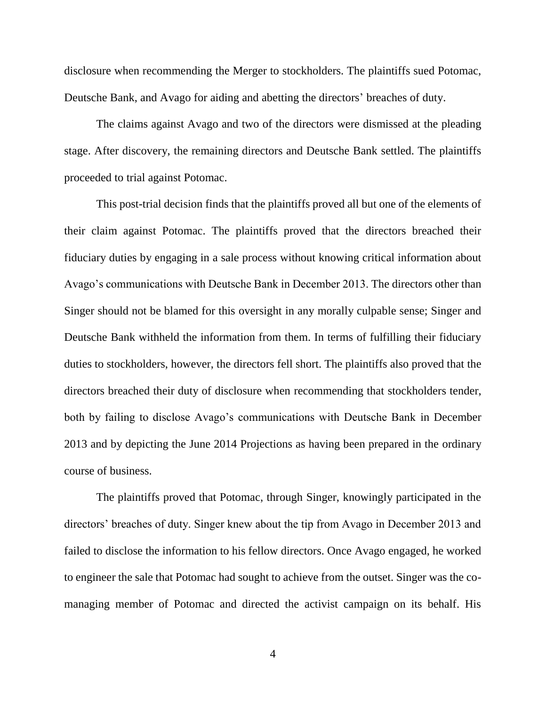disclosure when recommending the Merger to stockholders. The plaintiffs sued Potomac, Deutsche Bank, and Avago for aiding and abetting the directors' breaches of duty.

The claims against Avago and two of the directors were dismissed at the pleading stage. After discovery, the remaining directors and Deutsche Bank settled. The plaintiffs proceeded to trial against Potomac.

This post-trial decision finds that the plaintiffs proved all but one of the elements of their claim against Potomac. The plaintiffs proved that the directors breached their fiduciary duties by engaging in a sale process without knowing critical information about Avago's communications with Deutsche Bank in December 2013. The directors other than Singer should not be blamed for this oversight in any morally culpable sense; Singer and Deutsche Bank withheld the information from them. In terms of fulfilling their fiduciary duties to stockholders, however, the directors fell short. The plaintiffs also proved that the directors breached their duty of disclosure when recommending that stockholders tender, both by failing to disclose Avago's communications with Deutsche Bank in December 2013 and by depicting the June 2014 Projections as having been prepared in the ordinary course of business.

The plaintiffs proved that Potomac, through Singer, knowingly participated in the directors' breaches of duty. Singer knew about the tip from Avago in December 2013 and failed to disclose the information to his fellow directors. Once Avago engaged, he worked to engineer the sale that Potomac had sought to achieve from the outset. Singer was the comanaging member of Potomac and directed the activist campaign on its behalf. His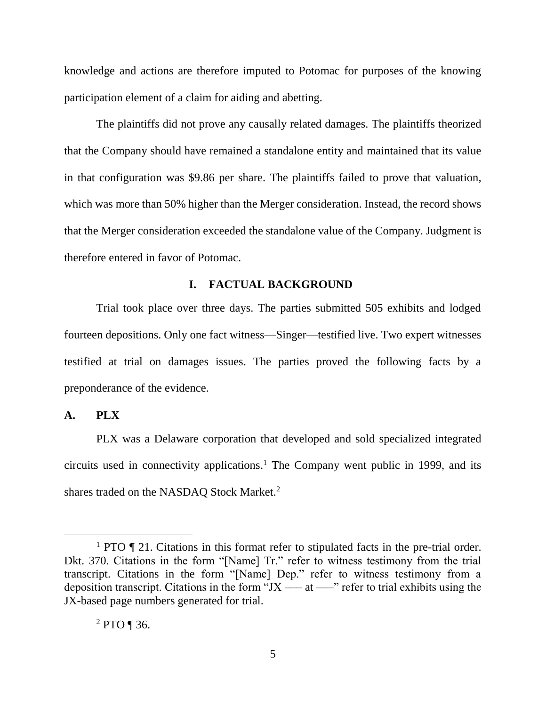knowledge and actions are therefore imputed to Potomac for purposes of the knowing participation element of a claim for aiding and abetting.

The plaintiffs did not prove any causally related damages. The plaintiffs theorized that the Company should have remained a standalone entity and maintained that its value in that configuration was \$9.86 per share. The plaintiffs failed to prove that valuation, which was more than 50% higher than the Merger consideration. Instead, the record shows that the Merger consideration exceeded the standalone value of the Company. Judgment is therefore entered in favor of Potomac.

### **I. FACTUAL BACKGROUND**

Trial took place over three days. The parties submitted 505 exhibits and lodged fourteen depositions. Only one fact witness—Singer—testified live. Two expert witnesses testified at trial on damages issues. The parties proved the following facts by a preponderance of the evidence.

### **A. PLX**

 $\overline{a}$ 

PLX was a Delaware corporation that developed and sold specialized integrated circuits used in connectivity applications. <sup>1</sup> The Company went public in 1999, and its shares traded on the NASDAQ Stock Market.<sup>2</sup>

<sup>&</sup>lt;sup>1</sup> PTO  $\P$  21. Citations in this format refer to stipulated facts in the pre-trial order. Dkt. 370. Citations in the form "[Name] Tr." refer to witness testimony from the trial transcript. Citations in the form "[Name] Dep." refer to witness testimony from a deposition transcript. Citations in the form " $JX$  —— at ——" refer to trial exhibits using the JX-based page numbers generated for trial.

 $^{2}$  PTO ¶ 36.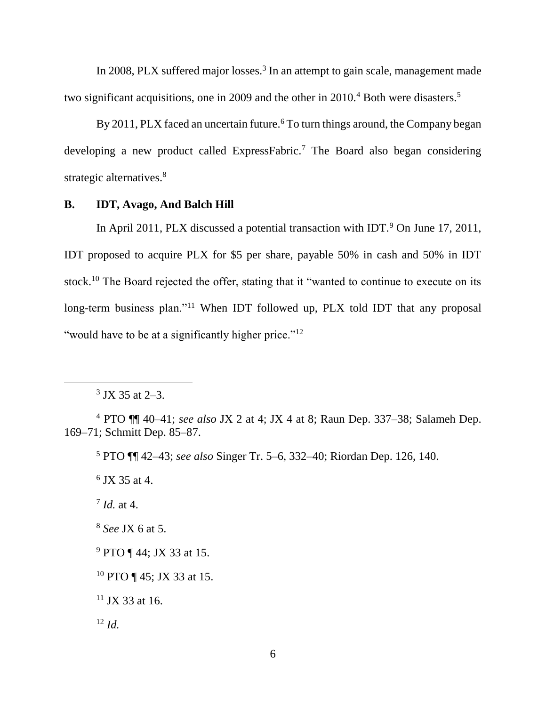In 2008, PLX suffered major losses.<sup>3</sup> In an attempt to gain scale, management made two significant acquisitions, one in 2009 and the other in 2010.<sup>4</sup> Both were disasters.<sup>5</sup>

By 2011, PLX faced an uncertain future.<sup>6</sup> To turn things around, the Company began developing a new product called ExpressFabric.<sup>7</sup> The Board also began considering strategic alternatives.<sup>8</sup>

# **B. IDT, Avago, And Balch Hill**

In April 2011, PLX discussed a potential transaction with IDT.<sup>9</sup> On June 17, 2011, IDT proposed to acquire PLX for \$5 per share, payable 50% in cash and 50% in IDT stock.<sup>10</sup> The Board rejected the offer, stating that it "wanted to continue to execute on its long-term business plan."<sup>11</sup> When IDT followed up, PLX told IDT that any proposal "would have to be at a significantly higher price."<sup>12</sup>

6 JX 35 at 4.

7 *Id.* at 4.

<sup>8</sup> *See* JX 6 at 5.

 $11$  JX 33 at 16.

<sup>12</sup> *Id.*

 $3$  JX 35 at 2–3.

<sup>4</sup> PTO ¶¶ 40–41; *see also* JX 2 at 4; JX 4 at 8; Raun Dep. 337–38; Salameh Dep. 169–71; Schmitt Dep. 85–87.

<sup>5</sup> PTO ¶¶ 42–43; *see also* Singer Tr. 5–6, 332–40; Riordan Dep. 126, 140.

<sup>&</sup>lt;sup>9</sup> PTO ¶ 44; JX 33 at 15.

<sup>10</sup> PTO ¶ 45; JX 33 at 15.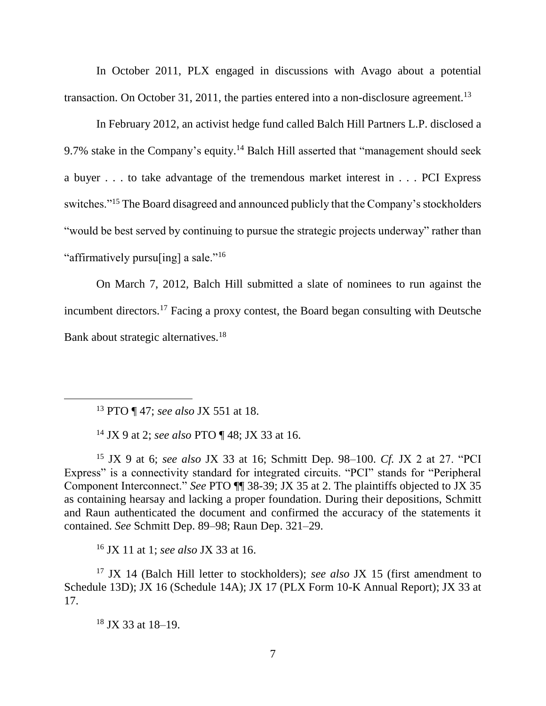In October 2011, PLX engaged in discussions with Avago about a potential transaction. On October 31, 2011, the parties entered into a non-disclosure agreement.<sup>13</sup>

In February 2012, an activist hedge fund called Balch Hill Partners L.P. disclosed a 9.7% stake in the Company's equity.<sup>14</sup> Balch Hill asserted that "management should seek a buyer . . . to take advantage of the tremendous market interest in . . . PCI Express switches."<sup>15</sup> The Board disagreed and announced publicly that the Company's stockholders "would be best served by continuing to pursue the strategic projects underway" rather than "affirmatively pursuling] a sale."<sup>16</sup>

On March 7, 2012, Balch Hill submitted a slate of nominees to run against the incumbent directors.<sup>17</sup> Facing a proxy contest, the Board began consulting with Deutsche Bank about strategic alternatives.<sup>18</sup>

<sup>13</sup> PTO ¶ 47; *see also* JX 551 at 18.

 $\overline{a}$ 

<sup>14</sup> JX 9 at 2; *see also* PTO ¶ 48; JX 33 at 16.

<sup>15</sup> JX 9 at 6; *see also* JX 33 at 16; Schmitt Dep. 98–100. *Cf.* JX 2 at 27. "PCI Express" is a connectivity standard for integrated circuits. "PCI" stands for "Peripheral Component Interconnect." *See* PTO ¶¶ 38-39; JX 35 at 2. The plaintiffs objected to JX 35 as containing hearsay and lacking a proper foundation. During their depositions, Schmitt and Raun authenticated the document and confirmed the accuracy of the statements it contained. *See* Schmitt Dep. 89–98; Raun Dep. 321–29.

<sup>16</sup> JX 11 at 1; *see also* JX 33 at 16.

<sup>17</sup> JX 14 (Balch Hill letter to stockholders); *see also* JX 15 (first amendment to Schedule 13D); JX 16 (Schedule 14A); JX 17 (PLX Form 10-K Annual Report); JX 33 at 17.

 $18$  JX 33 at 18–19.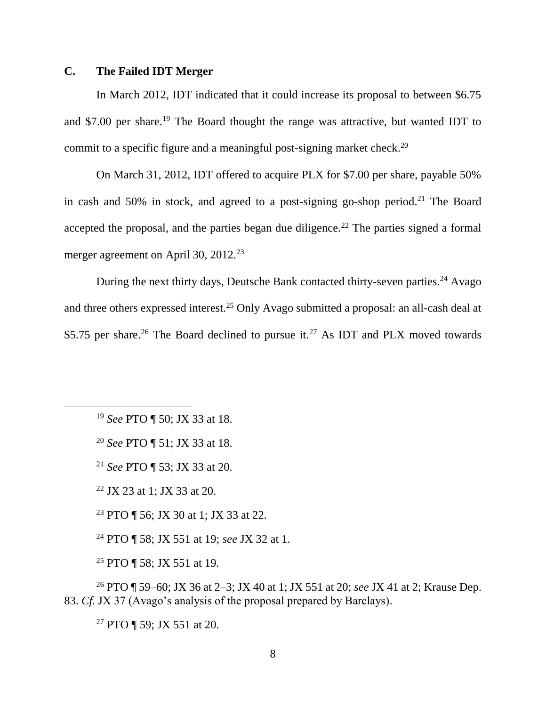# **C. The Failed IDT Merger**

In March 2012, IDT indicated that it could increase its proposal to between \$6.75 and \$7.00 per share. <sup>19</sup> The Board thought the range was attractive, but wanted IDT to commit to a specific figure and a meaningful post-signing market check.<sup>20</sup>

On March 31, 2012, IDT offered to acquire PLX for \$7.00 per share, payable 50% in cash and 50% in stock, and agreed to a post-signing go-shop period.<sup>21</sup> The Board accepted the proposal, and the parties began due diligence.<sup>22</sup> The parties signed a formal merger agreement on April 30, 2012.<sup>23</sup>

During the next thirty days, Deutsche Bank contacted thirty-seven parties.<sup>24</sup> Avago and three others expressed interest.<sup>25</sup> Only Avago submitted a proposal: an all-cash deal at \$5.75 per share.<sup>26</sup> The Board declined to pursue it.<sup>27</sup> As IDT and PLX moved towards

<sup>19</sup> *See* PTO ¶ 50; JX 33 at 18.

 $\overline{a}$ 

<sup>20</sup> *See* PTO ¶ 51; JX 33 at 18.

<sup>21</sup> *See* PTO ¶ 53; JX 33 at 20.

<sup>22</sup> JX 23 at 1; JX 33 at 20.

<sup>23</sup> PTO ¶ 56; JX 30 at 1; JX 33 at 22.

<sup>24</sup> PTO ¶ 58; JX 551 at 19; *see* JX 32 at 1.

<sup>25</sup> PTO ¶ 58; JX 551 at 19.

<sup>26</sup> PTO ¶ 59–60; JX 36 at 2–3; JX 40 at 1; JX 551 at 20; *see* JX 41 at 2; Krause Dep. 83. *Cf.* JX 37 (Avago's analysis of the proposal prepared by Barclays).

<sup>27</sup> PTO ¶ 59; JX 551 at 20.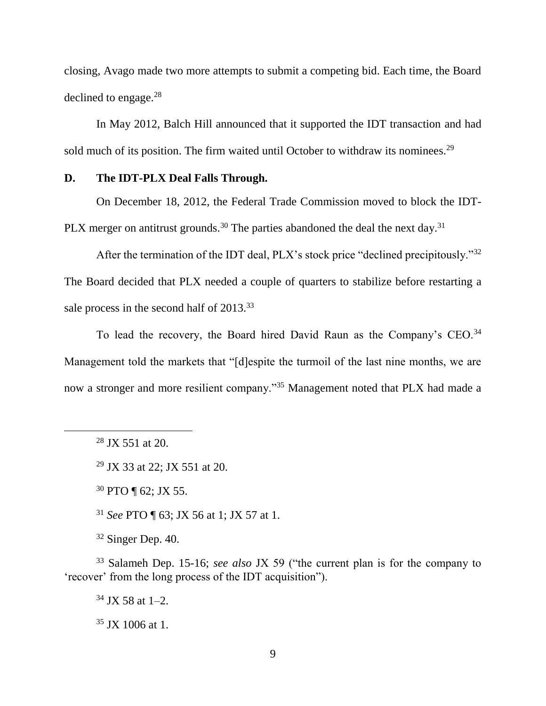closing, Avago made two more attempts to submit a competing bid. Each time, the Board declined to engage. 28

In May 2012, Balch Hill announced that it supported the IDT transaction and had sold much of its position. The firm waited until October to withdraw its nominees.<sup>29</sup>

## **D. The IDT-PLX Deal Falls Through.**

On December 18, 2012, the Federal Trade Commission moved to block the IDT-PLX merger on antitrust grounds.<sup>30</sup> The parties abandoned the deal the next day.<sup>31</sup>

After the termination of the IDT deal, PLX's stock price "declined precipitously."<sup>32</sup> The Board decided that PLX needed a couple of quarters to stabilize before restarting a sale process in the second half of 2013.<sup>33</sup>

To lead the recovery, the Board hired David Raun as the Company's CEO.<sup>34</sup> Management told the markets that "[d]espite the turmoil of the last nine months, we are now a stronger and more resilient company."<sup>35</sup> Management noted that PLX had made a

 $\overline{a}$ 

<sup>30</sup> PTO ¶ 62; JX 55.

<sup>31</sup> *See* PTO ¶ 63; JX 56 at 1; JX 57 at 1.

 $32$  Singer Dep. 40.

<sup>33</sup> Salameh Dep. 15-16; *see also* JX 59 ("the current plan is for the company to 'recover' from the long process of the IDT acquisition").

 $34$  JX 58 at 1–2.

 $35$  JX 1006 at 1.

 $28$  JX 551 at 20.

<sup>29</sup> JX 33 at 22; JX 551 at 20.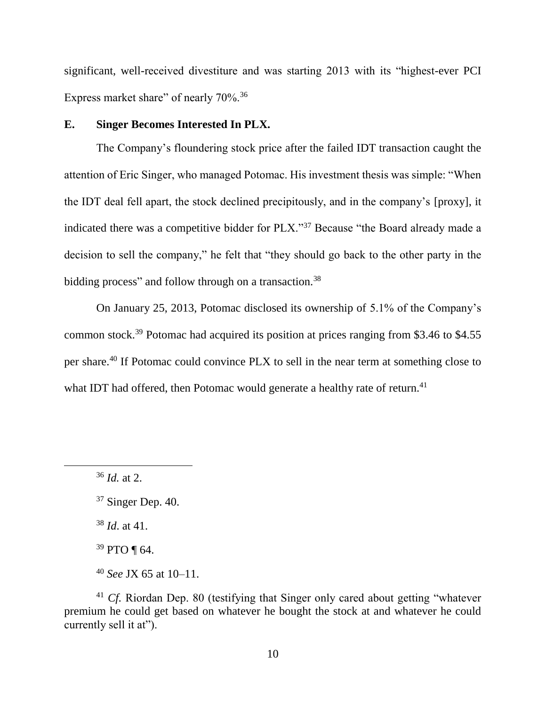significant, well-received divestiture and was starting 2013 with its "highest-ever PCI Express market share" of nearly 70%.<sup>36</sup>

### **E. Singer Becomes Interested In PLX.**

The Company's floundering stock price after the failed IDT transaction caught the attention of Eric Singer, who managed Potomac. His investment thesis was simple: "When the IDT deal fell apart, the stock declined precipitously, and in the company's [proxy], it indicated there was a competitive bidder for PLX."<sup>37</sup> Because "the Board already made a decision to sell the company," he felt that "they should go back to the other party in the bidding process" and follow through on a transaction.<sup>38</sup>

On January 25, 2013, Potomac disclosed its ownership of 5.1% of the Company's common stock.<sup>39</sup> Potomac had acquired its position at prices ranging from \$3.46 to \$4.55 per share.<sup>40</sup> If Potomac could convince PLX to sell in the near term at something close to what IDT had offered, then Potomac would generate a healthy rate of return.<sup>41</sup>

 $\overline{a}$ 

<sup>38</sup> *Id*. at 41.

<sup>36</sup> *Id.* at 2.

 $37$  Singer Dep. 40.

 $39$  PTO ¶ 64.

<sup>40</sup> *See* JX 65 at 10–11.

<sup>&</sup>lt;sup>41</sup> *Cf.* Riordan Dep. 80 (testifying that Singer only cared about getting "whatever" premium he could get based on whatever he bought the stock at and whatever he could currently sell it at").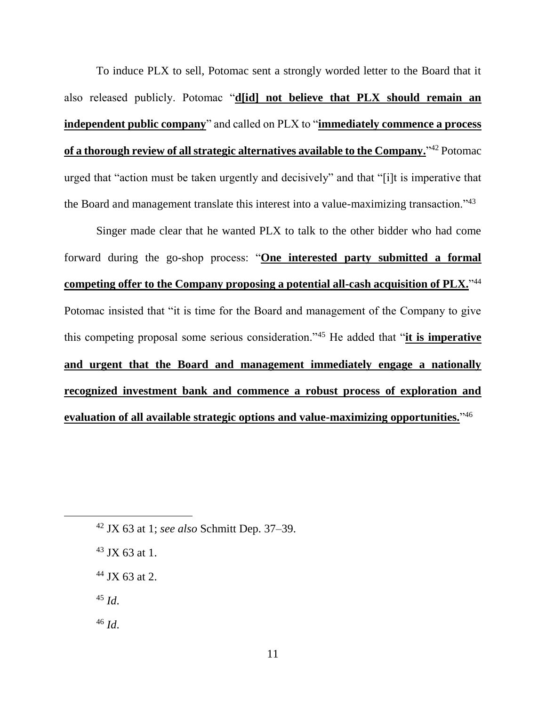To induce PLX to sell, Potomac sent a strongly worded letter to the Board that it also released publicly. Potomac "**d[id] not believe that PLX should remain an independent public company**" and called on PLX to "**immediately commence a process of a thorough review of all strategic alternatives available to the Company.**" <sup>42</sup> Potomac urged that "action must be taken urgently and decisively" and that "[i]t is imperative that the Board and management translate this interest into a value-maximizing transaction."<sup>43</sup>

Singer made clear that he wanted PLX to talk to the other bidder who had come forward during the go-shop process: "**One interested party submitted a formal competing offer to the Company proposing a potential all-cash acquisition of PLX.**" 44 Potomac insisted that "it is time for the Board and management of the Company to give this competing proposal some serious consideration."<sup>45</sup> He added that "**it is imperative and urgent that the Board and management immediately engage a nationally recognized investment bank and commence a robust process of exploration and evaluation of all available strategic options and value-maximizing opportunities.**" 46

- $43$  JX 63 at 1.
- <sup>44</sup> JX 63 at 2.
- <sup>45</sup> *Id*.

<sup>46</sup> *Id*.

<sup>42</sup> JX 63 at 1; *see also* Schmitt Dep. 37–39.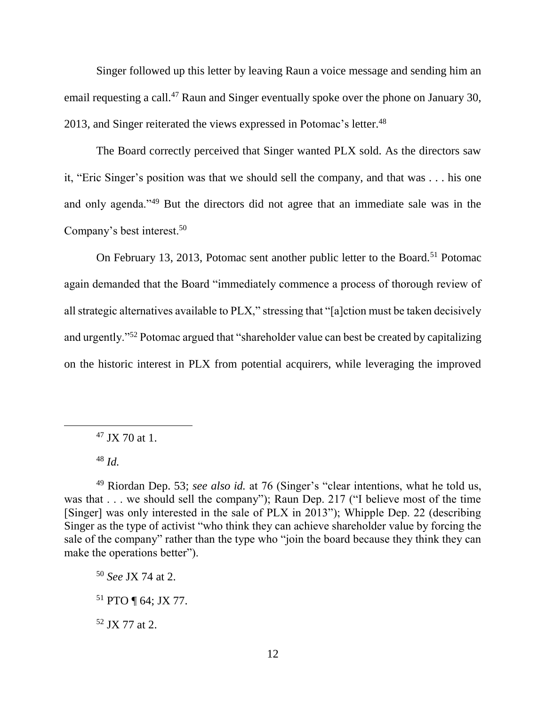Singer followed up this letter by leaving Raun a voice message and sending him an email requesting a call.<sup>47</sup> Raun and Singer eventually spoke over the phone on January 30, 2013, and Singer reiterated the views expressed in Potomac's letter.<sup>48</sup>

The Board correctly perceived that Singer wanted PLX sold. As the directors saw it, "Eric Singer's position was that we should sell the company, and that was . . . his one and only agenda."<sup>49</sup> But the directors did not agree that an immediate sale was in the Company's best interest.<sup>50</sup>

On February 13, 2013, Potomac sent another public letter to the Board.<sup>51</sup> Potomac again demanded that the Board "immediately commence a process of thorough review of all strategic alternatives available to PLX," stressing that "[a]ction must be taken decisively and urgently."<sup>52</sup> Potomac argued that "shareholder value can best be created by capitalizing on the historic interest in PLX from potential acquirers, while leveraging the improved

 $47$  JX 70 at 1.

<sup>48</sup> *Id.*

<sup>50</sup> *See* JX 74 at 2.

 $52$  JX 77 at 2.

<sup>49</sup> Riordan Dep. 53; *see also id.* at 76 (Singer's "clear intentions, what he told us, was that . . . we should sell the company"); Raun Dep. 217 ("I believe most of the time [Singer] was only interested in the sale of PLX in 2013"); Whipple Dep. 22 (describing Singer as the type of activist "who think they can achieve shareholder value by forcing the sale of the company" rather than the type who "join the board because they think they can make the operations better").

<sup>51</sup> PTO ¶ 64; JX 77.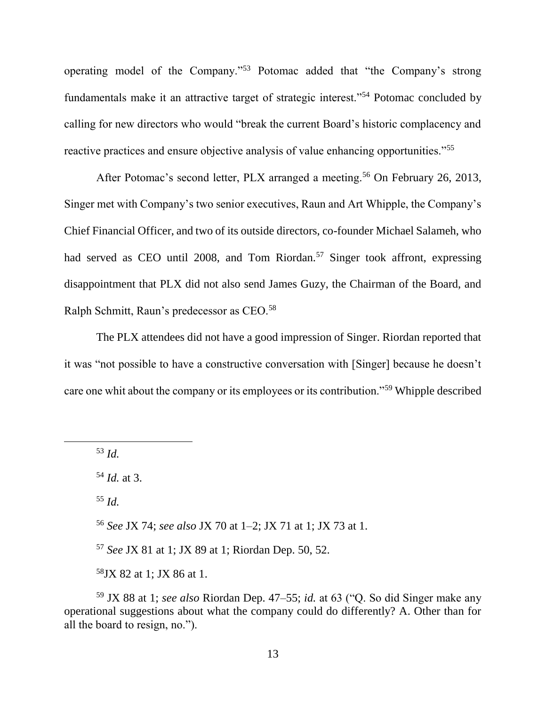operating model of the Company."<sup>53</sup> Potomac added that "the Company's strong fundamentals make it an attractive target of strategic interest."<sup>54</sup> Potomac concluded by calling for new directors who would "break the current Board's historic complacency and reactive practices and ensure objective analysis of value enhancing opportunities."<sup>55</sup>

After Potomac's second letter, PLX arranged a meeting.<sup>56</sup> On February 26, 2013, Singer met with Company's two senior executives, Raun and Art Whipple, the Company's Chief Financial Officer, and two of its outside directors, co-founder Michael Salameh, who had served as CEO until 2008, and Tom Riordan.<sup>57</sup> Singer took affront, expressing disappointment that PLX did not also send James Guzy, the Chairman of the Board, and Ralph Schmitt, Raun's predecessor as CEO.<sup>58</sup>

The PLX attendees did not have a good impression of Singer. Riordan reported that it was "not possible to have a constructive conversation with [Singer] because he doesn't care one whit about the company or its employees or its contribution."<sup>59</sup> Whipple described

<sup>53</sup> *Id.*

 $\overline{a}$ 

<sup>54</sup> *Id.* at 3.

<sup>55</sup> *Id.*

<sup>56</sup> *See* JX 74; *see also* JX 70 at 1–2; JX 71 at 1; JX 73 at 1.

<sup>57</sup> *See* JX 81 at 1; JX 89 at 1; Riordan Dep. 50, 52.

<sup>58</sup>JX 82 at 1; JX 86 at 1.

<sup>59</sup> JX 88 at 1; *see also* Riordan Dep. 47–55; *id.* at 63 ("Q. So did Singer make any operational suggestions about what the company could do differently? A. Other than for all the board to resign, no.").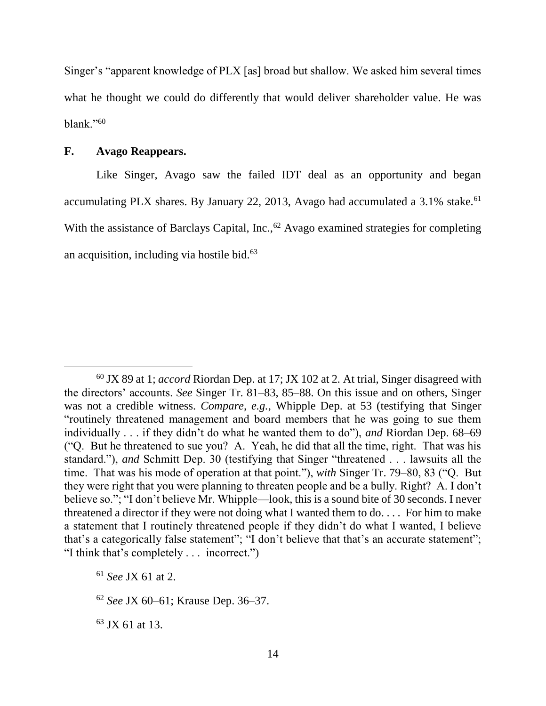Singer's "apparent knowledge of PLX [as] broad but shallow. We asked him several times what he thought we could do differently that would deliver shareholder value. He was blank."<sup>60</sup>

#### **F. Avago Reappears.**

 $\overline{a}$ 

Like Singer, Avago saw the failed IDT deal as an opportunity and began accumulating PLX shares. By January 22, 2013, Avago had accumulated a  $3.1\%$  stake.<sup>61</sup> With the assistance of Barclays Capital, Inc., $62$  Avago examined strategies for completing an acquisition, including via hostile bid. $63$ 

<sup>60</sup> JX 89 at 1; *accord* Riordan Dep. at 17; JX 102 at 2*.* At trial, Singer disagreed with the directors' accounts. *See* Singer Tr. 81–83, 85–88. On this issue and on others, Singer was not a credible witness. *Compare, e.g.*, Whipple Dep. at 53 (testifying that Singer "routinely threatened management and board members that he was going to sue them individually . . . if they didn't do what he wanted them to do"), *and* Riordan Dep. 68–69 ("Q. But he threatened to sue you? A. Yeah, he did that all the time, right. That was his standard."), *and* Schmitt Dep. 30 (testifying that Singer "threatened . . . lawsuits all the time. That was his mode of operation at that point."), *with* Singer Tr. 79–80, 83 ("Q. But they were right that you were planning to threaten people and be a bully. Right? A. I don't believe so."; "I don't believe Mr. Whipple—look, this is a sound bite of 30 seconds. I never threatened a director if they were not doing what I wanted them to do. . . . For him to make a statement that I routinely threatened people if they didn't do what I wanted, I believe that's a categorically false statement"; "I don't believe that that's an accurate statement"; "I think that's completely . . . incorrect.")

<sup>61</sup> *See* JX 61 at 2.

<sup>62</sup> *See* JX 60–61; Krause Dep. 36–37.

<sup>63</sup> JX 61 at 13.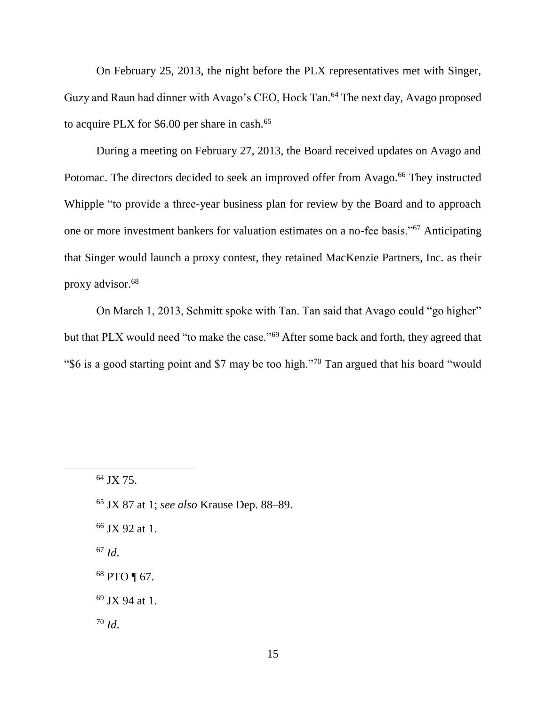On February 25, 2013, the night before the PLX representatives met with Singer, Guzy and Raun had dinner with Avago's CEO, Hock Tan.<sup>64</sup> The next day, Avago proposed to acquire PLX for  $$6.00$  per share in cash.<sup>65</sup>

During a meeting on February 27, 2013, the Board received updates on Avago and Potomac. The directors decided to seek an improved offer from Avago.<sup>66</sup> They instructed Whipple "to provide a three-year business plan for review by the Board and to approach one or more investment bankers for valuation estimates on a no-fee basis."<sup>67</sup> Anticipating that Singer would launch a proxy contest, they retained MacKenzie Partners, Inc. as their proxy advisor.<sup>68</sup>

On March 1, 2013, Schmitt spoke with Tan. Tan said that Avago could "go higher" but that PLX would need "to make the case."<sup>69</sup> After some back and forth, they agreed that "\$6 is a good starting point and \$7 may be too high."<sup>70</sup> Tan argued that his board "would

 $\overline{a}$ 

- <sup>65</sup> JX 87 at 1; *see also* Krause Dep. 88–89.
- <sup>66</sup> JX 92 at 1.
- <sup>67</sup> *Id*.
- <sup>68</sup> PTO ¶ 67.
- <sup>69</sup> JX 94 at 1.
- <sup>70</sup> *Id*.

<sup>64</sup> JX 75.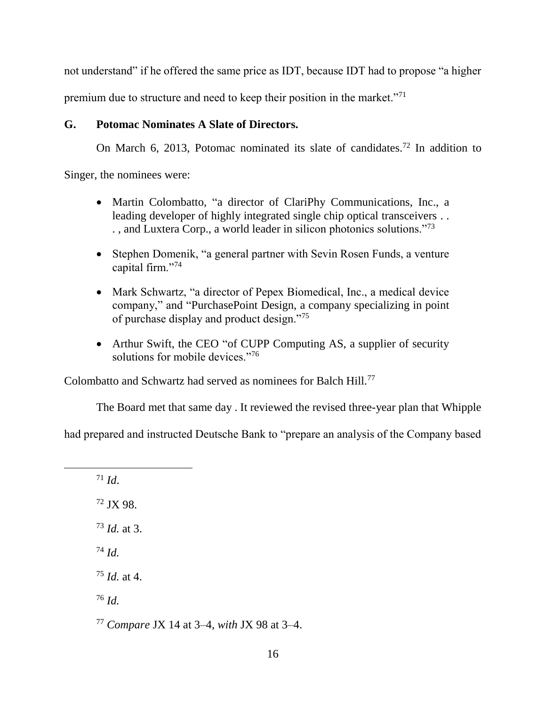not understand" if he offered the same price as IDT, because IDT had to propose "a higher

premium due to structure and need to keep their position in the market."<sup>71</sup>

## **G. Potomac Nominates A Slate of Directors.**

On March 6, 2013, Potomac nominated its slate of candidates.<sup>72</sup> In addition to

Singer, the nominees were:

- Martin Colombatto, "a director of ClariPhy Communications, Inc., a leading developer of highly integrated single chip optical transceivers . . . , and Luxtera Corp., a world leader in silicon photonics solutions."<sup>73</sup>
- Stephen Domenik, "a general partner with Sevin Rosen Funds, a venture capital firm."<sup>74</sup>
- Mark Schwartz, "a director of Pepex Biomedical, Inc., a medical device company," and "PurchasePoint Design, a company specializing in point of purchase display and product design."<sup>75</sup>
- Arthur Swift, the CEO "of CUPP Computing AS, a supplier of security solutions for mobile devices."<sup>76</sup>

Colombatto and Schwartz had served as nominees for Balch Hill.<sup>77</sup>

The Board met that same day . It reviewed the revised three-year plan that Whipple

had prepared and instructed Deutsche Bank to "prepare an analysis of the Company based

<sup>71</sup> *Id*. <sup>72</sup> JX 98.

 $\overline{a}$ 

<sup>73</sup> *Id.* at 3.

<sup>74</sup> *Id.*

<sup>75</sup> *Id.* at 4.

<sup>76</sup> *Id.*

<sup>77</sup> *Compare* JX 14 at 3–4, *with* JX 98 at 3–4.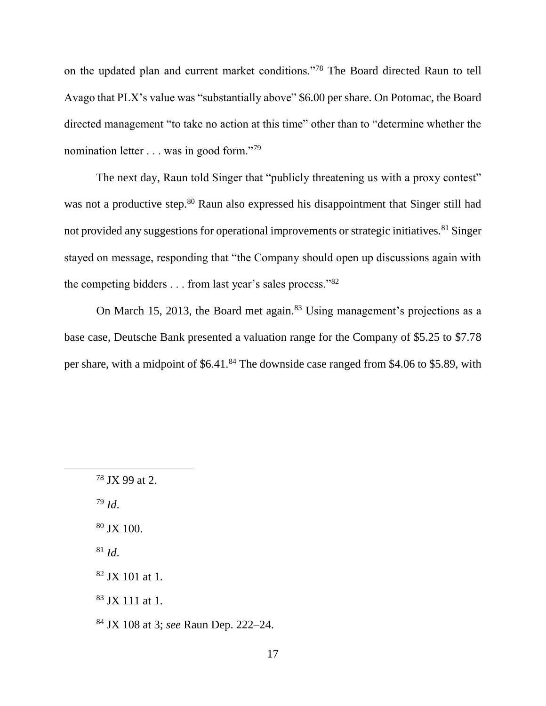on the updated plan and current market conditions."<sup>78</sup> The Board directed Raun to tell Avago that PLX's value was "substantially above" \$6.00 per share. On Potomac, the Board directed management "to take no action at this time" other than to "determine whether the nomination letter . . . was in good form."<sup>79</sup>

The next day, Raun told Singer that "publicly threatening us with a proxy contest" was not a productive step.<sup>80</sup> Raun also expressed his disappointment that Singer still had not provided any suggestions for operational improvements or strategic initiatives.<sup>81</sup> Singer stayed on message, responding that "the Company should open up discussions again with the competing bidders . . . from last year's sales process."<sup>82</sup>

On March 15, 2013, the Board met again.<sup>83</sup> Using management's projections as a base case, Deutsche Bank presented a valuation range for the Company of \$5.25 to \$7.78 per share, with a midpoint of \$6.41.<sup>84</sup> The downside case ranged from \$4.06 to \$5.89, with

<sup>79</sup> *Id*.

 $\overline{a}$ 

 $80$  JX 100.

 $81$  *Id.* 

<sup>83</sup> JX 111 at 1.

<sup>78</sup> JX 99 at 2.

<sup>82</sup> JX 101 at 1.

<sup>84</sup> JX 108 at 3; *see* Raun Dep. 222–24.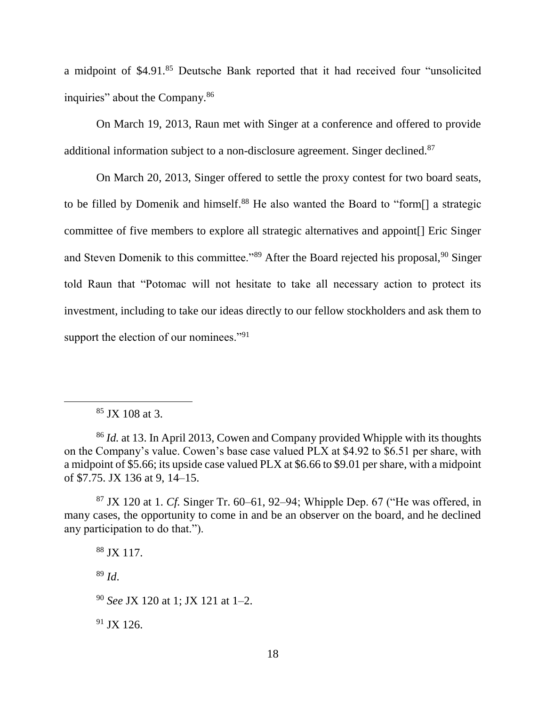a midpoint of \$4.91.<sup>85</sup> Deutsche Bank reported that it had received four "unsolicited inquiries" about the Company.<sup>86</sup>

On March 19, 2013, Raun met with Singer at a conference and offered to provide additional information subject to a non-disclosure agreement. Singer declined.<sup>87</sup>

On March 20, 2013, Singer offered to settle the proxy contest for two board seats, to be filled by Domenik and himself.<sup>88</sup> He also wanted the Board to "form<sup>[]</sup> a strategic committee of five members to explore all strategic alternatives and appoint[] Eric Singer and Steven Domenik to this committee."<sup>89</sup> After the Board rejected his proposal,<sup>90</sup> Singer told Raun that "Potomac will not hesitate to take all necessary action to protect its investment, including to take our ideas directly to our fellow stockholders and ask them to support the election of our nominees."<sup>91</sup>

<sup>89</sup> *Id*.

 $91$  JX 126.

 $85$  JX 108 at 3.

<sup>86</sup> *Id.* at 13. In April 2013, Cowen and Company provided Whipple with its thoughts on the Company's value. Cowen's base case valued PLX at \$4.92 to \$6.51 per share, with a midpoint of \$5.66; its upside case valued PLX at \$6.66 to \$9.01 per share, with a midpoint of \$7.75. JX 136 at 9, 14–15.

<sup>87</sup> JX 120 at 1. *Cf.* Singer Tr. 60–61, 92–94; Whipple Dep. 67 ("He was offered, in many cases, the opportunity to come in and be an observer on the board, and he declined any participation to do that.").

<sup>88</sup> JX 117.

<sup>90</sup> *See* JX 120 at 1; JX 121 at 1–2.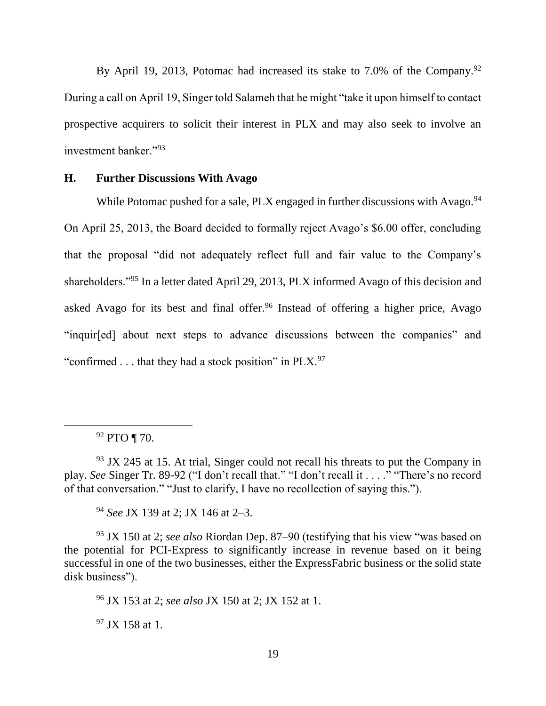By April 19, 2013, Potomac had increased its stake to 7.0% of the Company.<sup>92</sup> During a call on April 19, Singer told Salameh that he might "take it upon himself to contact prospective acquirers to solicit their interest in PLX and may also seek to involve an investment banker."<sup>93</sup>

## **H. Further Discussions With Avago**

While Potomac pushed for a sale, PLX engaged in further discussions with Avago.<sup>94</sup> On April 25, 2013, the Board decided to formally reject Avago's \$6.00 offer, concluding that the proposal "did not adequately reflect full and fair value to the Company's shareholders."<sup>95</sup> In a letter dated April 29, 2013, PLX informed Avago of this decision and asked Avago for its best and final offer.<sup>96</sup> Instead of offering a higher price, Avago "inquir[ed] about next steps to advance discussions between the companies" and "confirmed  $\ldots$  that they had a stock position" in PLX.<sup>97</sup>

<sup>92</sup> PTO ¶ 70.

 $93$  JX 245 at 15. At trial, Singer could not recall his threats to put the Company in play. *See* Singer Tr. 89-92 ("I don't recall that." "I don't recall it . . . ." "There's no record of that conversation." "Just to clarify, I have no recollection of saying this.").

<sup>94</sup> *See* JX 139 at 2; JX 146 at 2–3.

<sup>95</sup> JX 150 at 2; *see also* Riordan Dep. 87–90 (testifying that his view "was based on the potential for PCI-Express to significantly increase in revenue based on it being successful in one of the two businesses, either the ExpressFabric business or the solid state disk business").

<sup>96</sup> JX 153 at 2; *see also* JX 150 at 2; JX 152 at 1.

 $97$  JX 158 at 1.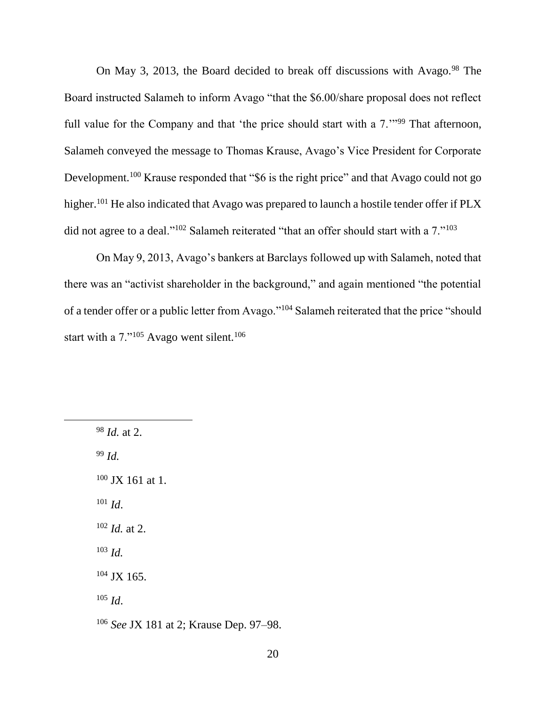On May 3, 2013, the Board decided to break off discussions with Avago.<sup>98</sup> The Board instructed Salameh to inform Avago "that the \$6.00/share proposal does not reflect full value for the Company and that 'the price should start with a  $7.^{11,199}$  That afternoon, Salameh conveyed the message to Thomas Krause, Avago's Vice President for Corporate Development.<sup>100</sup> Krause responded that "\$6 is the right price" and that Avago could not go higher.<sup>101</sup> He also indicated that Avago was prepared to launch a hostile tender offer if PLX did not agree to a deal."<sup>102</sup> Salameh reiterated "that an offer should start with a 7."<sup>103</sup>

On May 9, 2013, Avago's bankers at Barclays followed up with Salameh, noted that there was an "activist shareholder in the background," and again mentioned "the potential of a tender offer or a public letter from Avago."<sup>104</sup> Salameh reiterated that the price "should start with a  $7.^{105}$  Avago went silent.<sup>106</sup>

<sup>98</sup> *Id.* at 2. <sup>99</sup> *Id.*  $100$  JX 161 at 1.  $101$  *Id.* <sup>102</sup> *Id.* at 2. <sup>103</sup> *Id.*  $104$  JX 165. <sup>105</sup> *Id*. <sup>106</sup> *See* JX 181 at 2; Krause Dep. 97–98.

 $\overline{a}$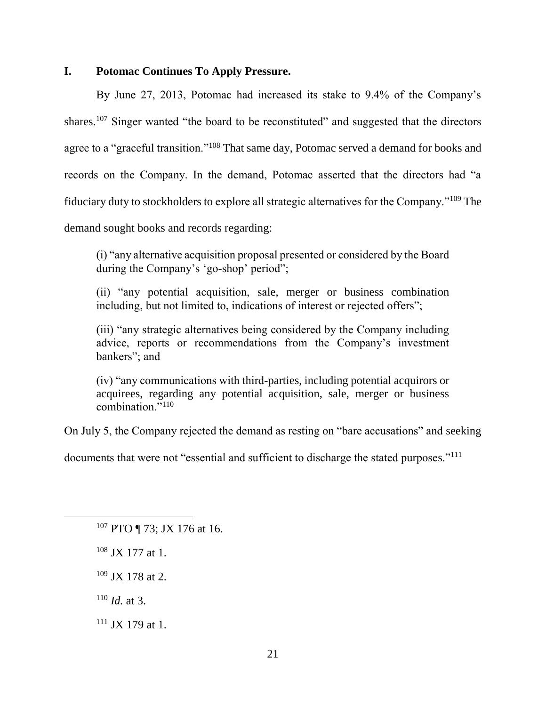## **I. Potomac Continues To Apply Pressure.**

By June 27, 2013, Potomac had increased its stake to 9.4% of the Company's shares.<sup>107</sup> Singer wanted "the board to be reconstituted" and suggested that the directors agree to a "graceful transition."<sup>108</sup> That same day, Potomac served a demand for books and records on the Company. In the demand, Potomac asserted that the directors had "a fiduciary duty to stockholders to explore all strategic alternatives for the Company."<sup>109</sup> The demand sought books and records regarding:

(i) "any alternative acquisition proposal presented or considered by the Board during the Company's 'go-shop' period";

(ii) "any potential acquisition, sale, merger or business combination including, but not limited to, indications of interest or rejected offers";

(iii) "any strategic alternatives being considered by the Company including advice, reports or recommendations from the Company's investment bankers"; and

(iv) "any communications with third-parties, including potential acquirors or acquirees, regarding any potential acquisition, sale, merger or business combination."<sup>110</sup>

On July 5, the Company rejected the demand as resting on "bare accusations" and seeking

documents that were not "essential and sufficient to discharge the stated purposes."<sup>111</sup>

- $108$  JX 177 at 1.
- <sup>109</sup> JX 178 at 2.

<sup>110</sup> *Id.* at 3.

 $111$  JX 179 at 1.

<sup>&</sup>lt;sup>107</sup> PTO ¶ 73; JX 176 at 16.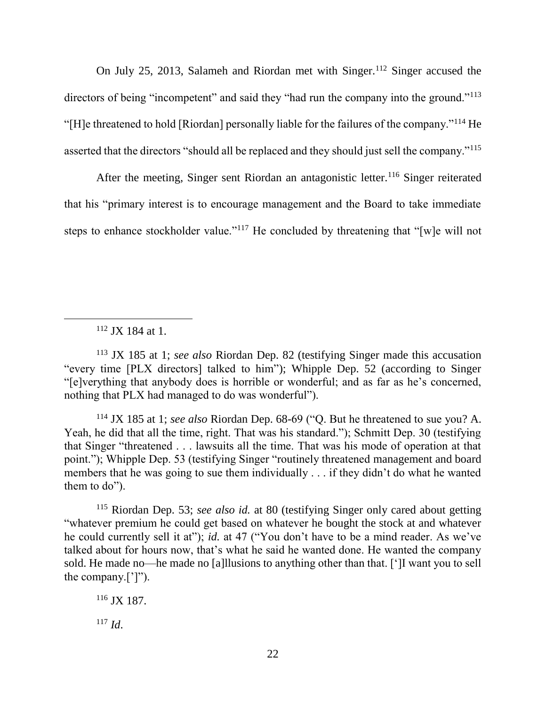On July 25, 2013, Salameh and Riordan met with Singer.<sup>112</sup> Singer accused the directors of being "incompetent" and said they "had run the company into the ground."<sup>113</sup> "[H]e threatened to hold [Riordan] personally liable for the failures of the company."<sup>114</sup> He asserted that the directors "should all be replaced and they should just sell the company."<sup>115</sup>

After the meeting, Singer sent Riordan an antagonistic letter.<sup>116</sup> Singer reiterated that his "primary interest is to encourage management and the Board to take immediate steps to enhance stockholder value."<sup>117</sup> He concluded by threatening that "[w]e will not

<sup>112</sup> JX 184 at 1.

<sup>113</sup> JX 185 at 1; *see also* Riordan Dep. 82 (testifying Singer made this accusation "every time [PLX directors] talked to him"); Whipple Dep. 52 (according to Singer "[e]verything that anybody does is horrible or wonderful; and as far as he's concerned, nothing that PLX had managed to do was wonderful").

<sup>114</sup> JX 185 at 1; *see also* Riordan Dep. 68-69 ("Q. But he threatened to sue you? A. Yeah, he did that all the time, right. That was his standard."); Schmitt Dep. 30 (testifying that Singer "threatened . . . lawsuits all the time. That was his mode of operation at that point."); Whipple Dep. 53 (testifying Singer "routinely threatened management and board members that he was going to sue them individually . . . if they didn't do what he wanted them to do").

<sup>115</sup> Riordan Dep. 53; *see also id.* at 80 (testifying Singer only cared about getting "whatever premium he could get based on whatever he bought the stock at and whatever he could currently sell it at"); *id.* at 47 ("You don't have to be a mind reader. As we've talked about for hours now, that's what he said he wanted done. He wanted the company sold. He made no—he made no [a]llusions to anything other than that. [']I want you to sell the company.[']").

<sup>116</sup> JX 187.

<sup>117</sup> *Id*.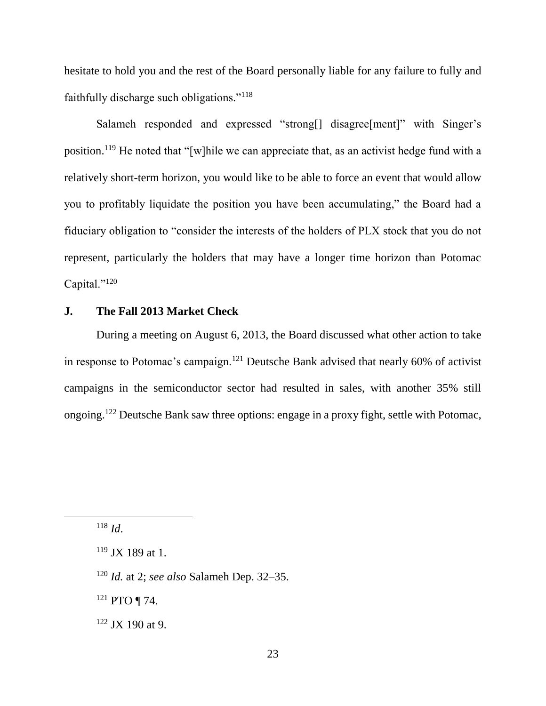hesitate to hold you and the rest of the Board personally liable for any failure to fully and faithfully discharge such obligations."<sup>118</sup>

Salameh responded and expressed "strong[] disagree[ment]" with Singer's position.<sup>119</sup> He noted that "[w]hile we can appreciate that, as an activist hedge fund with a relatively short-term horizon, you would like to be able to force an event that would allow you to profitably liquidate the position you have been accumulating," the Board had a fiduciary obligation to "consider the interests of the holders of PLX stock that you do not represent, particularly the holders that may have a longer time horizon than Potomac Capital."<sup>120</sup>

# **J. The Fall 2013 Market Check**

During a meeting on August 6, 2013, the Board discussed what other action to take in response to Potomac's campaign.<sup>121</sup> Deutsche Bank advised that nearly 60% of activist campaigns in the semiconductor sector had resulted in sales, with another 35% still ongoing.<sup>122</sup> Deutsche Bank saw three options: engage in a proxy fight, settle with Potomac,

<sup>118</sup> *Id*.

- <sup>120</sup> *Id.* at 2; *see also* Salameh Dep. 32–35.
- <sup>121</sup> PTO ¶ 74.
- $122$  JX 190 at 9.

 $119$  JX 189 at 1.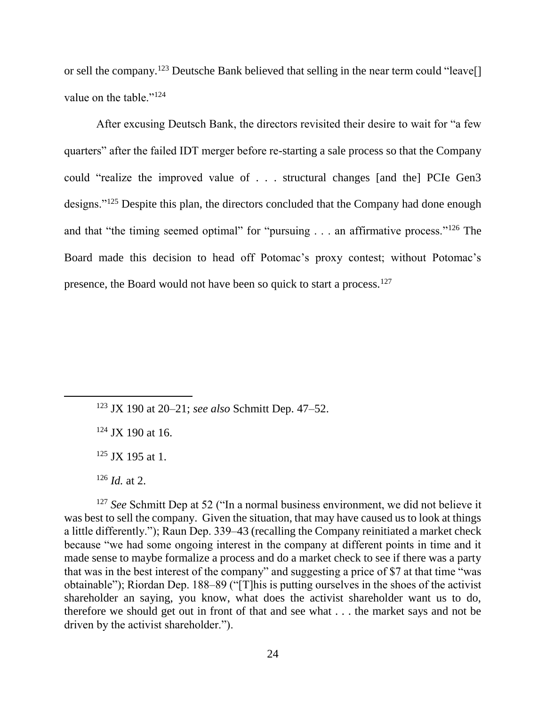or sell the company.<sup>123</sup> Deutsche Bank believed that selling in the near term could "leave<sup>[]</sup> value on the table."<sup>124</sup>

After excusing Deutsch Bank, the directors revisited their desire to wait for "a few quarters" after the failed IDT merger before re-starting a sale process so that the Company could "realize the improved value of . . . structural changes [and the] PCIe Gen3 designs."<sup>125</sup> Despite this plan, the directors concluded that the Company had done enough and that "the timing seemed optimal" for "pursuing . . . an affirmative process."<sup>126</sup> The Board made this decision to head off Potomac's proxy contest; without Potomac's presence, the Board would not have been so quick to start a process.<sup>127</sup>

 $124$  JX 190 at 16.

 $125$  JX 195 at 1.

 $\overline{a}$ 

<sup>127</sup> *See* Schmitt Dep at 52 ("In a normal business environment, we did not believe it was best to sell the company. Given the situation, that may have caused us to look at things a little differently."); Raun Dep. 339–43 (recalling the Company reinitiated a market check because "we had some ongoing interest in the company at different points in time and it made sense to maybe formalize a process and do a market check to see if there was a party that was in the best interest of the company" and suggesting a price of \$7 at that time "was obtainable"); Riordan Dep. 188–89 ("[T]his is putting ourselves in the shoes of the activist shareholder an saying, you know, what does the activist shareholder want us to do, therefore we should get out in front of that and see what . . . the market says and not be driven by the activist shareholder.").

<sup>123</sup> JX 190 at 20–21; *see also* Schmitt Dep. 47–52.

 $126$  *Id.* at 2.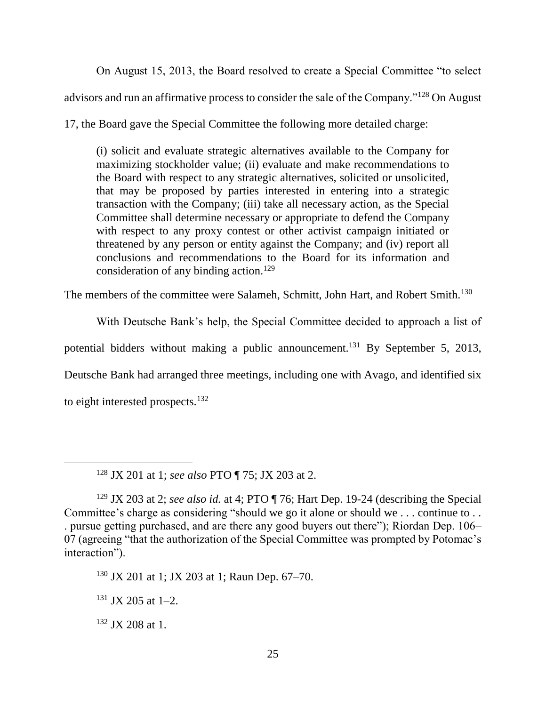On August 15, 2013, the Board resolved to create a Special Committee "to select advisors and run an affirmative process to consider the sale of the Company."<sup>128</sup> On August

17, the Board gave the Special Committee the following more detailed charge:

(i) solicit and evaluate strategic alternatives available to the Company for maximizing stockholder value; (ii) evaluate and make recommendations to the Board with respect to any strategic alternatives, solicited or unsolicited, that may be proposed by parties interested in entering into a strategic transaction with the Company; (iii) take all necessary action, as the Special Committee shall determine necessary or appropriate to defend the Company with respect to any proxy contest or other activist campaign initiated or threatened by any person or entity against the Company; and (iv) report all conclusions and recommendations to the Board for its information and consideration of any binding action.<sup>129</sup>

The members of the committee were Salameh, Schmitt, John Hart, and Robert Smith.<sup>130</sup>

With Deutsche Bank's help, the Special Committee decided to approach a list of potential bidders without making a public announcement.<sup>131</sup> By September 5, 2013, Deutsche Bank had arranged three meetings, including one with Avago, and identified six to eight interested prospects.<sup>132</sup>

 $\overline{a}$ 

<sup>128</sup> JX 201 at 1; *see also* PTO ¶ 75; JX 203 at 2.

<sup>129</sup> JX 203 at 2; *see also id.* at 4; PTO ¶ 76; Hart Dep. 19-24 (describing the Special Committee's charge as considering "should we go it alone or should we . . . continue to . . . pursue getting purchased, and are there any good buyers out there"); Riordan Dep. 106– 07 (agreeing "that the authorization of the Special Committee was prompted by Potomac's interaction").

<sup>130</sup> JX 201 at 1; JX 203 at 1; Raun Dep. 67–70.

 $131$  JX 205 at 1–2.

 $132$  JX 208 at 1.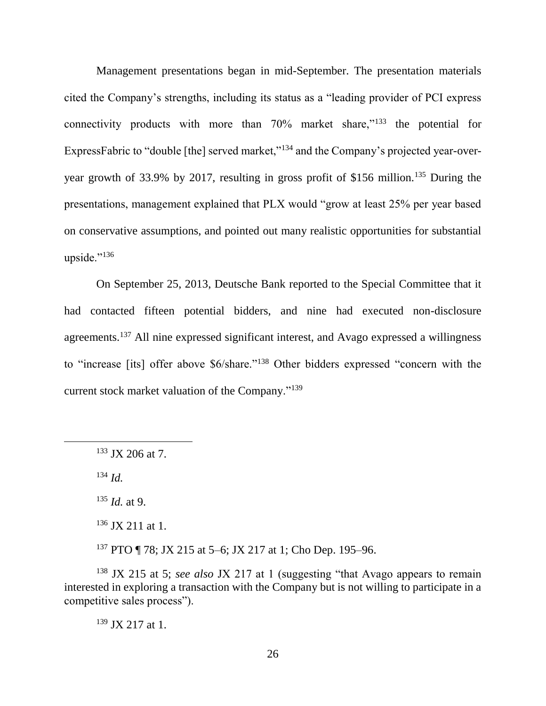Management presentations began in mid-September. The presentation materials cited the Company's strengths, including its status as a "leading provider of PCI express connectivity products with more than 70% market share,"<sup>133</sup> the potential for ExpressFabric to "double [the] served market,"<sup>134</sup> and the Company's projected year-overyear growth of 33.9% by 2017, resulting in gross profit of \$156 million.<sup>135</sup> During the presentations, management explained that PLX would "grow at least 25% per year based on conservative assumptions, and pointed out many realistic opportunities for substantial upside." $^{136}$ 

On September 25, 2013, Deutsche Bank reported to the Special Committee that it had contacted fifteen potential bidders, and nine had executed non-disclosure agreements.<sup>137</sup> All nine expressed significant interest, and Avago expressed a willingness to "increase [its] offer above \$6/share."<sup>138</sup> Other bidders expressed "concern with the current stock market valuation of the Company."<sup>139</sup>

<sup>134</sup> *Id.*

 $\overline{a}$ 

<sup>135</sup> *Id.* at 9.

 $136$  JX 211 at 1.

<sup>137</sup> PTO ¶ 78; JX 215 at 5–6; JX 217 at 1; Cho Dep. 195–96.

<sup>138</sup> JX 215 at 5; *see also* JX 217 at 1 (suggesting "that Avago appears to remain interested in exploring a transaction with the Company but is not willing to participate in a competitive sales process").

<sup>139</sup> JX 217 at 1.

<sup>133</sup> JX 206 at 7.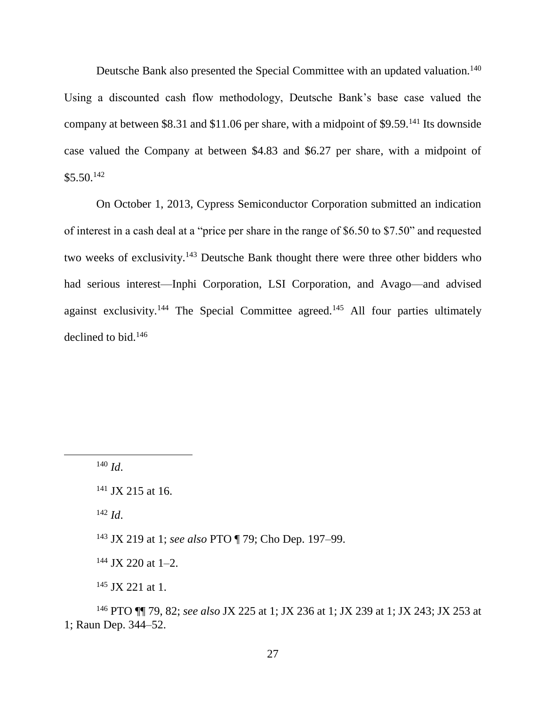Deutsche Bank also presented the Special Committee with an updated valuation.<sup>140</sup> Using a discounted cash flow methodology, Deutsche Bank's base case valued the company at between \$8.31 and \$11.06 per share, with a midpoint of \$9.59.<sup>141</sup> Its downside case valued the Company at between \$4.83 and \$6.27 per share, with a midpoint of  $$5.50.<sup>142</sup>$ 

On October 1, 2013, Cypress Semiconductor Corporation submitted an indication of interest in a cash deal at a "price per share in the range of \$6.50 to \$7.50" and requested two weeks of exclusivity.<sup>143</sup> Deutsche Bank thought there were three other bidders who had serious interest—Inphi Corporation, LSI Corporation, and Avago—and advised against exclusivity.<sup>144</sup> The Special Committee agreed.<sup>145</sup> All four parties ultimately declined to bid.<sup>146</sup>

 $140$  *Id.* 

 $\overline{a}$ 

<sup>142</sup> *Id*.

<sup>143</sup> JX 219 at 1; *see also* PTO ¶ 79; Cho Dep. 197–99.

 $144$  JX 220 at 1-2.

 $145$  JX 221 at 1.

<sup>146</sup> PTO ¶¶ 79, 82; *see also* JX 225 at 1; JX 236 at 1; JX 239 at 1; JX 243; JX 253 at 1; Raun Dep. 344–52.

<sup>&</sup>lt;sup>141</sup> JX 215 at 16.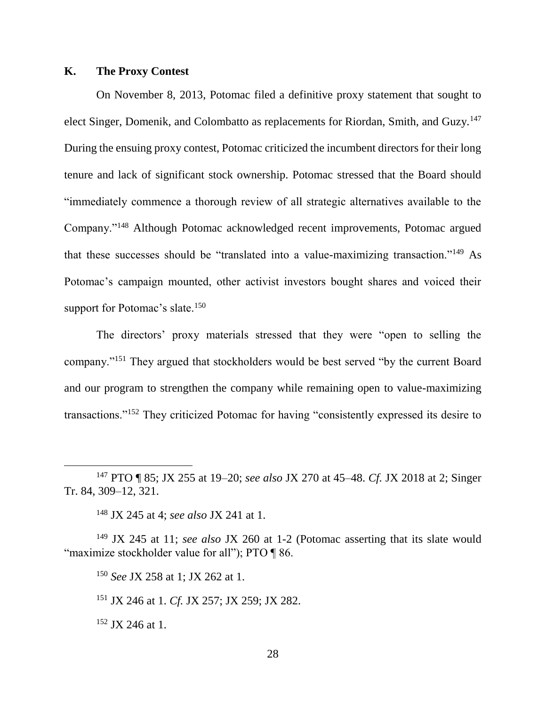### **K. The Proxy Contest**

On November 8, 2013, Potomac filed a definitive proxy statement that sought to elect Singer, Domenik, and Colombatto as replacements for Riordan, Smith, and Guzy.<sup>147</sup> During the ensuing proxy contest, Potomac criticized the incumbent directors for their long tenure and lack of significant stock ownership. Potomac stressed that the Board should "immediately commence a thorough review of all strategic alternatives available to the Company."<sup>148</sup> Although Potomac acknowledged recent improvements, Potomac argued that these successes should be "translated into a value-maximizing transaction."<sup>149</sup> As Potomac's campaign mounted, other activist investors bought shares and voiced their support for Potomac's slate.<sup>150</sup>

The directors' proxy materials stressed that they were "open to selling the company."<sup>151</sup> They argued that stockholders would be best served "by the current Board and our program to strengthen the company while remaining open to value-maximizing transactions."<sup>152</sup> They criticized Potomac for having "consistently expressed its desire to

<sup>148</sup> JX 245 at 4; *see also* JX 241 at 1.

<sup>149</sup> JX 245 at 11; *see also* JX 260 at 1-2 (Potomac asserting that its slate would "maximize stockholder value for all"); PTO ¶ 86.

<sup>150</sup> *See* JX 258 at 1; JX 262 at 1.

<sup>151</sup> JX 246 at 1. *Cf.* JX 257; JX 259; JX 282.

<sup>152</sup> JX 246 at 1.

 $\overline{a}$ 

<sup>147</sup> PTO ¶ 85; JX 255 at 19–20; *see also* JX 270 at 45–48. *Cf.* JX 2018 at 2; Singer Tr. 84, 309–12, 321.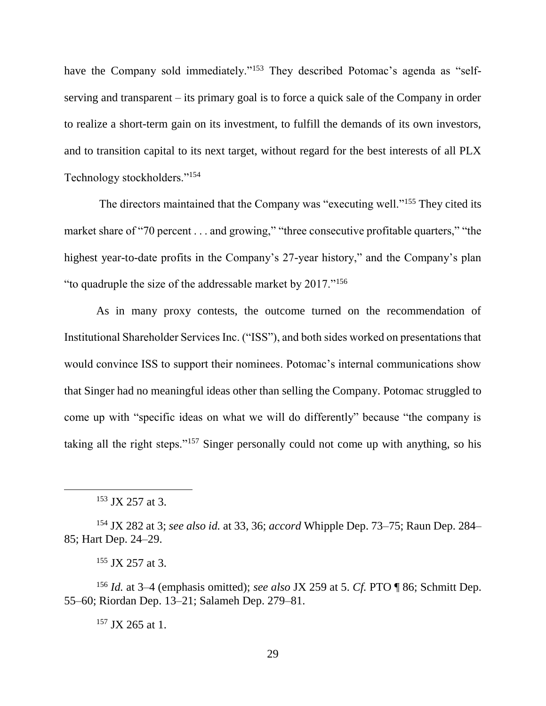have the Company sold immediately."<sup>153</sup> They described Potomac's agenda as "selfserving and transparent – its primary goal is to force a quick sale of the Company in order to realize a short-term gain on its investment, to fulfill the demands of its own investors, and to transition capital to its next target, without regard for the best interests of all PLX Technology stockholders."<sup>154</sup>

The directors maintained that the Company was "executing well."<sup>155</sup> They cited its market share of "70 percent . . . and growing," "three consecutive profitable quarters," "the highest year-to-date profits in the Company's 27-year history," and the Company's plan "to quadruple the size of the addressable market by 2017."<sup>156</sup>

As in many proxy contests, the outcome turned on the recommendation of Institutional Shareholder Services Inc. ("ISS"), and both sides worked on presentations that would convince ISS to support their nominees. Potomac's internal communications show that Singer had no meaningful ideas other than selling the Company. Potomac struggled to come up with "specific ideas on what we will do differently" because "the company is taking all the right steps."<sup>157</sup> Singer personally could not come up with anything, so his

 $\overline{a}$ 

 $157$  JX 265 at 1.

<sup>153</sup> JX 257 at 3.

<sup>154</sup> JX 282 at 3; *see also id.* at 33, 36; *accord* Whipple Dep. 73–75; Raun Dep. 284– 85; Hart Dep. 24–29.

 $155$  JX 257 at 3.

<sup>156</sup> *Id.* at 3–4 (emphasis omitted); *see also* JX 259 at 5. *Cf.* PTO ¶ 86; Schmitt Dep. 55–60; Riordan Dep. 13–21; Salameh Dep. 279–81.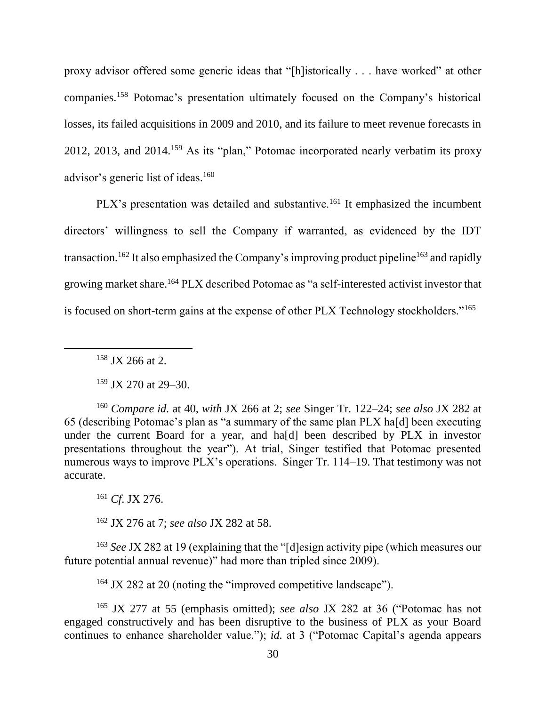proxy advisor offered some generic ideas that "[h]istorically . . . have worked" at other companies.<sup>158</sup> Potomac's presentation ultimately focused on the Company's historical losses, its failed acquisitions in 2009 and 2010, and its failure to meet revenue forecasts in 2012, 2013, and 2014.<sup>159</sup> As its "plan," Potomac incorporated nearly verbatim its proxy advisor's generic list of ideas.<sup>160</sup>

PLX's presentation was detailed and substantive.<sup>161</sup> It emphasized the incumbent directors' willingness to sell the Company if warranted, as evidenced by the IDT transaction.<sup>162</sup> It also emphasized the Company's improving product pipeline<sup>163</sup> and rapidly growing market share.<sup>164</sup> PLX described Potomac as "a self-interested activist investor that is focused on short-term gains at the expense of other PLX Technology stockholders."<sup>165</sup>

<sup>158</sup> JX 266 at 2.

 $\overline{a}$ 

<sup>159</sup> JX 270 at 29–30.

<sup>160</sup> *Compare id.* at 40, *with* JX 266 at 2; *see* Singer Tr. 122–24; *see also* JX 282 at 65 (describing Potomac's plan as "a summary of the same plan PLX ha[d] been executing under the current Board for a year, and ha[d] been described by PLX in investor presentations throughout the year"). At trial, Singer testified that Potomac presented numerous ways to improve PLX's operations. Singer Tr. 114–19. That testimony was not accurate.

<sup>161</sup> *Cf*. JX 276.

<sup>162</sup> JX 276 at 7; *see also* JX 282 at 58.

<sup>163</sup> *See* JX 282 at 19 (explaining that the "[d]esign activity pipe (which measures our future potential annual revenue)" had more than tripled since 2009).

<sup>164</sup> JX 282 at 20 (noting the "improved competitive landscape").

<sup>165</sup> JX 277 at 55 (emphasis omitted); *see also* JX 282 at 36 ("Potomac has not engaged constructively and has been disruptive to the business of PLX as your Board continues to enhance shareholder value."); *id.* at 3 ("Potomac Capital's agenda appears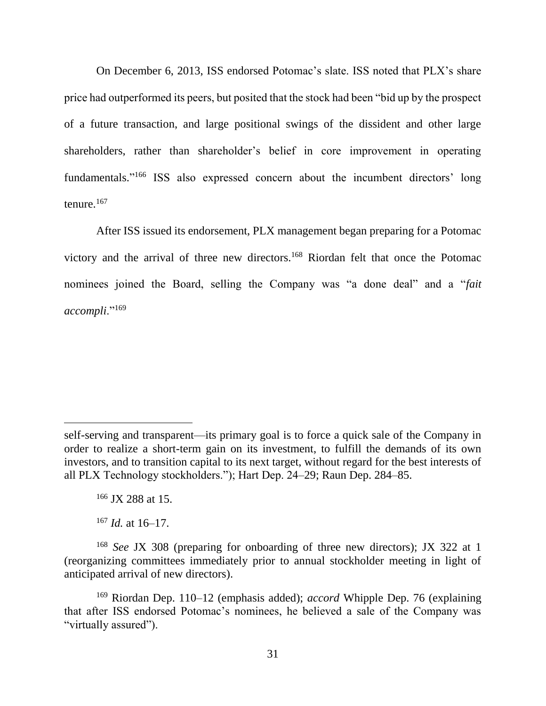On December 6, 2013, ISS endorsed Potomac's slate. ISS noted that PLX's share price had outperformed its peers, but posited that the stock had been "bid up by the prospect of a future transaction, and large positional swings of the dissident and other large shareholders, rather than shareholder's belief in core improvement in operating fundamentals." <sup>166</sup> ISS also expressed concern about the incumbent directors' long tenure.<sup>167</sup>

After ISS issued its endorsement, PLX management began preparing for a Potomac victory and the arrival of three new directors.<sup>168</sup> Riordan felt that once the Potomac nominees joined the Board, selling the Company was "a done deal" and a "*fait accompli*."<sup>169</sup>

 $167$  *Id.* at 16–17.

self-serving and transparent—its primary goal is to force a quick sale of the Company in order to realize a short-term gain on its investment, to fulfill the demands of its own investors, and to transition capital to its next target, without regard for the best interests of all PLX Technology stockholders."); Hart Dep. 24–29; Raun Dep. 284–85.

<sup>166</sup> JX 288 at 15.

<sup>168</sup> *See* JX 308 (preparing for onboarding of three new directors); JX 322 at 1 (reorganizing committees immediately prior to annual stockholder meeting in light of anticipated arrival of new directors).

<sup>169</sup> Riordan Dep. 110–12 (emphasis added); *accord* Whipple Dep. 76 (explaining that after ISS endorsed Potomac's nominees, he believed a sale of the Company was "virtually assured").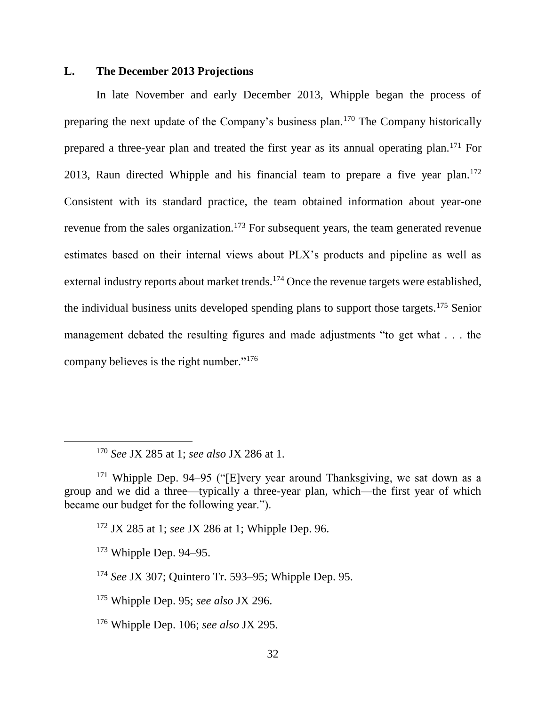### **L. The December 2013 Projections**

In late November and early December 2013, Whipple began the process of preparing the next update of the Company's business plan.<sup>170</sup> The Company historically prepared a three-year plan and treated the first year as its annual operating plan.<sup>171</sup> For 2013, Raun directed Whipple and his financial team to prepare a five year plan.<sup>172</sup> Consistent with its standard practice, the team obtained information about year-one revenue from the sales organization.<sup>173</sup> For subsequent years, the team generated revenue estimates based on their internal views about PLX's products and pipeline as well as external industry reports about market trends.<sup>174</sup> Once the revenue targets were established, the individual business units developed spending plans to support those targets.<sup>175</sup> Senior management debated the resulting figures and made adjustments "to get what . . . the company believes is the right number."<sup>176</sup>

 $\overline{a}$ 

<sup>170</sup> *See* JX 285 at 1; *see also* JX 286 at 1.

 $171$  Whipple Dep. 94–95 ("[E]very year around Thanksgiving, we sat down as a group and we did a three—typically a three-year plan, which—the first year of which became our budget for the following year.").

<sup>172</sup> JX 285 at 1; *see* JX 286 at 1; Whipple Dep. 96.

 $173$  Whipple Dep. 94–95.

<sup>174</sup> *See* JX 307; Quintero Tr. 593–95; Whipple Dep. 95.

<sup>175</sup> Whipple Dep. 95; *see also* JX 296.

<sup>176</sup> Whipple Dep. 106; *see also* JX 295.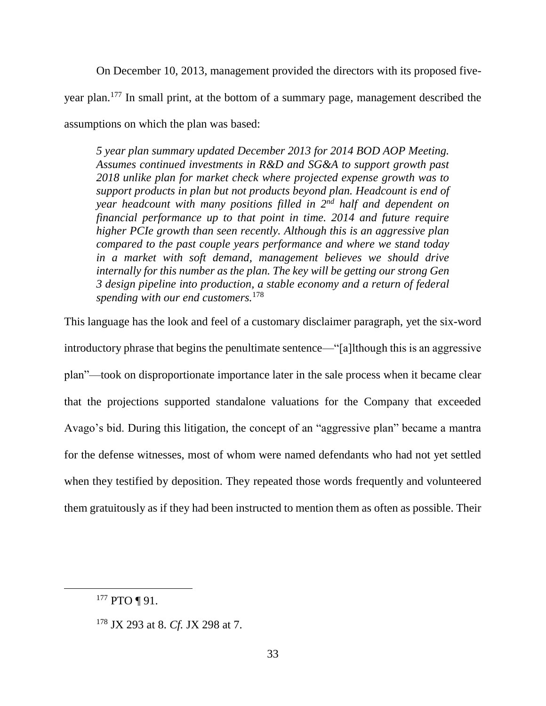On December 10, 2013, management provided the directors with its proposed fiveyear plan.<sup>177</sup> In small print, at the bottom of a summary page, management described the assumptions on which the plan was based:

*5 year plan summary updated December 2013 for 2014 BOD AOP Meeting. Assumes continued investments in R&D and SG&A to support growth past 2018 unlike plan for market check where projected expense growth was to support products in plan but not products beyond plan. Headcount is end of year headcount with many positions filled in 2nd half and dependent on financial performance up to that point in time. 2014 and future require higher PCIe growth than seen recently. Although this is an aggressive plan compared to the past couple years performance and where we stand today in a market with soft demand, management believes we should drive internally for this number as the plan. The key will be getting our strong Gen 3 design pipeline into production, a stable economy and a return of federal spending with our end customers.*<sup>178</sup>

This language has the look and feel of a customary disclaimer paragraph, yet the six-word introductory phrase that begins the penultimate sentence—"[a]lthough this is an aggressive plan"—took on disproportionate importance later in the sale process when it became clear that the projections supported standalone valuations for the Company that exceeded Avago's bid. During this litigation, the concept of an "aggressive plan" became a mantra for the defense witnesses, most of whom were named defendants who had not yet settled when they testified by deposition. They repeated those words frequently and volunteered them gratuitously as if they had been instructed to mention them as often as possible. Their

<sup>&</sup>lt;sup>177</sup> PTO ¶ 91.

<sup>178</sup> JX 293 at 8. *Cf.* JX 298 at 7.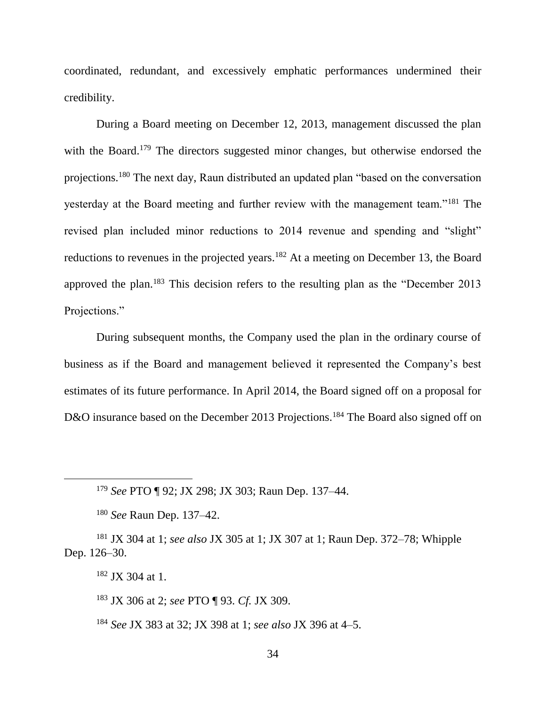coordinated, redundant, and excessively emphatic performances undermined their credibility.

During a Board meeting on December 12, 2013, management discussed the plan with the Board.<sup>179</sup> The directors suggested minor changes, but otherwise endorsed the projections.<sup>180</sup> The next day, Raun distributed an updated plan "based on the conversation yesterday at the Board meeting and further review with the management team."<sup>181</sup> The revised plan included minor reductions to 2014 revenue and spending and "slight" reductions to revenues in the projected years.<sup>182</sup> At a meeting on December 13, the Board approved the plan.<sup>183</sup> This decision refers to the resulting plan as the "December 2013 Projections."

During subsequent months, the Company used the plan in the ordinary course of business as if the Board and management believed it represented the Company's best estimates of its future performance. In April 2014, the Board signed off on a proposal for D&O insurance based on the December 2013 Projections.<sup>184</sup> The Board also signed off on

<sup>179</sup> *See* PTO ¶ 92; JX 298; JX 303; Raun Dep. 137–44.

<sup>180</sup> *See* Raun Dep. 137–42.

<sup>181</sup> JX 304 at 1; *see also* JX 305 at 1; JX 307 at 1; Raun Dep. 372–78; Whipple Dep. 126–30.

<sup>182</sup> JX 304 at 1.

 $\overline{a}$ 

<sup>183</sup> JX 306 at 2; *see* PTO ¶ 93. *Cf.* JX 309.

<sup>184</sup> *See* JX 383 at 32; JX 398 at 1; *see also* JX 396 at 4–5.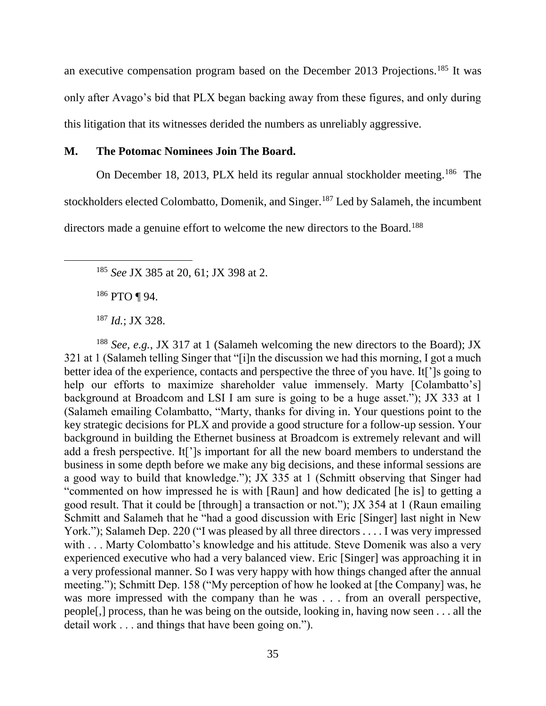an executive compensation program based on the December 2013 Projections.<sup>185</sup> It was only after Avago's bid that PLX began backing away from these figures, and only during this litigation that its witnesses derided the numbers as unreliably aggressive.

### **M. The Potomac Nominees Join The Board.**

On December 18, 2013, PLX held its regular annual stockholder meeting.<sup>186</sup> The stockholders elected Colombatto, Domenik, and Singer.<sup>187</sup> Led by Salameh, the incumbent

directors made a genuine effort to welcome the new directors to the Board.<sup>188</sup>

<sup>186</sup> PTO ¶ 94.

<sup>188</sup> *See, e.g.*, JX 317 at 1 (Salameh welcoming the new directors to the Board); JX 321 at 1 (Salameh telling Singer that "[i]n the discussion we had this morning, I got a much better idea of the experience, contacts and perspective the three of you have. It[']s going to help our efforts to maximize shareholder value immensely. Marty [Colambatto's] background at Broadcom and LSI I am sure is going to be a huge asset."); JX 333 at 1 (Salameh emailing Colambatto, "Marty, thanks for diving in. Your questions point to the key strategic decisions for PLX and provide a good structure for a follow-up session. Your background in building the Ethernet business at Broadcom is extremely relevant and will add a fresh perspective. It[']s important for all the new board members to understand the business in some depth before we make any big decisions, and these informal sessions are a good way to build that knowledge."); JX 335 at 1 (Schmitt observing that Singer had "commented on how impressed he is with [Raun] and how dedicated [he is] to getting a good result. That it could be [through] a transaction or not."); JX 354 at 1 (Raun emailing Schmitt and Salameh that he "had a good discussion with Eric [Singer] last night in New York."); Salameh Dep. 220 ("I was pleased by all three directors . . . . I was very impressed with . . . Marty Colombatto's knowledge and his attitude. Steve Domenik was also a very experienced executive who had a very balanced view. Eric [Singer] was approaching it in a very professional manner. So I was very happy with how things changed after the annual meeting."); Schmitt Dep. 158 ("My perception of how he looked at [the Company] was, he was more impressed with the company than he was . . . from an overall perspective, people[,] process, than he was being on the outside, looking in, having now seen . . . all the detail work . . . and things that have been going on.").

<sup>185</sup> *See* JX 385 at 20, 61; JX 398 at 2.

<sup>187</sup> *Id.*; JX 328.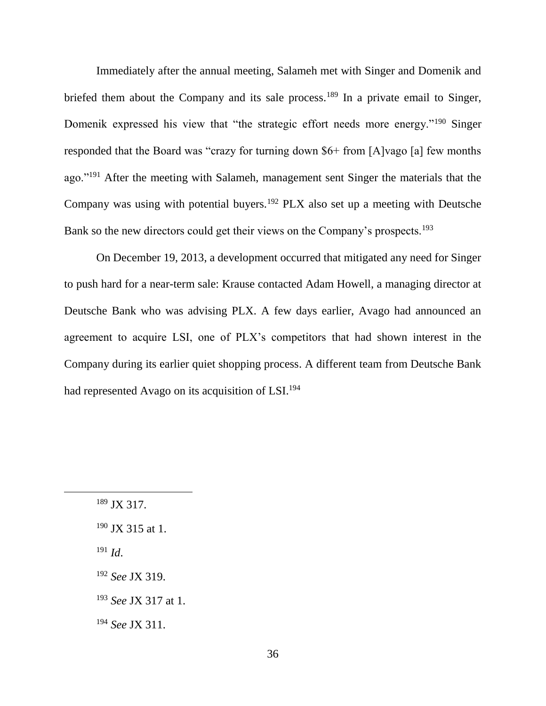Immediately after the annual meeting, Salameh met with Singer and Domenik and briefed them about the Company and its sale process.<sup>189</sup> In a private email to Singer, Domenik expressed his view that "the strategic effort needs more energy."<sup>190</sup> Singer responded that the Board was "crazy for turning down \$6+ from [A]vago [a] few months ago."<sup>191</sup> After the meeting with Salameh, management sent Singer the materials that the Company was using with potential buyers.<sup>192</sup> PLX also set up a meeting with Deutsche Bank so the new directors could get their views on the Company's prospects.<sup>193</sup>

On December 19, 2013, a development occurred that mitigated any need for Singer to push hard for a near-term sale: Krause contacted Adam Howell, a managing director at Deutsche Bank who was advising PLX. A few days earlier, Avago had announced an agreement to acquire LSI, one of PLX's competitors that had shown interest in the Company during its earlier quiet shopping process. A different team from Deutsche Bank had represented Avago on its acquisition of LSI.<sup>194</sup>

<sup>191</sup> *Id*.

<sup>189</sup> JX 317.

 $190$  JX 315 at 1.

<sup>192</sup> *See* JX 319.

<sup>193</sup> *See* JX 317 at 1.

<sup>194</sup> *See* JX 311.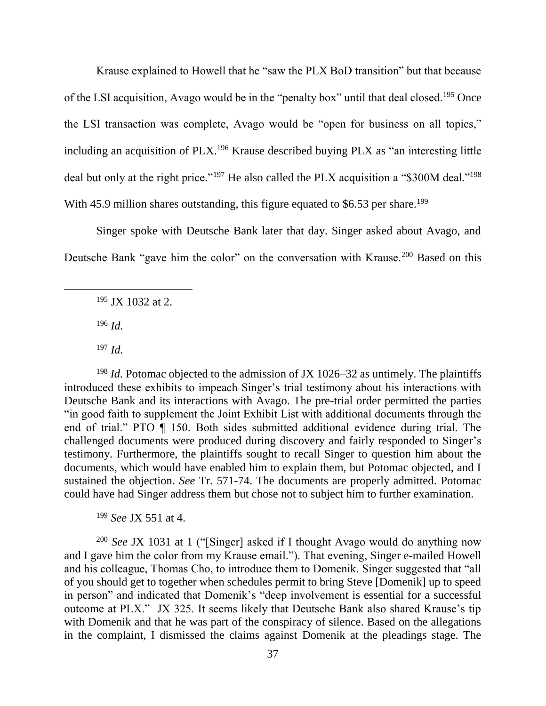Krause explained to Howell that he "saw the PLX BoD transition" but that because of the LSI acquisition, Avago would be in the "penalty box" until that deal closed.<sup>195</sup> Once the LSI transaction was complete, Avago would be "open for business on all topics," including an acquisition of PLX.<sup>196</sup> Krause described buying PLX as "an interesting little deal but only at the right price."<sup>197</sup> He also called the PLX acquisition a "\$300M deal."<sup>198</sup> With 45.9 million shares outstanding, this figure equated to  $$6.53$  per share.<sup>199</sup>

Singer spoke with Deutsche Bank later that day. Singer asked about Avago, and Deutsche Bank "gave him the color" on the conversation with Krause.<sup>200</sup> Based on this

 $195$  JX 1032 at 2.

<sup>196</sup> *Id.*

 $\overline{a}$ 

<sup>197</sup> *Id.*

<sup>198</sup> *Id.* Potomac objected to the admission of JX 1026–32 as untimely. The plaintiffs introduced these exhibits to impeach Singer's trial testimony about his interactions with Deutsche Bank and its interactions with Avago. The pre-trial order permitted the parties "in good faith to supplement the Joint Exhibit List with additional documents through the end of trial." PTO ¶ 150. Both sides submitted additional evidence during trial. The challenged documents were produced during discovery and fairly responded to Singer's testimony. Furthermore, the plaintiffs sought to recall Singer to question him about the documents, which would have enabled him to explain them, but Potomac objected, and I sustained the objection. *See* Tr. 571-74. The documents are properly admitted. Potomac could have had Singer address them but chose not to subject him to further examination.

<sup>199</sup> *See* JX 551 at 4.

<sup>200</sup> *See* JX 1031 at 1 ("[Singer] asked if I thought Avago would do anything now and I gave him the color from my Krause email."). That evening, Singer e-mailed Howell and his colleague, Thomas Cho, to introduce them to Domenik. Singer suggested that "all of you should get to together when schedules permit to bring Steve [Domenik] up to speed in person" and indicated that Domenik's "deep involvement is essential for a successful outcome at PLX." JX 325. It seems likely that Deutsche Bank also shared Krause's tip with Domenik and that he was part of the conspiracy of silence. Based on the allegations in the complaint, I dismissed the claims against Domenik at the pleadings stage. The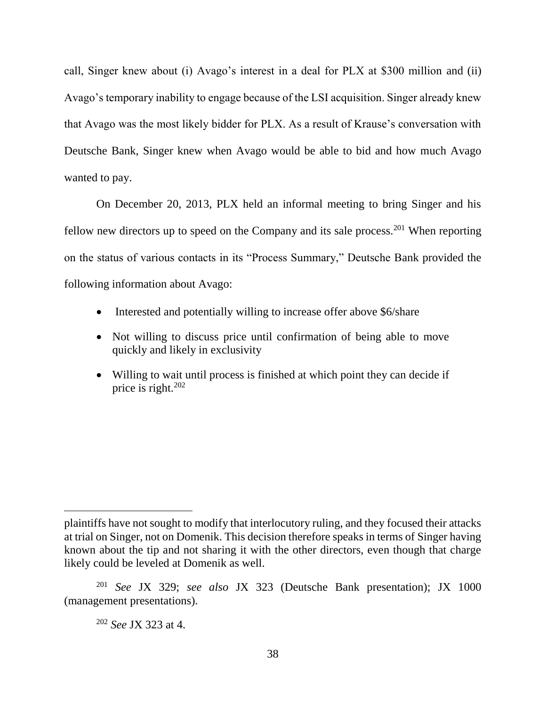call, Singer knew about (i) Avago's interest in a deal for PLX at \$300 million and (ii) Avago's temporary inability to engage because of the LSI acquisition. Singer already knew that Avago was the most likely bidder for PLX. As a result of Krause's conversation with Deutsche Bank, Singer knew when Avago would be able to bid and how much Avago wanted to pay.

On December 20, 2013, PLX held an informal meeting to bring Singer and his fellow new directors up to speed on the Company and its sale process.<sup>201</sup> When reporting on the status of various contacts in its "Process Summary," Deutsche Bank provided the following information about Avago:

- Interested and potentially willing to increase offer above \$6/share
- Not willing to discuss price until confirmation of being able to move quickly and likely in exclusivity
- Willing to wait until process is finished at which point they can decide if price is right.<sup>202</sup>

plaintiffs have not sought to modify that interlocutory ruling, and they focused their attacks at trial on Singer, not on Domenik. This decision therefore speaks in terms of Singer having known about the tip and not sharing it with the other directors, even though that charge likely could be leveled at Domenik as well.

<sup>201</sup> *See* JX 329; *see also* JX 323 (Deutsche Bank presentation); JX 1000 (management presentations).

<sup>202</sup> *See* JX 323 at 4.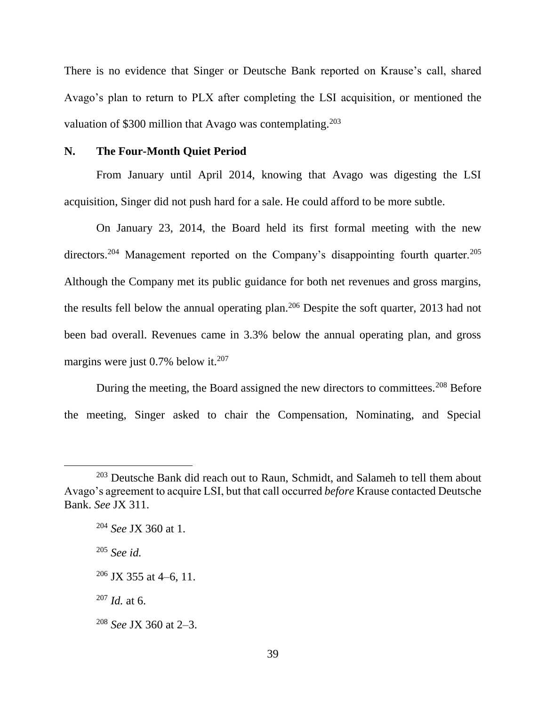There is no evidence that Singer or Deutsche Bank reported on Krause's call, shared Avago's plan to return to PLX after completing the LSI acquisition, or mentioned the valuation of \$300 million that Avago was contemplating.<sup>203</sup>

#### **N. The Four-Month Quiet Period**

From January until April 2014, knowing that Avago was digesting the LSI acquisition, Singer did not push hard for a sale. He could afford to be more subtle.

On January 23, 2014, the Board held its first formal meeting with the new directors.<sup>204</sup> Management reported on the Company's disappointing fourth quarter.<sup>205</sup> Although the Company met its public guidance for both net revenues and gross margins, the results fell below the annual operating plan.<sup>206</sup> Despite the soft quarter, 2013 had not been bad overall. Revenues came in 3.3% below the annual operating plan, and gross margins were just  $0.7\%$  below it.<sup>207</sup>

During the meeting, the Board assigned the new directors to committees.<sup>208</sup> Before the meeting, Singer asked to chair the Compensation, Nominating, and Special

<sup>205</sup> *See id.*

 $\overline{a}$ 

 $207$  *Id.* at 6.

<sup>&</sup>lt;sup>203</sup> Deutsche Bank did reach out to Raun, Schmidt, and Salameh to tell them about Avago's agreement to acquire LSI, but that call occurred *before* Krause contacted Deutsche Bank. *See* JX 311.

<sup>204</sup> *See* JX 360 at 1.

 $206$  JX 355 at 4–6, 11.

<sup>208</sup> *See* JX 360 at 2–3.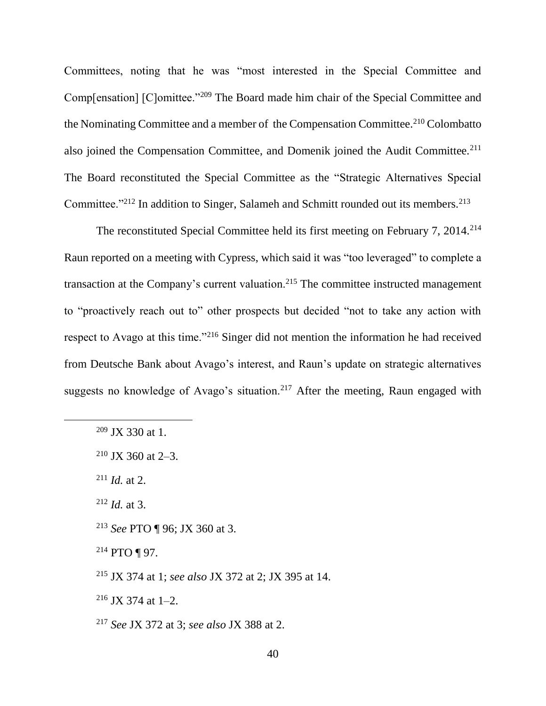Committees, noting that he was "most interested in the Special Committee and Comp[ensation] [C]omittee."<sup>209</sup> The Board made him chair of the Special Committee and the Nominating Committee and a member of the Compensation Committee.<sup>210</sup> Colombatto also joined the Compensation Committee, and Domenik joined the Audit Committee.<sup>211</sup> The Board reconstituted the Special Committee as the "Strategic Alternatives Special Committee."<sup>212</sup> In addition to Singer, Salameh and Schmitt rounded out its members.<sup>213</sup>

The reconstituted Special Committee held its first meeting on February 7, 2014.<sup>214</sup> Raun reported on a meeting with Cypress, which said it was "too leveraged" to complete a transaction at the Company's current valuation.<sup>215</sup> The committee instructed management to "proactively reach out to" other prospects but decided "not to take any action with respect to Avago at this time."<sup>216</sup> Singer did not mention the information he had received from Deutsche Bank about Avago's interest, and Raun's update on strategic alternatives suggests no knowledge of Avago's situation.<sup>217</sup> After the meeting, Raun engaged with

 $\overline{a}$ 

<sup>212</sup> *Id.* at 3.

- <sup>213</sup> *See* PTO ¶ 96; JX 360 at 3.
- $214$  PTO ¶ 97.
- <sup>215</sup> JX 374 at 1; *see also* JX 372 at 2; JX 395 at 14.

 $216$  JX 374 at 1–2.

<sup>209</sup> JX 330 at 1.

 $210$  JX 360 at 2–3.

 $^{211}$  *Id.* at 2.

<sup>217</sup> *See* JX 372 at 3; *see also* JX 388 at 2.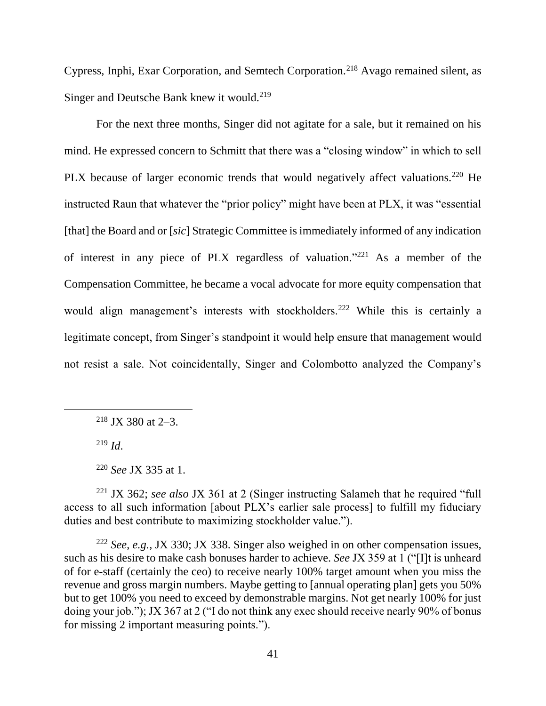Cypress, Inphi, Exar Corporation, and Semtech Corporation.<sup>218</sup> Avago remained silent, as Singer and Deutsche Bank knew it would.<sup>219</sup>

For the next three months, Singer did not agitate for a sale, but it remained on his mind. He expressed concern to Schmitt that there was a "closing window" in which to sell PLX because of larger economic trends that would negatively affect valuations.<sup>220</sup> He instructed Raun that whatever the "prior policy" might have been at PLX, it was "essential [that] the Board and or [*sic*] Strategic Committee is immediately informed of any indication of interest in any piece of PLX regardless of valuation."<sup>221</sup> As a member of the Compensation Committee, he became a vocal advocate for more equity compensation that would align management's interests with stockholders.<sup>222</sup> While this is certainly a legitimate concept, from Singer's standpoint it would help ensure that management would not resist a sale. Not coincidentally, Singer and Colombotto analyzed the Company's

<sup>&</sup>lt;sup>218</sup> JX 380 at 2–3.

<sup>219</sup> *Id*.

<sup>220</sup> *See* JX 335 at 1.

<sup>221</sup> JX 362; *see also* JX 361 at 2 (Singer instructing Salameh that he required "full access to all such information [about PLX's earlier sale process] to fulfill my fiduciary duties and best contribute to maximizing stockholder value.").

<sup>222</sup> *See*, *e.g.*, JX 330; JX 338. Singer also weighed in on other compensation issues, such as his desire to make cash bonuses harder to achieve. *See* JX 359 at 1 ("[I]t is unheard of for e-staff (certainly the ceo) to receive nearly 100% target amount when you miss the revenue and gross margin numbers. Maybe getting to [annual operating plan] gets you 50% but to get 100% you need to exceed by demonstrable margins. Not get nearly 100% for just doing your job."); JX 367 at 2 ("I do not think any exec should receive nearly 90% of bonus for missing 2 important measuring points.").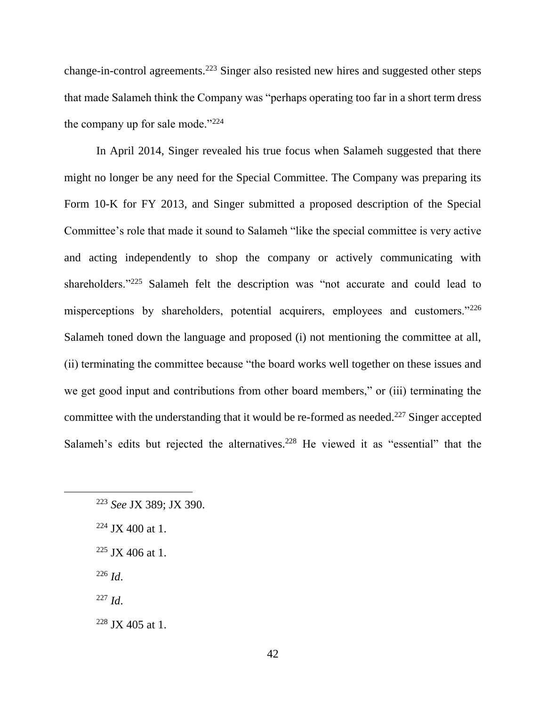change-in-control agreements.<sup>223</sup> Singer also resisted new hires and suggested other steps that made Salameh think the Company was "perhaps operating too far in a short term dress the company up for sale mode."<sup>224</sup>

In April 2014, Singer revealed his true focus when Salameh suggested that there might no longer be any need for the Special Committee. The Company was preparing its Form 10-K for FY 2013, and Singer submitted a proposed description of the Special Committee's role that made it sound to Salameh "like the special committee is very active and acting independently to shop the company or actively communicating with shareholders."<sup>225</sup> Salameh felt the description was "not accurate and could lead to misperceptions by shareholders, potential acquirers, employees and customers."<sup>226</sup> Salameh toned down the language and proposed (i) not mentioning the committee at all, (ii) terminating the committee because "the board works well together on these issues and we get good input and contributions from other board members," or (iii) terminating the committee with the understanding that it would be re-formed as needed.<sup>227</sup> Singer accepted Salameh's edits but rejected the alternatives.<sup>228</sup> He viewed it as "essential" that the

- $224$  JX 400 at 1.
- $225$  JX 406 at 1.
- <sup>226</sup> *Id*.

- <sup>227</sup> *Id*.
- $228$  JX 405 at 1.

<sup>223</sup> *See* JX 389; JX 390.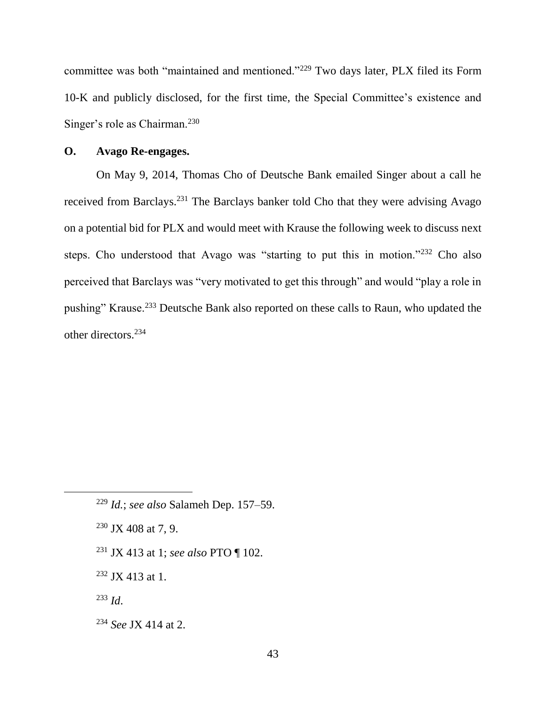committee was both "maintained and mentioned."<sup>229</sup> Two days later, PLX filed its Form 10-K and publicly disclosed, for the first time, the Special Committee's existence and Singer's role as Chairman.<sup>230</sup>

# **O. Avago Re-engages.**

On May 9, 2014, Thomas Cho of Deutsche Bank emailed Singer about a call he received from Barclays.<sup>231</sup> The Barclays banker told Cho that they were advising Avago on a potential bid for PLX and would meet with Krause the following week to discuss next steps. Cho understood that Avago was "starting to put this in motion."<sup>232</sup> Cho also perceived that Barclays was "very motivated to get this through" and would "play a role in pushing" Krause.<sup>233</sup> Deutsche Bank also reported on these calls to Raun, who updated the other directors.<sup>234</sup>

- $230$  JX 408 at 7, 9.
- <sup>231</sup> JX 413 at 1; *see also* PTO ¶ 102.
- $232$  JX 413 at 1.
- <sup>233</sup> *Id*.

 $\overline{a}$ 

<sup>234</sup> *See* JX 414 at 2.

<sup>229</sup> *Id.*; *see also* Salameh Dep. 157–59.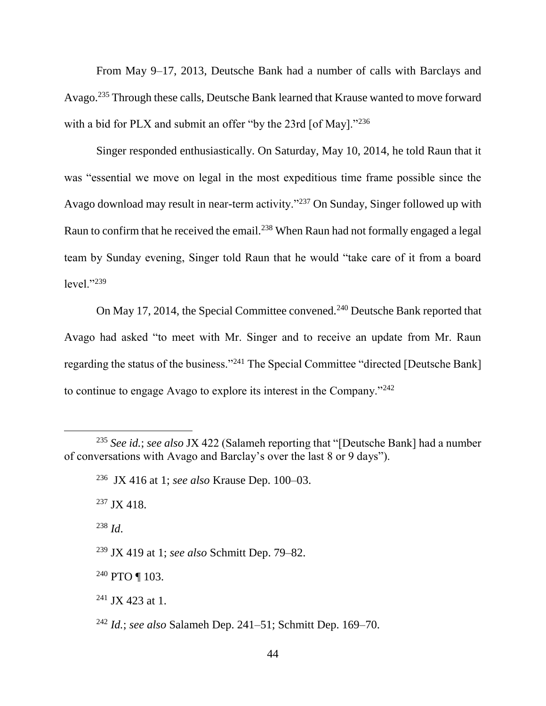From May 9–17, 2013, Deutsche Bank had a number of calls with Barclays and Avago.<sup>235</sup> Through these calls, Deutsche Bank learned that Krause wanted to move forward with a bid for PLX and submit an offer "by the 23rd [of May]."<sup>236</sup>

Singer responded enthusiastically. On Saturday, May 10, 2014, he told Raun that it was "essential we move on legal in the most expeditious time frame possible since the Avago download may result in near-term activity."<sup>237</sup> On Sunday, Singer followed up with Raun to confirm that he received the email.<sup>238</sup> When Raun had not formally engaged a legal team by Sunday evening, Singer told Raun that he would "take care of it from a board level."<sup>239</sup>

On May 17, 2014, the Special Committee convened.<sup>240</sup> Deutsche Bank reported that Avago had asked "to meet with Mr. Singer and to receive an update from Mr. Raun regarding the status of the business."<sup>241</sup> The Special Committee "directed [Deutsche Bank] to continue to engage Avago to explore its interest in the Company."<sup>242</sup>

 $237$  JX 418.

<sup>238</sup> *Id*.

 $\overline{a}$ 

<sup>239</sup> JX 419 at 1; *see also* Schmitt Dep. 79–82.

<sup>240</sup> PTO ¶ 103.

<sup>241</sup> JX 423 at 1.

<sup>235</sup> *See id.*; *see also* JX 422 (Salameh reporting that "[Deutsche Bank] had a number of conversations with Avago and Barclay's over the last 8 or 9 days").

<sup>236</sup> JX 416 at 1; *see also* Krause Dep. 100–03.

<sup>242</sup> *Id.*; *see also* Salameh Dep. 241–51; Schmitt Dep. 169–70.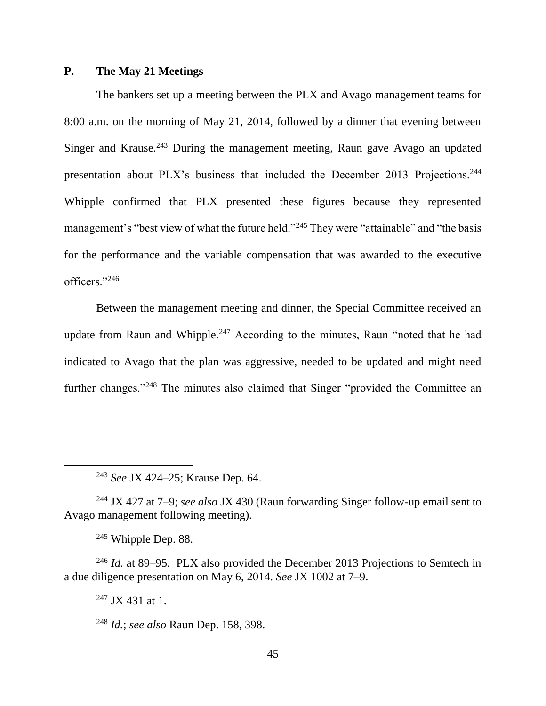# **P. The May 21 Meetings**

The bankers set up a meeting between the PLX and Avago management teams for 8:00 a.m. on the morning of May 21, 2014, followed by a dinner that evening between Singer and Krause.<sup>243</sup> During the management meeting, Raun gave Avago an updated presentation about PLX's business that included the December 2013 Projections.<sup>244</sup> Whipple confirmed that PLX presented these figures because they represented management's "best view of what the future held."<sup>245</sup> They were "attainable" and "the basis for the performance and the variable compensation that was awarded to the executive officers."<sup>246</sup>

Between the management meeting and dinner, the Special Committee received an update from Raun and Whipple.<sup>247</sup> According to the minutes, Raun "noted that he had indicated to Avago that the plan was aggressive, needed to be updated and might need further changes."<sup>248</sup> The minutes also claimed that Singer "provided the Committee an

<sup>244</sup> JX 427 at 7–9; *see also* JX 430 (Raun forwarding Singer follow-up email sent to Avago management following meeting).

 $245$  Whipple Dep. 88.

 $\overline{a}$ 

<sup>246</sup> *Id.* at 89–95. PLX also provided the December 2013 Projections to Semtech in a due diligence presentation on May 6, 2014. *See* JX 1002 at 7–9.

 $247$  JX 431 at 1.

<sup>248</sup> *Id.*; *see also* Raun Dep. 158, 398.

<sup>243</sup> *See* JX 424–25; Krause Dep. 64.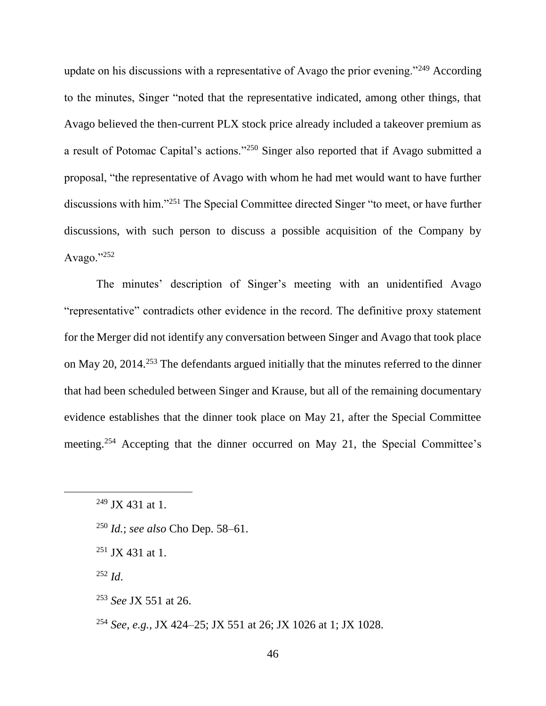update on his discussions with a representative of Avago the prior evening."<sup>249</sup> According to the minutes, Singer "noted that the representative indicated, among other things, that Avago believed the then-current PLX stock price already included a takeover premium as a result of Potomac Capital's actions."<sup>250</sup> Singer also reported that if Avago submitted a proposal, "the representative of Avago with whom he had met would want to have further discussions with him."<sup>251</sup> The Special Committee directed Singer "to meet, or have further discussions, with such person to discuss a possible acquisition of the Company by Avago."<sup>252</sup>

The minutes' description of Singer's meeting with an unidentified Avago "representative" contradicts other evidence in the record. The definitive proxy statement for the Merger did not identify any conversation between Singer and Avago that took place on May 20, 2014.<sup>253</sup> The defendants argued initially that the minutes referred to the dinner that had been scheduled between Singer and Krause, but all of the remaining documentary evidence establishes that the dinner took place on May 21, after the Special Committee meeting.<sup>254</sup> Accepting that the dinner occurred on May 21, the Special Committee's

 $252$  *Id*.

 $249$  JX 431 at 1.

<sup>250</sup> *Id.*; *see also* Cho Dep. 58–61.

 $251$  JX 431 at 1.

<sup>253</sup> *See* JX 551 at 26.

<sup>254</sup> *See, e.g.*, JX 424–25; JX 551 at 26; JX 1026 at 1; JX 1028.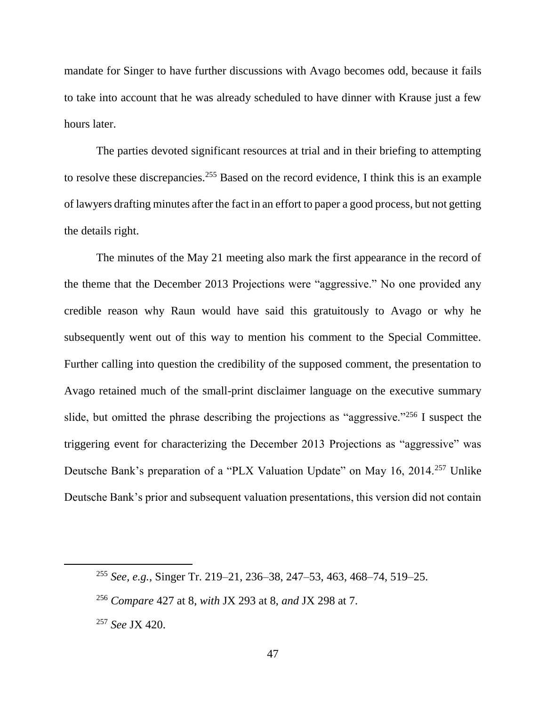mandate for Singer to have further discussions with Avago becomes odd, because it fails to take into account that he was already scheduled to have dinner with Krause just a few hours later.

The parties devoted significant resources at trial and in their briefing to attempting to resolve these discrepancies.<sup>255</sup> Based on the record evidence, I think this is an example of lawyers drafting minutes after the fact in an effort to paper a good process, but not getting the details right.

The minutes of the May 21 meeting also mark the first appearance in the record of the theme that the December 2013 Projections were "aggressive." No one provided any credible reason why Raun would have said this gratuitously to Avago or why he subsequently went out of this way to mention his comment to the Special Committee. Further calling into question the credibility of the supposed comment, the presentation to Avago retained much of the small-print disclaimer language on the executive summary slide, but omitted the phrase describing the projections as "aggressive."<sup>256</sup> I suspect the triggering event for characterizing the December 2013 Projections as "aggressive" was Deutsche Bank's preparation of a "PLX Valuation Update" on May 16, 2014.<sup>257</sup> Unlike Deutsche Bank's prior and subsequent valuation presentations, this version did not contain

<sup>255</sup> *See, e.g.*, Singer Tr. 219–21, 236–38, 247–53, 463, 468–74, 519–25.

<sup>256</sup> *Compare* 427 at 8, *with* JX 293 at 8, *and* JX 298 at 7.

<sup>257</sup> *See* JX 420.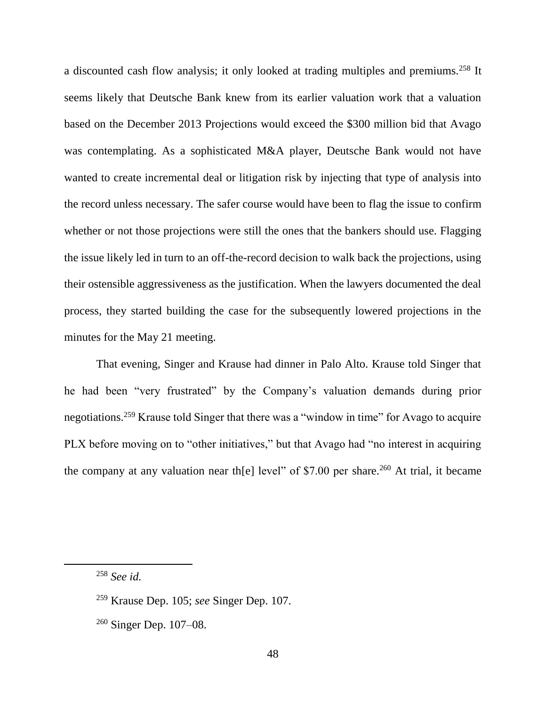a discounted cash flow analysis; it only looked at trading multiples and premiums.<sup>258</sup> It seems likely that Deutsche Bank knew from its earlier valuation work that a valuation based on the December 2013 Projections would exceed the \$300 million bid that Avago was contemplating. As a sophisticated M&A player, Deutsche Bank would not have wanted to create incremental deal or litigation risk by injecting that type of analysis into the record unless necessary. The safer course would have been to flag the issue to confirm whether or not those projections were still the ones that the bankers should use. Flagging the issue likely led in turn to an off-the-record decision to walk back the projections, using their ostensible aggressiveness as the justification. When the lawyers documented the deal process, they started building the case for the subsequently lowered projections in the minutes for the May 21 meeting.

That evening, Singer and Krause had dinner in Palo Alto. Krause told Singer that he had been "very frustrated" by the Company's valuation demands during prior negotiations.<sup>259</sup> Krause told Singer that there was a "window in time" for Avago to acquire PLX before moving on to "other initiatives," but that Avago had "no interest in acquiring the company at any valuation near the level" of \$7.00 per share.<sup>260</sup> At trial, it became

<sup>258</sup> *See id.*

<sup>259</sup> Krause Dep. 105; *see* Singer Dep. 107.

<sup>260</sup> Singer Dep. 107–08.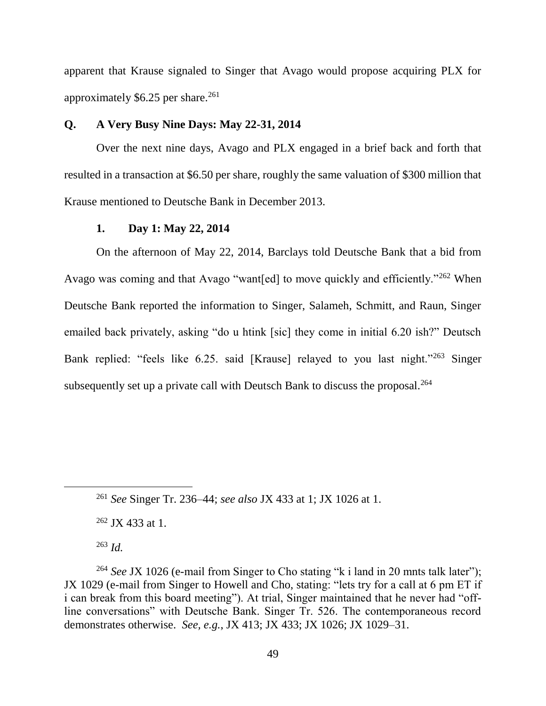apparent that Krause signaled to Singer that Avago would propose acquiring PLX for approximately  $$6.25$  per share.<sup>261</sup>

# **Q. A Very Busy Nine Days: May 22-31, 2014**

Over the next nine days, Avago and PLX engaged in a brief back and forth that resulted in a transaction at \$6.50 per share, roughly the same valuation of \$300 million that Krause mentioned to Deutsche Bank in December 2013.

#### **1. Day 1: May 22, 2014**

On the afternoon of May 22, 2014, Barclays told Deutsche Bank that a bid from Avago was coming and that Avago "want[ed] to move quickly and efficiently."<sup>262</sup> When Deutsche Bank reported the information to Singer, Salameh, Schmitt, and Raun, Singer emailed back privately, asking "do u htink [sic] they come in initial 6.20 ish?" Deutsch Bank replied: "feels like 6.25. said [Krause] relayed to you last night."<sup>263</sup> Singer subsequently set up a private call with Deutsch Bank to discuss the proposal.<sup>264</sup>

<sup>262</sup> JX 433 at 1.

<sup>263</sup> *Id.*

<sup>261</sup> *See* Singer Tr. 236–44; *see also* JX 433 at 1; JX 1026 at 1.

<sup>&</sup>lt;sup>264</sup> *See* JX 1026 (e-mail from Singer to Cho stating "k i land in 20 mnts talk later"); JX 1029 (e-mail from Singer to Howell and Cho, stating: "lets try for a call at 6 pm ET if i can break from this board meeting"). At trial, Singer maintained that he never had "offline conversations" with Deutsche Bank. Singer Tr. 526. The contemporaneous record demonstrates otherwise. *See, e.g.*, JX 413; JX 433; JX 1026; JX 1029–31.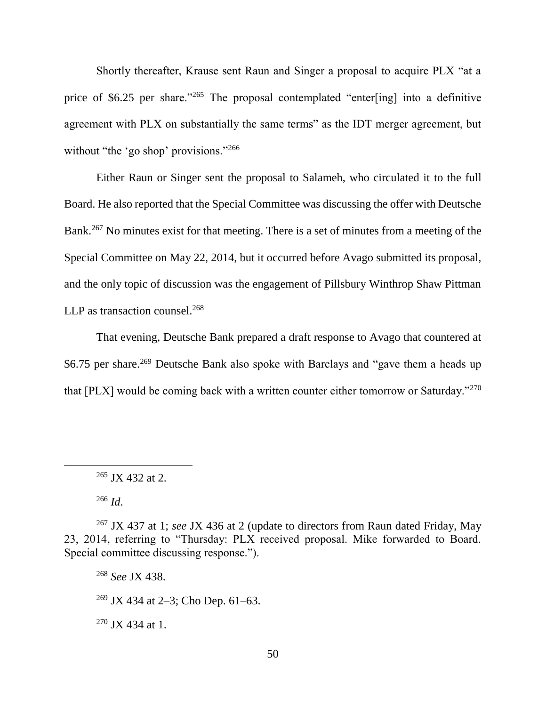Shortly thereafter, Krause sent Raun and Singer a proposal to acquire PLX "at a price of \$6.25 per share."<sup>265</sup> The proposal contemplated "enter[ing] into a definitive agreement with PLX on substantially the same terms" as the IDT merger agreement, but without "the 'go shop' provisions."<sup>266</sup>

Either Raun or Singer sent the proposal to Salameh, who circulated it to the full Board. He also reported that the Special Committee was discussing the offer with Deutsche Bank.<sup>267</sup> No minutes exist for that meeting. There is a set of minutes from a meeting of the Special Committee on May 22, 2014, but it occurred before Avago submitted its proposal, and the only topic of discussion was the engagement of Pillsbury Winthrop Shaw Pittman LLP as transaction counsel.<sup>268</sup>

That evening, Deutsche Bank prepared a draft response to Avago that countered at \$6.75 per share.<sup>269</sup> Deutsche Bank also spoke with Barclays and "gave them a heads up that [PLX] would be coming back with a written counter either tomorrow or Saturday."<sup>270</sup>

<sup>266</sup> *Id*.

 $\overline{a}$ 

<sup>268</sup> *See* JX 438. <sup>269</sup> JX 434 at 2–3; Cho Dep. 61–63. <sup>270</sup> JX 434 at 1.

 $265$  JX 432 at 2.

<sup>267</sup> JX 437 at 1; *see* JX 436 at 2 (update to directors from Raun dated Friday, May 23, 2014, referring to "Thursday: PLX received proposal. Mike forwarded to Board. Special committee discussing response.").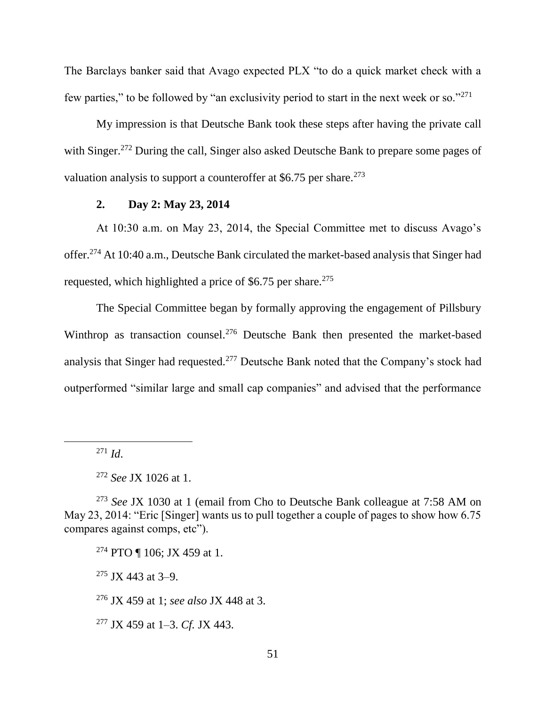The Barclays banker said that Avago expected PLX "to do a quick market check with a few parties," to be followed by "an exclusivity period to start in the next week or so."<sup>271</sup>

My impression is that Deutsche Bank took these steps after having the private call with Singer.<sup>272</sup> During the call, Singer also asked Deutsche Bank to prepare some pages of valuation analysis to support a counteroffer at  $$6.75$  per share.<sup>273</sup>

# **2. Day 2: May 23, 2014**

At 10:30 a.m. on May 23, 2014, the Special Committee met to discuss Avago's offer.<sup>274</sup> At 10:40 a.m., Deutsche Bank circulated the market-based analysis that Singer had requested, which highlighted a price of  $$6.75$  per share.<sup>275</sup>

The Special Committee began by formally approving the engagement of Pillsbury Winthrop as transaction counsel.<sup>276</sup> Deutsche Bank then presented the market-based analysis that Singer had requested.<sup>277</sup> Deutsche Bank noted that the Company's stock had outperformed "similar large and small cap companies" and advised that the performance

<sup>271</sup> *Id*.

 $\overline{a}$ 

 $275$  JX 443 at 3-9.

<sup>276</sup> JX 459 at 1; *see also* JX 448 at 3.

<sup>277</sup> JX 459 at 1–3. *Cf.* JX 443.

<sup>272</sup> *See* JX 1026 at 1.

<sup>273</sup> *See* JX 1030 at 1 (email from Cho to Deutsche Bank colleague at 7:58 AM on May 23, 2014: "Eric [Singer] wants us to pull together a couple of pages to show how 6.75 compares against comps, etc").

<sup>274</sup> PTO ¶ 106; JX 459 at 1.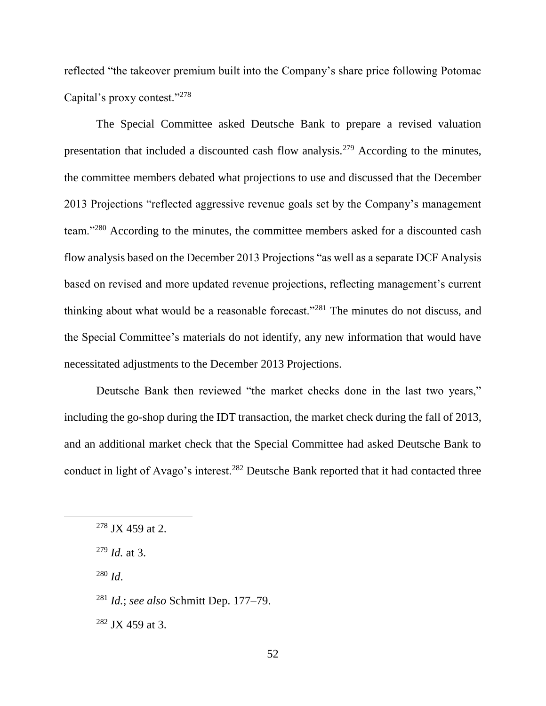reflected "the takeover premium built into the Company's share price following Potomac Capital's proxy contest."<sup>278</sup>

The Special Committee asked Deutsche Bank to prepare a revised valuation presentation that included a discounted cash flow analysis.<sup>279</sup> According to the minutes, the committee members debated what projections to use and discussed that the December 2013 Projections "reflected aggressive revenue goals set by the Company's management team."<sup>280</sup> According to the minutes, the committee members asked for a discounted cash flow analysis based on the December 2013 Projections "as well as a separate DCF Analysis based on revised and more updated revenue projections, reflecting management's current thinking about what would be a reasonable forecast."<sup>281</sup> The minutes do not discuss, and the Special Committee's materials do not identify, any new information that would have necessitated adjustments to the December 2013 Projections.

Deutsche Bank then reviewed "the market checks done in the last two years," including the go-shop during the IDT transaction, the market check during the fall of 2013, and an additional market check that the Special Committee had asked Deutsche Bank to conduct in light of Avago's interest.<sup>282</sup> Deutsche Bank reported that it had contacted three

<sup>280</sup> *Id*.

 $278$  JX 459 at 2.

<sup>279</sup> *Id.* at 3.

<sup>281</sup> *Id.*; *see also* Schmitt Dep. 177–79.

 $282$  JX 459 at 3.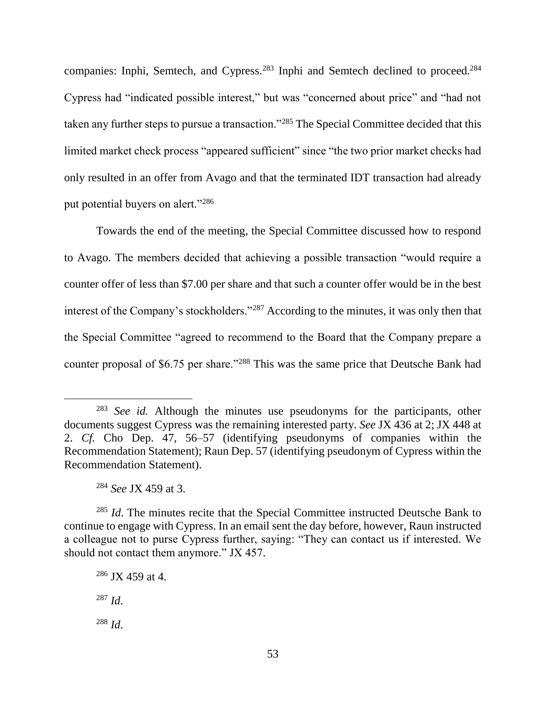companies: Inphi, Semtech, and Cypress.<sup>283</sup> Inphi and Semtech declined to proceed.<sup>284</sup> Cypress had "indicated possible interest," but was "concerned about price" and "had not taken any further steps to pursue a transaction."<sup>285</sup> The Special Committee decided that this limited market check process "appeared sufficient" since "the two prior market checks had only resulted in an offer from Avago and that the terminated IDT transaction had already put potential buyers on alert."<sup>286</sup>

Towards the end of the meeting, the Special Committee discussed how to respond to Avago. The members decided that achieving a possible transaction "would require a counter offer of less than \$7.00 per share and that such a counter offer would be in the best interest of the Company's stockholders."<sup>287</sup> According to the minutes, it was only then that the Special Committee "agreed to recommend to the Board that the Company prepare a counter proposal of \$6.75 per share."<sup>288</sup> This was the same price that Deutsche Bank had

<sup>283</sup> *See id.* Although the minutes use pseudonyms for the participants, other documents suggest Cypress was the remaining interested party. *See* JX 436 at 2; JX 448 at 2. *Cf.* Cho Dep. 47, 56–57 (identifying pseudonyms of companies within the Recommendation Statement); Raun Dep. 57 (identifying pseudonym of Cypress within the Recommendation Statement).

<sup>284</sup> *See* JX 459 at 3.

<sup>285</sup> *Id*. The minutes recite that the Special Committee instructed Deutsche Bank to continue to engage with Cypress. In an email sent the day before, however, Raun instructed a colleague not to purse Cypress further, saying: "They can contact us if interested. We should not contact them anymore." JX 457.

<sup>286</sup> JX 459 at 4. <sup>287</sup> *Id*.

<sup>288</sup> *Id*.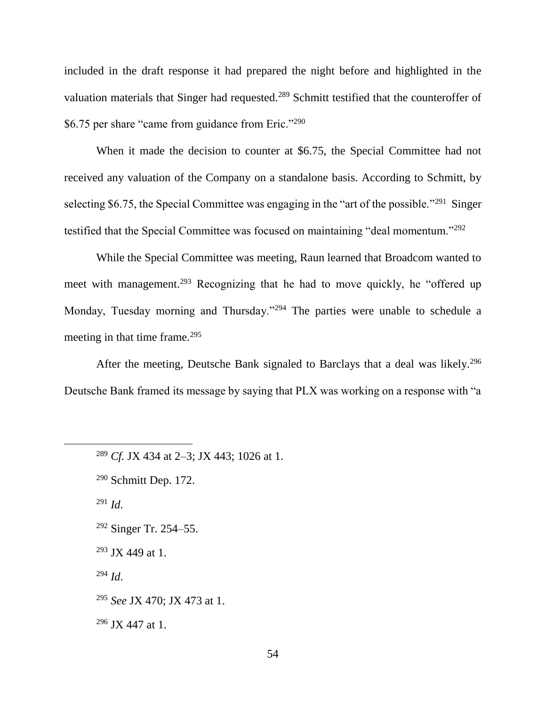included in the draft response it had prepared the night before and highlighted in the valuation materials that Singer had requested.<sup>289</sup> Schmitt testified that the counteroffer of \$6.75 per share "came from guidance from Eric."<sup>290</sup>

When it made the decision to counter at \$6.75, the Special Committee had not received any valuation of the Company on a standalone basis. According to Schmitt, by selecting \$6.75, the Special Committee was engaging in the "art of the possible."<sup>291</sup> Singer testified that the Special Committee was focused on maintaining "deal momentum."<sup>292</sup>

While the Special Committee was meeting, Raun learned that Broadcom wanted to meet with management.<sup>293</sup> Recognizing that he had to move quickly, he "offered up Monday, Tuesday morning and Thursday."<sup>294</sup> The parties were unable to schedule a meeting in that time frame.<sup>295</sup>

After the meeting, Deutsche Bank signaled to Barclays that a deal was likely.<sup>296</sup> Deutsche Bank framed its message by saying that PLX was working on a response with "a

<sup>291</sup> *Id*.

 $\overline{a}$ 

 $292$  Singer Tr. 254–55.

 $293$  JX 449 at 1.

<sup>294</sup> *Id*.

<sup>295</sup> *See* JX 470; JX 473 at 1.

 $296$  JX 447 at 1.

<sup>289</sup> *Cf.* JX 434 at 2–3; JX 443; 1026 at 1.

<sup>290</sup> Schmitt Dep. 172.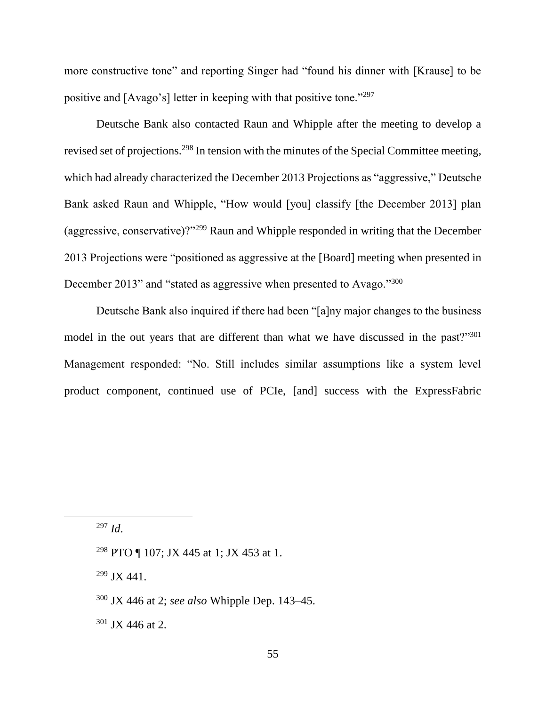more constructive tone" and reporting Singer had "found his dinner with [Krause] to be positive and [Avago's] letter in keeping with that positive tone."<sup>297</sup>

Deutsche Bank also contacted Raun and Whipple after the meeting to develop a revised set of projections.<sup>298</sup> In tension with the minutes of the Special Committee meeting, which had already characterized the December 2013 Projections as "aggressive," Deutsche Bank asked Raun and Whipple, "How would [you] classify [the December 2013] plan (aggressive, conservative)?"<sup>299</sup> Raun and Whipple responded in writing that the December 2013 Projections were "positioned as aggressive at the [Board] meeting when presented in December 2013" and "stated as aggressive when presented to Avago."<sup>300</sup>

Deutsche Bank also inquired if there had been "[a]ny major changes to the business model in the out years that are different than what we have discussed in the past?"<sup>301</sup> Management responded: "No. Still includes similar assumptions like a system level product component, continued use of PCIe, [and] success with the ExpressFabric

<sup>297</sup> *Id*.

<sup>298</sup> PTO ¶ 107; JX 445 at 1; JX 453 at 1.

 $299$  JX 441.

 $301$  JX 446 at 2.

<sup>300</sup> JX 446 at 2; *see also* Whipple Dep. 143–45.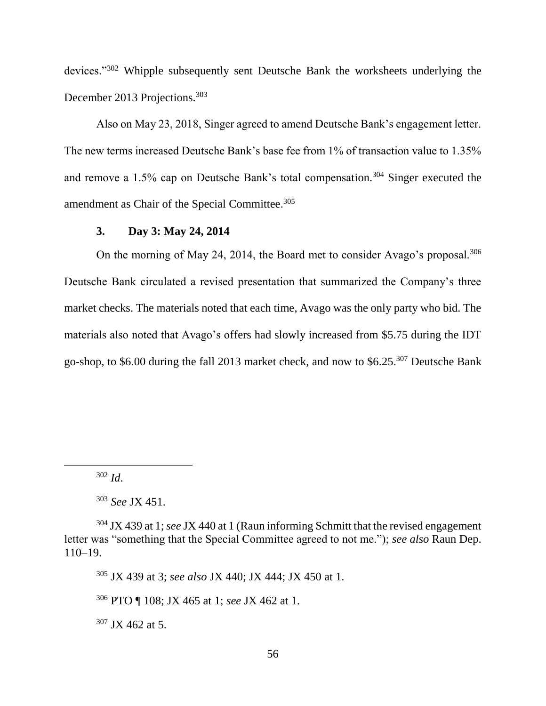devices."<sup>302</sup> Whipple subsequently sent Deutsche Bank the worksheets underlying the December 2013 Projections.<sup>303</sup>

Also on May 23, 2018, Singer agreed to amend Deutsche Bank's engagement letter. The new terms increased Deutsche Bank's base fee from 1% of transaction value to 1.35% and remove a 1.5% cap on Deutsche Bank's total compensation.<sup>304</sup> Singer executed the amendment as Chair of the Special Committee.<sup>305</sup>

# **3. Day 3: May 24, 2014**

On the morning of May 24, 2014, the Board met to consider Avago's proposal.<sup>306</sup> Deutsche Bank circulated a revised presentation that summarized the Company's three market checks. The materials noted that each time, Avago was the only party who bid. The materials also noted that Avago's offers had slowly increased from \$5.75 during the IDT go-shop, to \$6.00 during the fall 2013 market check, and now to \$6.25.<sup>307</sup> Deutsche Bank

 $\overline{a}$ 

<sup>305</sup> JX 439 at 3; *see also* JX 440; JX 444; JX 450 at 1.

<sup>306</sup> PTO ¶ 108; JX 465 at 1; *see* JX 462 at 1.

<sup>307</sup> JX 462 at 5.

<sup>302</sup> *Id*.

<sup>303</sup> *See* JX 451.

<sup>304</sup> JX 439 at 1; *see* JX 440 at 1 (Raun informing Schmitt that the revised engagement letter was "something that the Special Committee agreed to not me."); *see also* Raun Dep. 110–19.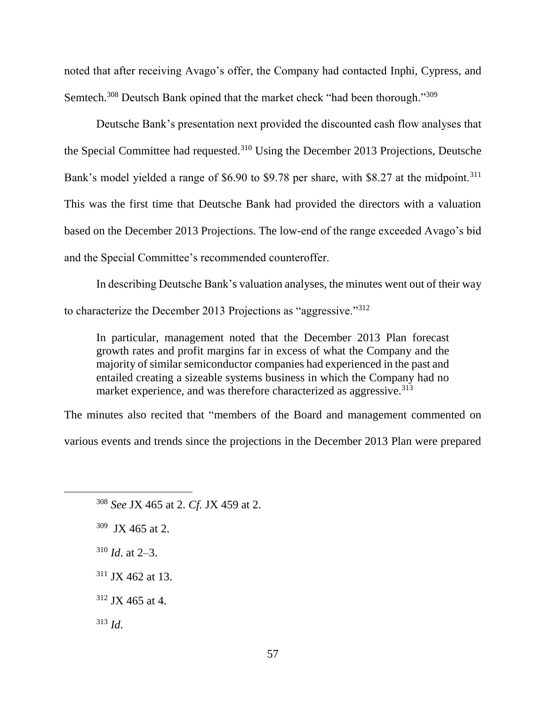noted that after receiving Avago's offer, the Company had contacted Inphi, Cypress, and Semtech.<sup>308</sup> Deutsch Bank opined that the market check "had been thorough."<sup>309</sup>

Deutsche Bank's presentation next provided the discounted cash flow analyses that the Special Committee had requested.<sup>310</sup> Using the December 2013 Projections, Deutsche Bank's model yielded a range of \$6.90 to \$9.78 per share, with \$8.27 at the midpoint.<sup>311</sup> This was the first time that Deutsche Bank had provided the directors with a valuation based on the December 2013 Projections. The low-end of the range exceeded Avago's bid and the Special Committee's recommended counteroffer.

In describing Deutsche Bank's valuation analyses, the minutes went out of their way to characterize the December 2013 Projections as "aggressive."<sup>312</sup>

In particular, management noted that the December 2013 Plan forecast growth rates and profit margins far in excess of what the Company and the majority of similar semiconductor companies had experienced in the past and entailed creating a sizeable systems business in which the Company had no market experience, and was therefore characterized as aggressive.<sup>313</sup>

The minutes also recited that "members of the Board and management commented on

various events and trends since the projections in the December 2013 Plan were prepared

- $310$  *Id.* at 2–3.
- $311$  JX 462 at 13.
- <sup>312</sup> JX 465 at 4.
- <sup>313</sup> *Id*.

<sup>308</sup> *See* JX 465 at 2. *Cf.* JX 459 at 2.

 $309$  JX 465 at 2.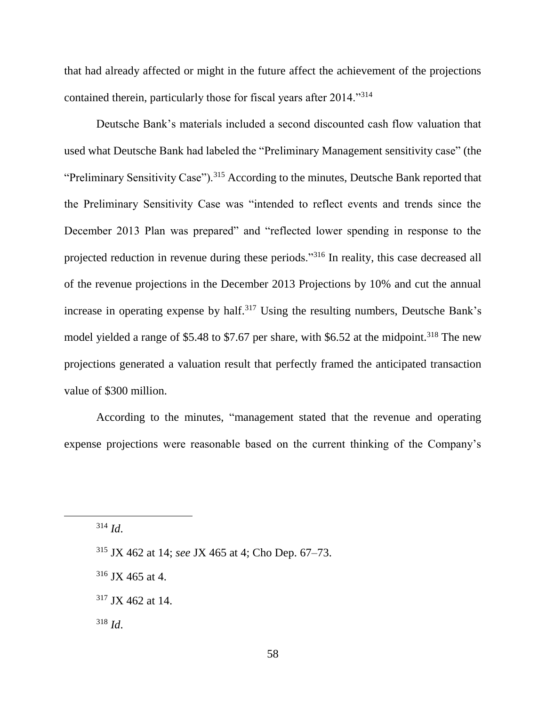that had already affected or might in the future affect the achievement of the projections contained therein, particularly those for fiscal years after 2014."<sup>314</sup>

Deutsche Bank's materials included a second discounted cash flow valuation that used what Deutsche Bank had labeled the "Preliminary Management sensitivity case" (the "Preliminary Sensitivity Case").<sup>315</sup> According to the minutes, Deutsche Bank reported that the Preliminary Sensitivity Case was "intended to reflect events and trends since the December 2013 Plan was prepared" and "reflected lower spending in response to the projected reduction in revenue during these periods."<sup>316</sup> In reality, this case decreased all of the revenue projections in the December 2013 Projections by 10% and cut the annual increase in operating expense by half.<sup>317</sup> Using the resulting numbers, Deutsche Bank's model yielded a range of \$5.48 to \$7.67 per share, with \$6.52 at the midpoint.<sup>318</sup> The new projections generated a valuation result that perfectly framed the anticipated transaction value of \$300 million.

According to the minutes, "management stated that the revenue and operating expense projections were reasonable based on the current thinking of the Company's

<sup>314</sup> *Id*.

<sup>315</sup> JX 462 at 14; *see* JX 465 at 4; Cho Dep. 67–73.

 $316$  JX 465 at 4.

<sup>317</sup> JX 462 at 14.

<sup>318</sup> *Id*.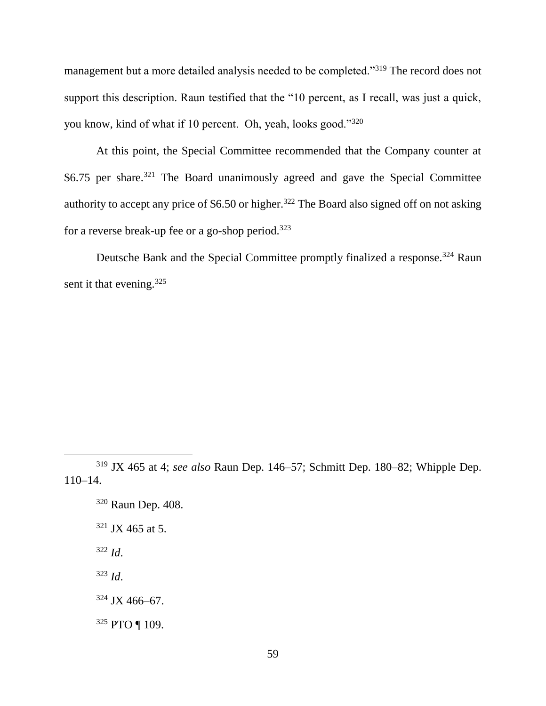management but a more detailed analysis needed to be completed."<sup>319</sup> The record does not support this description. Raun testified that the "10 percent, as I recall, was just a quick, you know, kind of what if 10 percent. Oh, yeah, looks good."<sup>320</sup>

At this point, the Special Committee recommended that the Company counter at  $$6.75$  per share.<sup>321</sup> The Board unanimously agreed and gave the Special Committee authority to accept any price of \$6.50 or higher.<sup>322</sup> The Board also signed off on not asking for a reverse break-up fee or a go-shop period.<sup>323</sup>

Deutsche Bank and the Special Committee promptly finalized a response.<sup>324</sup> Raun sent it that evening.<sup>325</sup>

<sup>320</sup> Raun Dep. 408.  $321$  JX 465 at 5.

<sup>322</sup> *Id*.

 $\overline{a}$ 

<sup>323</sup> *Id*.

<sup>324</sup> JX 466–67.

<sup>325</sup> PTO ¶ 109.

<sup>319</sup> JX 465 at 4; *see also* Raun Dep. 146–57; Schmitt Dep. 180–82; Whipple Dep. 110–14.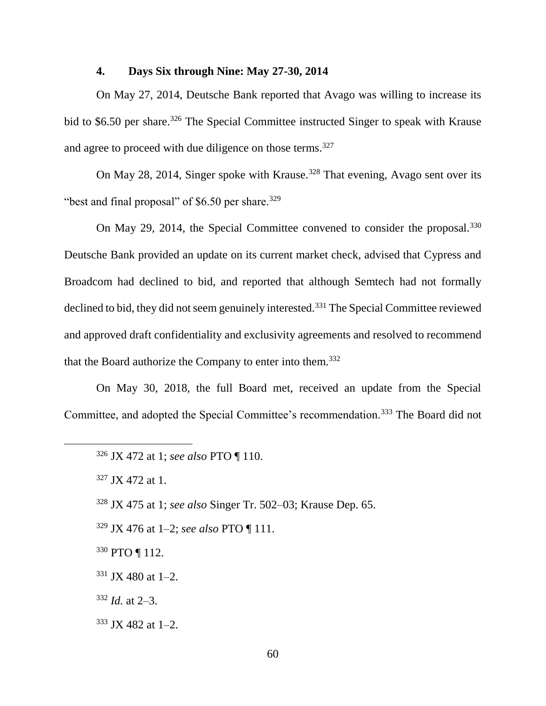#### **4. Days Six through Nine: May 27-30, 2014**

On May 27, 2014, Deutsche Bank reported that Avago was willing to increase its bid to \$6.50 per share.<sup>326</sup> The Special Committee instructed Singer to speak with Krause and agree to proceed with due diligence on those terms.<sup>327</sup>

On May 28, 2014, Singer spoke with Krause.<sup>328</sup> That evening, Avago sent over its "best and final proposal" of  $$6.50$  per share.<sup>329</sup>

On May 29, 2014, the Special Committee convened to consider the proposal.<sup>330</sup> Deutsche Bank provided an update on its current market check, advised that Cypress and Broadcom had declined to bid, and reported that although Semtech had not formally declined to bid, they did not seem genuinely interested.<sup>331</sup> The Special Committee reviewed and approved draft confidentiality and exclusivity agreements and resolved to recommend that the Board authorize the Company to enter into them.<sup>332</sup>

On May 30, 2018, the full Board met, received an update from the Special Committee, and adopted the Special Committee's recommendation.<sup>333</sup> The Board did not

- <sup>330</sup> PTO ¶ 112.
- $331$  JX 480 at 1-2.
- <sup>332</sup> *Id.* at 2–3.
- <sup>333</sup> JX 482 at 1–2.

<sup>326</sup> JX 472 at 1; *see also* PTO ¶ 110.

<sup>327</sup> JX 472 at 1.

<sup>328</sup> JX 475 at 1; *see also* Singer Tr. 502–03; Krause Dep. 65.

<sup>329</sup> JX 476 at 1–2; *see also* PTO ¶ 111.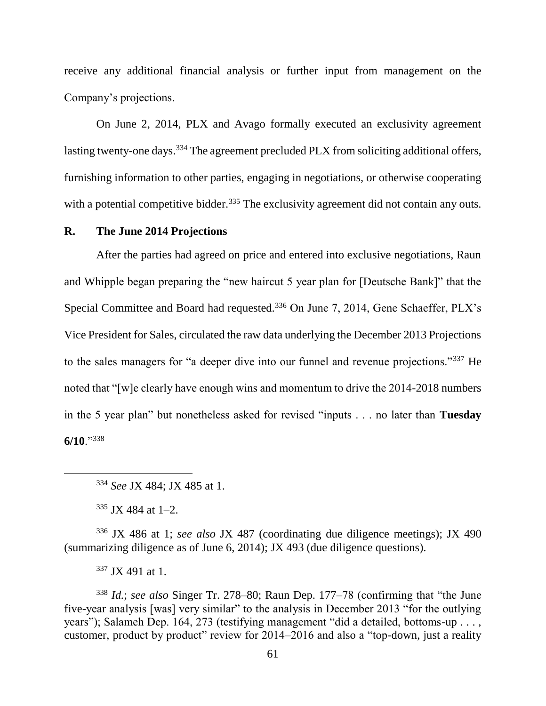receive any additional financial analysis or further input from management on the Company's projections.

On June 2, 2014, PLX and Avago formally executed an exclusivity agreement lasting twenty-one days.<sup>334</sup> The agreement precluded PLX from soliciting additional offers, furnishing information to other parties, engaging in negotiations, or otherwise cooperating with a potential competitive bidder.<sup>335</sup> The exclusivity agreement did not contain any outs.

# **R. The June 2014 Projections**

After the parties had agreed on price and entered into exclusive negotiations, Raun and Whipple began preparing the "new haircut 5 year plan for [Deutsche Bank]" that the Special Committee and Board had requested.<sup>336</sup> On June 7, 2014, Gene Schaeffer, PLX's Vice President for Sales, circulated the raw data underlying the December 2013 Projections to the sales managers for "a deeper dive into our funnel and revenue projections."<sup>337</sup> He noted that "[w]e clearly have enough wins and momentum to drive the 2014-2018 numbers in the 5 year plan" but nonetheless asked for revised "inputs . . . no later than **Tuesday 6/10**."<sup>338</sup>

 $\overline{a}$ 

<sup>336</sup> JX 486 at 1; *see also* JX 487 (coordinating due diligence meetings); JX 490 (summarizing diligence as of June 6, 2014); JX 493 (due diligence questions).

<sup>337</sup> JX 491 at 1.

<sup>338</sup> *Id.*; *see also* Singer Tr. 278–80; Raun Dep. 177–78 (confirming that "the June five-year analysis [was] very similar" to the analysis in December 2013 "for the outlying years"); Salameh Dep. 164, 273 (testifying management "did a detailed, bottoms-up . . . , customer, product by product" review for 2014–2016 and also a "top-down, just a reality

<sup>334</sup> *See* JX 484; JX 485 at 1.

 $335$  JX 484 at 1-2.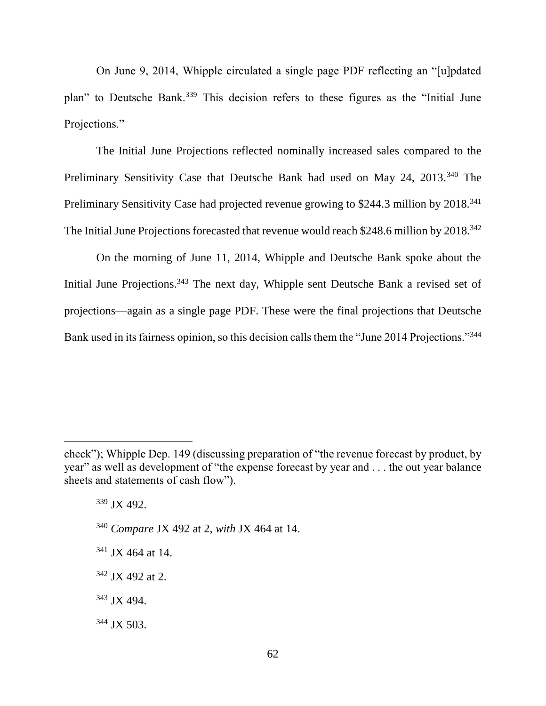On June 9, 2014, Whipple circulated a single page PDF reflecting an "[u]pdated plan" to Deutsche Bank.<sup>339</sup> This decision refers to these figures as the "Initial June Projections."

The Initial June Projections reflected nominally increased sales compared to the Preliminary Sensitivity Case that Deutsche Bank had used on May 24, 2013.<sup>340</sup> The Preliminary Sensitivity Case had projected revenue growing to \$244.3 million by 2018.<sup>341</sup> The Initial June Projections forecasted that revenue would reach \$248.6 million by 2018.<sup>342</sup>

On the morning of June 11, 2014, Whipple and Deutsche Bank spoke about the Initial June Projections.<sup>343</sup> The next day, Whipple sent Deutsche Bank a revised set of projections—again as a single page PDF. These were the final projections that Deutsche Bank used in its fairness opinion, so this decision calls them the "June 2014 Projections."<sup>344</sup>

<sup>339</sup> JX 492. <sup>340</sup> *Compare* JX 492 at 2, *with* JX 464 at 14. <sup>341</sup> JX 464 at 14.

<sup>342</sup> JX 492 at 2.

<sup>343</sup> JX 494.

 $\overline{a}$ 

<sup>344</sup> JX 503.

check"); Whipple Dep. 149 (discussing preparation of "the revenue forecast by product, by year" as well as development of "the expense forecast by year and . . . the out year balance sheets and statements of cash flow").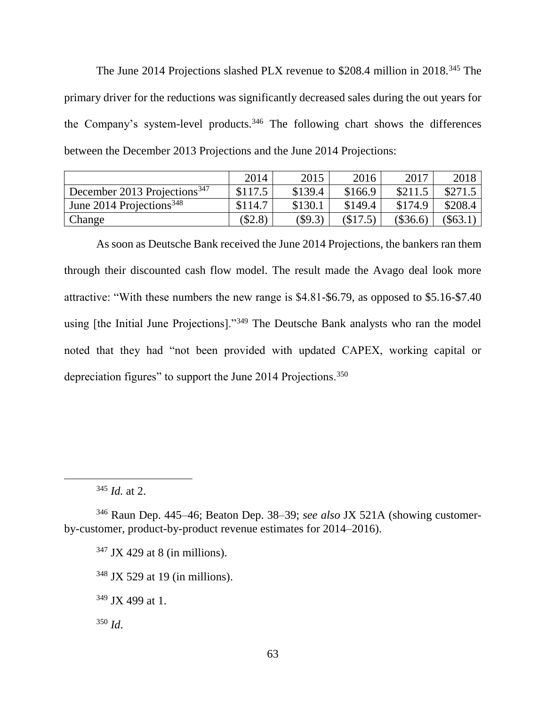The June 2014 Projections slashed PLX revenue to \$208.4 million in 2018.<sup>345</sup> The primary driver for the reductions was significantly decreased sales during the out years for the Company's system-level products.<sup>346</sup> The following chart shows the differences between the December 2013 Projections and the June 2014 Projections:

|                                          | 2014      | 2015    | 2016    | 2017    | 2018      |
|------------------------------------------|-----------|---------|---------|---------|-----------|
| December 2013 Projections <sup>347</sup> | \$117.5   | \$139.4 | \$166.9 | \$211.5 | \$271.5   |
| June 2014 Projections <sup>348</sup>     | \$114.7   | \$130.1 | \$149.4 | \$174.9 | \$208.4   |
| Change                                   | $(\$2.8)$ | (\$9.3) | (S17.5) | \$36.6  | $(\$63.1$ |

As soon as Deutsche Bank received the June 2014 Projections, the bankers ran them through their discounted cash flow model. The result made the Avago deal look more attractive: "With these numbers the new range is \$4.81-\$6.79, as opposed to \$5.16-\$7.40 using [the Initial June Projections]."<sup>349</sup> The Deutsche Bank analysts who ran the model noted that they had "not been provided with updated CAPEX, working capital or depreciation figures" to support the June 2014 Projections.<sup>350</sup>

<sup>345</sup> *Id.* at 2.

<sup>346</sup> Raun Dep. 445–46; Beaton Dep. 38–39; *see also* JX 521A (showing customerby-customer, product-by-product revenue estimates for 2014–2016).

 $347$  JX 429 at 8 (in millions).

<sup>348</sup> JX 529 at 19 (in millions).

<sup>349</sup> JX 499 at 1.

<sup>350</sup> *Id*.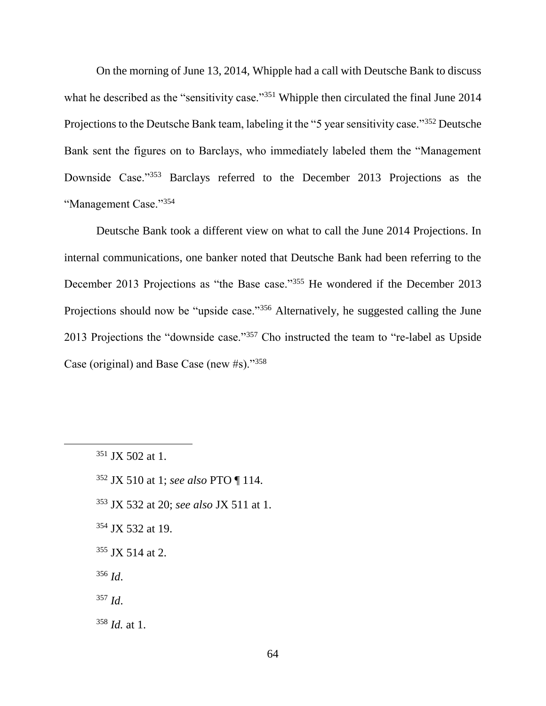On the morning of June 13, 2014, Whipple had a call with Deutsche Bank to discuss what he described as the "sensitivity case."<sup>351</sup> Whipple then circulated the final June 2014 Projections to the Deutsche Bank team, labeling it the "5 year sensitivity case."<sup>352</sup> Deutsche Bank sent the figures on to Barclays, who immediately labeled them the "Management Downside Case."<sup>353</sup> Barclays referred to the December 2013 Projections as the "Management Case."<sup>354</sup>

Deutsche Bank took a different view on what to call the June 2014 Projections. In internal communications, one banker noted that Deutsche Bank had been referring to the December 2013 Projections as "the Base case."<sup>355</sup> He wondered if the December 2013 Projections should now be "upside case."<sup>356</sup> Alternatively, he suggested calling the June 2013 Projections the "downside case."<sup>357</sup> Cho instructed the team to "re-label as Upside Case (original) and Base Case (new #s)."<sup>358</sup>

- <sup>352</sup> JX 510 at 1; *see also* PTO ¶ 114.
- <sup>353</sup> JX 532 at 20; *see also* JX 511 at 1.
- <sup>354</sup> JX 532 at 19.
- $355$  JX 514 at 2.
- <sup>356</sup> *Id*.
- <sup>357</sup> *Id*.
- <sup>358</sup> *Id.* at 1.

 $351$  JX 502 at 1.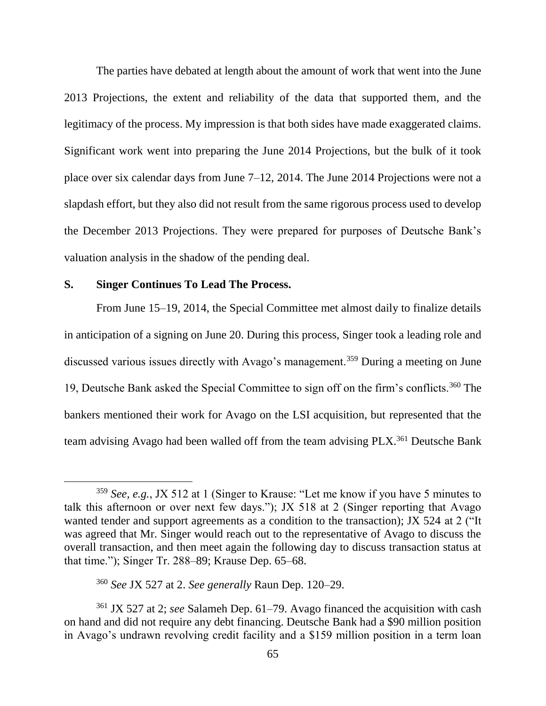The parties have debated at length about the amount of work that went into the June 2013 Projections, the extent and reliability of the data that supported them, and the legitimacy of the process. My impression is that both sides have made exaggerated claims. Significant work went into preparing the June 2014 Projections, but the bulk of it took place over six calendar days from June 7–12, 2014. The June 2014 Projections were not a slapdash effort, but they also did not result from the same rigorous process used to develop the December 2013 Projections. They were prepared for purposes of Deutsche Bank's valuation analysis in the shadow of the pending deal.

#### **S. Singer Continues To Lead The Process.**

 $\overline{a}$ 

From June 15–19, 2014, the Special Committee met almost daily to finalize details in anticipation of a signing on June 20. During this process, Singer took a leading role and discussed various issues directly with Avago's management.<sup>359</sup> During a meeting on June 19, Deutsche Bank asked the Special Committee to sign off on the firm's conflicts.<sup>360</sup> The bankers mentioned their work for Avago on the LSI acquisition, but represented that the team advising Avago had been walled off from the team advising PLX.<sup>361</sup> Deutsche Bank

<sup>359</sup> *See, e.g.*, JX 512 at 1 (Singer to Krause: "Let me know if you have 5 minutes to talk this afternoon or over next few days."); JX 518 at 2 (Singer reporting that Avago wanted tender and support agreements as a condition to the transaction); JX 524 at 2 ("It was agreed that Mr. Singer would reach out to the representative of Avago to discuss the overall transaction, and then meet again the following day to discuss transaction status at that time."); Singer Tr. 288–89; Krause Dep. 65–68.

<sup>360</sup> *See* JX 527 at 2. *See generally* Raun Dep. 120–29.

<sup>361</sup> JX 527 at 2; *see* Salameh Dep. 61–79. Avago financed the acquisition with cash on hand and did not require any debt financing. Deutsche Bank had a \$90 million position in Avago's undrawn revolving credit facility and a \$159 million position in a term loan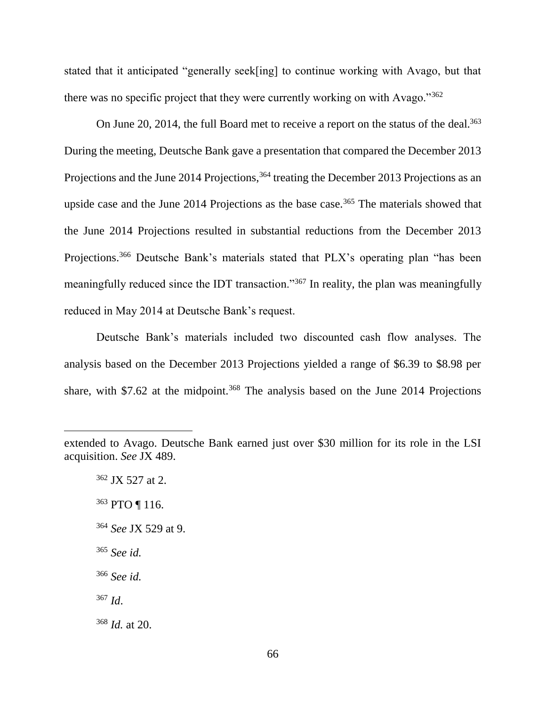stated that it anticipated "generally seek[ing] to continue working with Avago, but that there was no specific project that they were currently working on with Avago."<sup>362</sup>

On June 20, 2014, the full Board met to receive a report on the status of the deal.<sup>363</sup> During the meeting, Deutsche Bank gave a presentation that compared the December 2013 Projections and the June 2014 Projections,<sup>364</sup> treating the December 2013 Projections as an upside case and the June 2014 Projections as the base case.<sup>365</sup> The materials showed that the June 2014 Projections resulted in substantial reductions from the December 2013 Projections.<sup>366</sup> Deutsche Bank's materials stated that PLX's operating plan "has been meaningfully reduced since the IDT transaction."<sup>367</sup> In reality, the plan was meaningfully reduced in May 2014 at Deutsche Bank's request.

Deutsche Bank's materials included two discounted cash flow analyses. The analysis based on the December 2013 Projections yielded a range of \$6.39 to \$8.98 per share, with  $$7.62$  at the midpoint.<sup>368</sup> The analysis based on the June 2014 Projections

 $\overline{a}$ 

- <sup>363</sup> PTO ¶ 116.
- <sup>364</sup> *See* JX 529 at 9.
- <sup>365</sup> *See id.*

<sup>366</sup> *See id.*

<sup>367</sup> *Id*.

<sup>368</sup> *Id.* at 20.

extended to Avago. Deutsche Bank earned just over \$30 million for its role in the LSI acquisition. *See* JX 489.

<sup>362</sup> JX 527 at 2.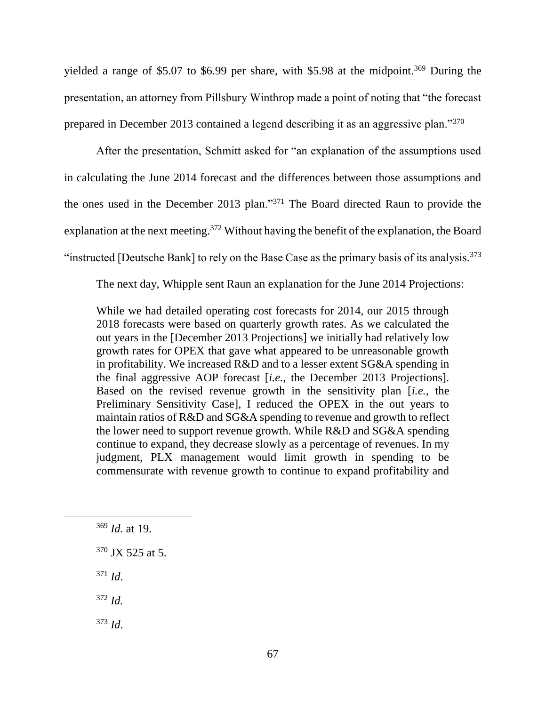yielded a range of \$5.07 to \$6.99 per share, with \$5.98 at the midpoint.<sup>369</sup> During the presentation, an attorney from Pillsbury Winthrop made a point of noting that "the forecast prepared in December 2013 contained a legend describing it as an aggressive plan."<sup>370</sup>

After the presentation, Schmitt asked for "an explanation of the assumptions used in calculating the June 2014 forecast and the differences between those assumptions and the ones used in the December 2013 plan."<sup>371</sup> The Board directed Raun to provide the explanation at the next meeting.<sup>372</sup> Without having the benefit of the explanation, the Board "instructed [Deutsche Bank] to rely on the Base Case as the primary basis of its analysis.<sup>373</sup>

The next day, Whipple sent Raun an explanation for the June 2014 Projections:

While we had detailed operating cost forecasts for 2014, our 2015 through 2018 forecasts were based on quarterly growth rates. As we calculated the out years in the [December 2013 Projections] we initially had relatively low growth rates for OPEX that gave what appeared to be unreasonable growth in profitability. We increased R&D and to a lesser extent SG&A spending in the final aggressive AOP forecast [*i.e.*, the December 2013 Projections]. Based on the revised revenue growth in the sensitivity plan [*i.e.*, the Preliminary Sensitivity Case], I reduced the OPEX in the out years to maintain ratios of R&D and SG&A spending to revenue and growth to reflect the lower need to support revenue growth. While R&D and SG&A spending continue to expand, they decrease slowly as a percentage of revenues. In my judgment, PLX management would limit growth in spending to be commensurate with revenue growth to continue to expand profitability and

<sup>371</sup> *Id*.

<sup>372</sup> *Id.*

<sup>373</sup> *Id*.

<sup>369</sup> *Id.* at 19.

 $370$  JX 525 at 5.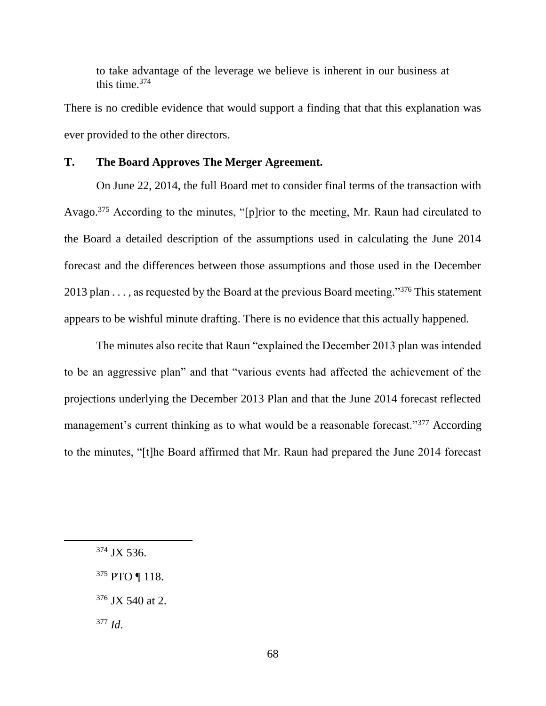to take advantage of the leverage we believe is inherent in our business at this time.<sup>374</sup>

There is no credible evidence that would support a finding that that this explanation was ever provided to the other directors.

# **T. The Board Approves The Merger Agreement.**

On June 22, 2014, the full Board met to consider final terms of the transaction with Avago.<sup>375</sup> According to the minutes, "[p]rior to the meeting, Mr. Raun had circulated to the Board a detailed description of the assumptions used in calculating the June 2014 forecast and the differences between those assumptions and those used in the December 2013 plan  $\dots$ , as requested by the Board at the previous Board meeting."<sup>376</sup> This statement appears to be wishful minute drafting. There is no evidence that this actually happened.

The minutes also recite that Raun "explained the December 2013 plan was intended to be an aggressive plan" and that "various events had affected the achievement of the projections underlying the December 2013 Plan and that the June 2014 forecast reflected management's current thinking as to what would be a reasonable forecast."<sup>377</sup> According to the minutes, "[t]he Board affirmed that Mr. Raun had prepared the June 2014 forecast

<sup>374</sup> JX 536.

<sup>375</sup> PTO ¶ 118.

<sup>376</sup> JX 540 at 2.

<sup>377</sup> *Id*.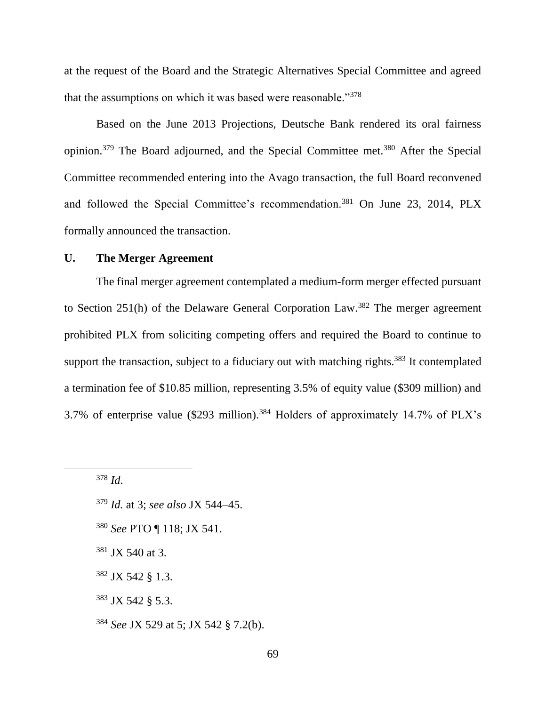at the request of the Board and the Strategic Alternatives Special Committee and agreed that the assumptions on which it was based were reasonable."<sup>378</sup>

Based on the June 2013 Projections, Deutsche Bank rendered its oral fairness opinion.<sup>379</sup> The Board adjourned, and the Special Committee met.<sup>380</sup> After the Special Committee recommended entering into the Avago transaction, the full Board reconvened and followed the Special Committee's recommendation.<sup>381</sup> On June 23, 2014, PLX formally announced the transaction.

# **U. The Merger Agreement**

The final merger agreement contemplated a medium-form merger effected pursuant to Section 251(h) of the Delaware General Corporation Law.<sup>382</sup> The merger agreement prohibited PLX from soliciting competing offers and required the Board to continue to support the transaction, subject to a fiduciary out with matching rights.<sup>383</sup> It contemplated a termination fee of \$10.85 million, representing 3.5% of equity value (\$309 million) and 3.7% of enterprise value (\$293 million).<sup>384</sup> Holders of approximately 14.7% of PLX's

<sup>378</sup> *Id*.

- <sup>379</sup> *Id.* at 3; *see also* JX 544–45.
- <sup>380</sup> *See* PTO ¶ 118; JX 541.
- <sup>381</sup> JX 540 at 3.
- <sup>382</sup> JX 542 § 1.3.
- <sup>383</sup> JX 542 § 5.3.
- <sup>384</sup> *See* JX 529 at 5; JX 542 § 7.2(b).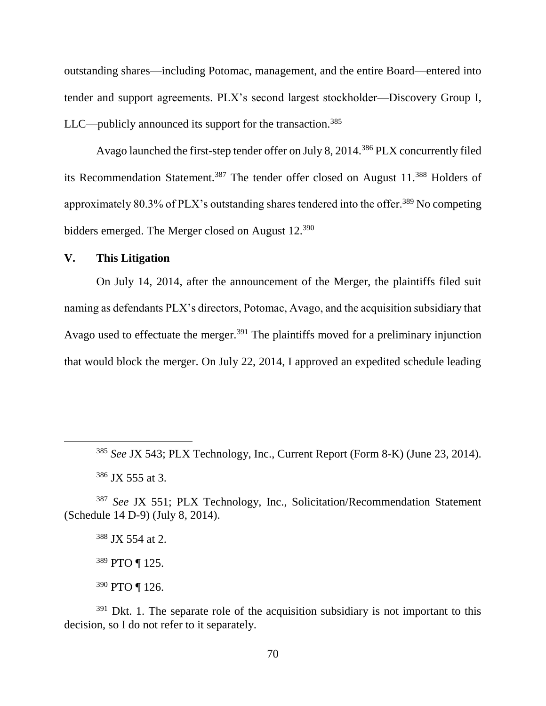outstanding shares—including Potomac, management, and the entire Board—entered into tender and support agreements. PLX's second largest stockholder—Discovery Group I,  $LLC$ —publicly announced its support for the transaction.<sup>385</sup>

Avago launched the first-step tender offer on July 8, 2014.<sup>386</sup> PLX concurrently filed its Recommendation Statement.<sup>387</sup> The tender offer closed on August 11.<sup>388</sup> Holders of approximately 80.3% of PLX's outstanding shares tendered into the offer.<sup>389</sup> No competing bidders emerged. The Merger closed on August 12.<sup>390</sup>

# **V. This Litigation**

On July 14, 2014, after the announcement of the Merger, the plaintiffs filed suit naming as defendants PLX's directors, Potomac, Avago, and the acquisition subsidiary that Avago used to effectuate the merger.<sup>391</sup> The plaintiffs moved for a preliminary injunction that would block the merger. On July 22, 2014, I approved an expedited schedule leading

 $\overline{a}$ 

<sup>388</sup> JX 554 at 2.

<sup>389</sup> PTO ¶ 125.

<sup>390</sup> PTO ¶ 126.

 $391$  Dkt. 1. The separate role of the acquisition subsidiary is not important to this decision, so I do not refer to it separately.

<sup>385</sup> *See* JX 543; PLX Technology, Inc., Current Report (Form 8-K) (June 23, 2014).

<sup>386</sup> JX 555 at 3.

<sup>387</sup> *See* JX 551; PLX Technology, Inc., Solicitation/Recommendation Statement (Schedule 14 D-9) (July 8, 2014).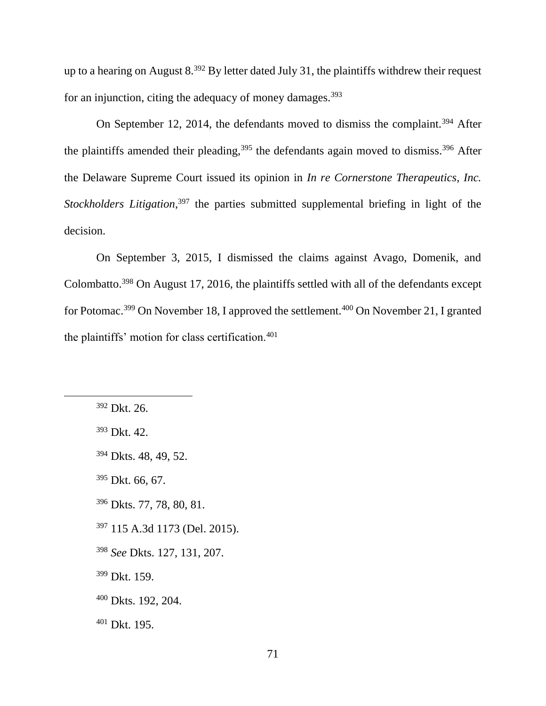up to a hearing on August  $8^{392}$  By letter dated July 31, the plaintiffs withdrew their request for an injunction, citing the adequacy of money damages. $393$ 

On September 12, 2014, the defendants moved to dismiss the complaint.<sup>394</sup> After the plaintiffs amended their pleading,  $395$  the defendants again moved to dismiss.  $396$  After the Delaware Supreme Court issued its opinion in *In re Cornerstone Therapeutics, Inc.*  Stockholders Litigation,<sup>397</sup> the parties submitted supplemental briefing in light of the decision.

On September 3, 2015, I dismissed the claims against Avago, Domenik, and Colombatto.<sup>398</sup> On August 17, 2016, the plaintiffs settled with all of the defendants except for Potomac.<sup>399</sup> On November 18, I approved the settlement.<sup>400</sup> On November 21, I granted the plaintiffs' motion for class certification.<sup>401</sup>

- <sup>393</sup> Dkt. 42.
- <sup>394</sup> Dkts. 48, 49, 52.
- <sup>395</sup> Dkt. 66, 67.
- <sup>396</sup> Dkts. 77, 78, 80, 81.
- <sup>397</sup> 115 A.3d 1173 (Del. 2015).
- <sup>398</sup> *See* Dkts. 127, 131, 207.
- <sup>399</sup> Dkt. 159.
- <sup>400</sup> Dkts. 192, 204.
- <sup>401</sup> Dkt. 195.

<sup>392</sup> Dkt. 26.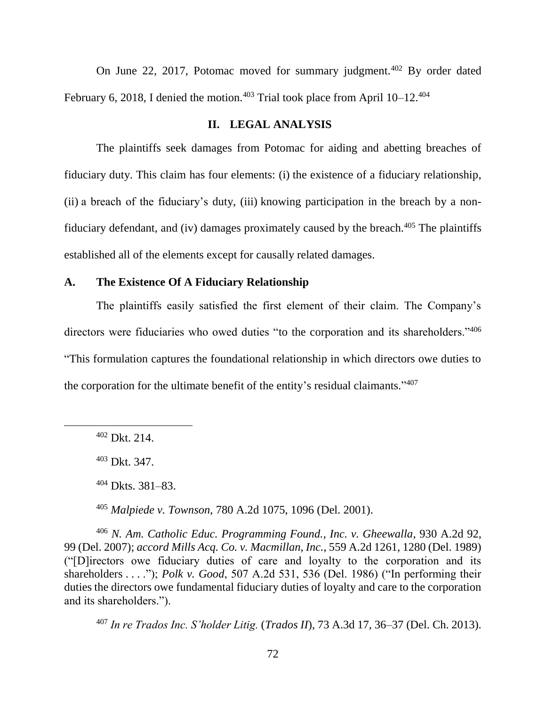On June 22, 2017, Potomac moved for summary judgment.<sup>402</sup> By order dated February 6, 2018, I denied the motion.<sup>403</sup> Trial took place from April  $10-12$ .<sup>404</sup>

## **II. LEGAL ANALYSIS**

The plaintiffs seek damages from Potomac for aiding and abetting breaches of fiduciary duty. This claim has four elements: (i) the existence of a fiduciary relationship, (ii) a breach of the fiduciary's duty, (iii) knowing participation in the breach by a nonfiduciary defendant, and (iv) damages proximately caused by the breach. $405$  The plaintiffs established all of the elements except for causally related damages.

## **A. The Existence Of A Fiduciary Relationship**

The plaintiffs easily satisfied the first element of their claim. The Company's directors were fiduciaries who owed duties "to the corporation and its shareholders."<sup>406</sup> "This formulation captures the foundational relationship in which directors owe duties to the corporation for the ultimate benefit of the entity's residual claimants."<sup>407</sup>

<sup>405</sup> *Malpiede v. Townson*, 780 A.2d 1075, 1096 (Del. 2001).

<sup>406</sup> *N. Am. Catholic Educ. Programming Found., Inc. v. Gheewalla*, 930 A.2d 92, 99 (Del. 2007); *accord Mills Acq. Co. v. Macmillan, Inc.*, 559 A.2d 1261, 1280 (Del. 1989) ("[D]irectors owe fiduciary duties of care and loyalty to the corporation and its shareholders . . . ."); *Polk v. Good*, 507 A.2d 531, 536 (Del. 1986) ("In performing their duties the directors owe fundamental fiduciary duties of loyalty and care to the corporation and its shareholders.").

<sup>407</sup> *In re Trados Inc. S'holder Litig.* (*Trados II*), 73 A.3d 17, 36–37 (Del. Ch. 2013).

<sup>402</sup> Dkt. 214.

<sup>403</sup> Dkt. 347.

<sup>404</sup> Dkts. 381–83.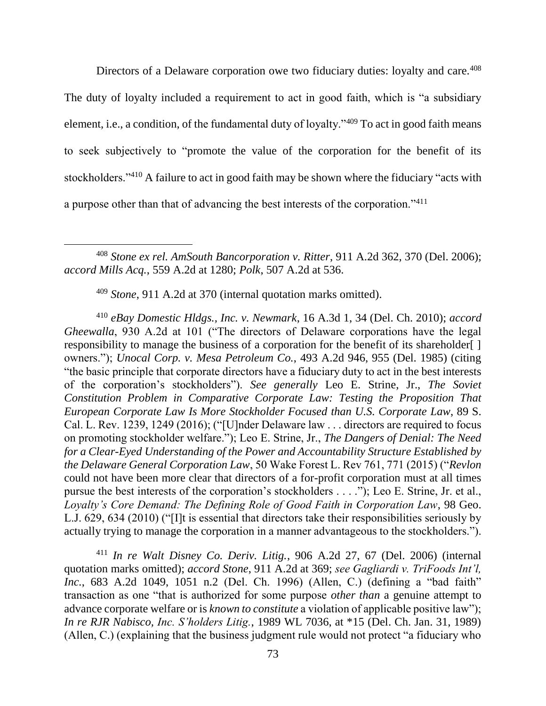Directors of a Delaware corporation owe two fiduciary duties: loyalty and care.<sup>408</sup> The duty of loyalty included a requirement to act in good faith, which is "a subsidiary element, i.e., a condition, of the fundamental duty of loyalty."<sup>409</sup> To act in good faith means to seek subjectively to "promote the value of the corporation for the benefit of its stockholders."<sup>410</sup> A failure to act in good faith may be shown where the fiduciary "acts with a purpose other than that of advancing the best interests of the corporation."<sup>411</sup>

<sup>408</sup> *Stone ex rel. AmSouth Bancorporation v. Ritter*, 911 A.2d 362, 370 (Del. 2006); *accord Mills Acq.*, 559 A.2d at 1280; *Polk*, 507 A.2d at 536.

<sup>409</sup> *Stone*, 911 A.2d at 370 (internal quotation marks omitted).

<sup>410</sup> *eBay Domestic Hldgs., Inc. v. Newmark*, 16 A.3d 1, 34 (Del. Ch. 2010); *accord Gheewalla*, 930 A.2d at 101 ("The directors of Delaware corporations have the legal responsibility to manage the business of a corporation for the benefit of its shareholder[ ] owners."); *Unocal Corp. v. Mesa Petroleum Co.*, 493 A.2d 946, 955 (Del. 1985) (citing "the basic principle that corporate directors have a fiduciary duty to act in the best interests of the corporation's stockholders"). *See generally* Leo E. Strine, Jr., *The Soviet Constitution Problem in Comparative Corporate Law: Testing the Proposition That European Corporate Law Is More Stockholder Focused than U.S. Corporate Law*, 89 S. Cal. L. Rev. 1239, 1249 (2016); ("[U]nder Delaware law . . . directors are required to focus on promoting stockholder welfare."); Leo E. Strine, Jr., *The Dangers of Denial: The Need for a Clear-Eyed Understanding of the Power and Accountability Structure Established by the Delaware General Corporation Law*, 50 Wake Forest L. Rev 761, 771 (2015) ("*Revlon* could not have been more clear that directors of a for-profit corporation must at all times pursue the best interests of the corporation's stockholders . . . ."); Leo E. Strine, Jr. et al., *Loyalty's Core Demand: The Defining Role of Good Faith in Corporation Law*, 98 Geo. L.J. 629, 634 (2010) ("[I]t is essential that directors take their responsibilities seriously by actually trying to manage the corporation in a manner advantageous to the stockholders.").

<sup>411</sup> *In re Walt Disney Co. Deriv. Litig.*, 906 A.2d 27, 67 (Del. 2006) (internal quotation marks omitted); *accord Stone*, 911 A.2d at 369; *see Gagliardi v. TriFoods Int'l, Inc.*, 683 A.2d 1049, 1051 n.2 (Del. Ch. 1996) (Allen, C.) (defining a "bad faith" transaction as one "that is authorized for some purpose *other than* a genuine attempt to advance corporate welfare or is *known to constitute* a violation of applicable positive law"); *In re RJR Nabisco, Inc. S'holders Litig.*, 1989 WL 7036, at \*15 (Del. Ch. Jan. 31, 1989) (Allen, C.) (explaining that the business judgment rule would not protect "a fiduciary who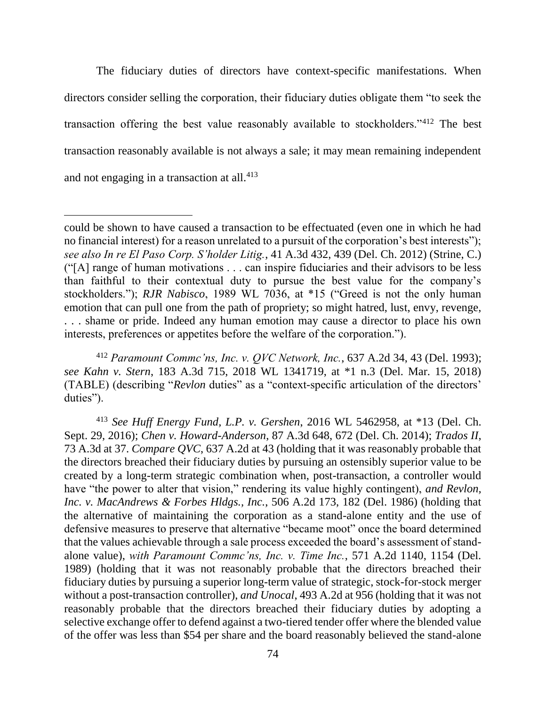The fiduciary duties of directors have context-specific manifestations. When directors consider selling the corporation, their fiduciary duties obligate them "to seek the transaction offering the best value reasonably available to stockholders."<sup>412</sup> The best transaction reasonably available is not always a sale; it may mean remaining independent and not engaging in a transaction at all. $413$ 

 $\overline{a}$ 

<sup>412</sup> *Paramount Commc'ns, Inc. v. QVC Network, Inc.*, 637 A.2d 34, 43 (Del. 1993); *see Kahn v. Stern*, 183 A.3d 715, 2018 WL 1341719, at \*1 n.3 (Del. Mar. 15, 2018) (TABLE) (describing "*Revlon* duties" as a "context-specific articulation of the directors' duties").

<sup>413</sup> *See Huff Energy Fund, L.P. v. Gershen*, 2016 WL 5462958, at \*13 (Del. Ch. Sept. 29, 2016); *Chen v. Howard-Anderson*, 87 A.3d 648, 672 (Del. Ch. 2014); *Trados II*, 73 A.3d at 37. *Compare QVC*, 637 A.2d at 43 (holding that it was reasonably probable that the directors breached their fiduciary duties by pursuing an ostensibly superior value to be created by a long-term strategic combination when, post-transaction, a controller would have "the power to alter that vision," rendering its value highly contingent), *and Revlon, Inc. v. MacAndrews & Forbes Hldgs., Inc.*, 506 A.2d 173, 182 (Del. 1986) (holding that the alternative of maintaining the corporation as a stand-alone entity and the use of defensive measures to preserve that alternative "became moot" once the board determined that the values achievable through a sale process exceeded the board's assessment of standalone value), *with Paramount Commc'ns, Inc. v. Time Inc.*, 571 A.2d 1140, 1154 (Del. 1989) (holding that it was not reasonably probable that the directors breached their fiduciary duties by pursuing a superior long-term value of strategic, stock-for-stock merger without a post-transaction controller), *and Unocal*, 493 A.2d at 956 (holding that it was not reasonably probable that the directors breached their fiduciary duties by adopting a selective exchange offer to defend against a two-tiered tender offer where the blended value of the offer was less than \$54 per share and the board reasonably believed the stand-alone

could be shown to have caused a transaction to be effectuated (even one in which he had no financial interest) for a reason unrelated to a pursuit of the corporation's best interests"); *see also In re El Paso Corp. S'holder Litig.*, 41 A.3d 432, 439 (Del. Ch. 2012) (Strine, C.) ("[A] range of human motivations . . . can inspire fiduciaries and their advisors to be less than faithful to their contextual duty to pursue the best value for the company's stockholders."); *RJR Nabisco*, 1989 WL 7036, at \*15 ("Greed is not the only human emotion that can pull one from the path of propriety; so might hatred, lust, envy, revenge, . . . shame or pride. Indeed any human emotion may cause a director to place his own interests, preferences or appetites before the welfare of the corporation.").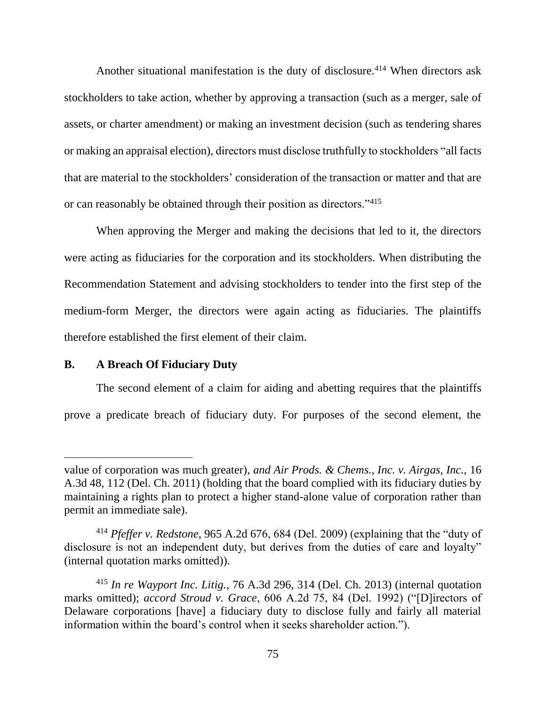Another situational manifestation is the duty of disclosure.<sup>414</sup> When directors ask stockholders to take action, whether by approving a transaction (such as a merger, sale of assets, or charter amendment) or making an investment decision (such as tendering shares or making an appraisal election), directors must disclose truthfully to stockholders "all facts that are material to the stockholders' consideration of the transaction or matter and that are or can reasonably be obtained through their position as directors."<sup>415</sup>

When approving the Merger and making the decisions that led to it, the directors were acting as fiduciaries for the corporation and its stockholders. When distributing the Recommendation Statement and advising stockholders to tender into the first step of the medium-form Merger, the directors were again acting as fiduciaries. The plaintiffs therefore established the first element of their claim.

## **B. A Breach Of Fiduciary Duty**

The second element of a claim for aiding and abetting requires that the plaintiffs prove a predicate breach of fiduciary duty. For purposes of the second element, the

value of corporation was much greater), *and Air Prods. & Chems., Inc. v. Airgas, Inc.*, 16 A.3d 48, 112 (Del. Ch. 2011) (holding that the board complied with its fiduciary duties by maintaining a rights plan to protect a higher stand-alone value of corporation rather than permit an immediate sale).

<sup>414</sup> *Pfeffer v. Redstone*, 965 A.2d 676, 684 (Del. 2009) (explaining that the "duty of disclosure is not an independent duty, but derives from the duties of care and loyalty" (internal quotation marks omitted)).

<sup>415</sup> *In re Wayport Inc. Litig.*, 76 A.3d 296, 314 (Del. Ch. 2013) (internal quotation marks omitted); *accord Stroud v. Grace*, 606 A.2d 75, 84 (Del. 1992) ("[D]irectors of Delaware corporations [have] a fiduciary duty to disclose fully and fairly all material information within the board's control when it seeks shareholder action.").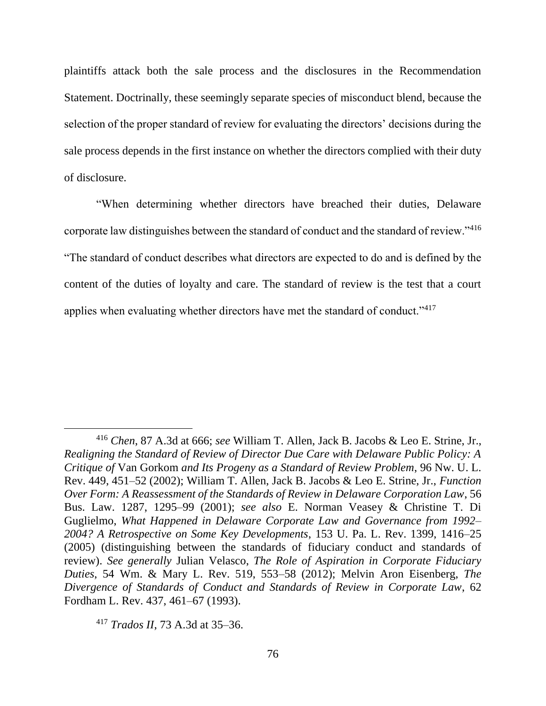plaintiffs attack both the sale process and the disclosures in the Recommendation Statement. Doctrinally, these seemingly separate species of misconduct blend, because the selection of the proper standard of review for evaluating the directors' decisions during the sale process depends in the first instance on whether the directors complied with their duty of disclosure.

"When determining whether directors have breached their duties, Delaware corporate law distinguishes between the standard of conduct and the standard of review."<sup>416</sup> "The standard of conduct describes what directors are expected to do and is defined by the content of the duties of loyalty and care. The standard of review is the test that a court applies when evaluating whether directors have met the standard of conduct."<sup>417</sup>

<sup>416</sup> *Chen*, 87 A.3d at 666; *see* William T. Allen, Jack B. Jacobs & Leo E. Strine, Jr., *Realigning the Standard of Review of Director Due Care with Delaware Public Policy: A Critique of* Van Gorkom *and Its Progeny as a Standard of Review Problem*, 96 Nw. U. L. Rev. 449, 451–52 (2002); William T. Allen, Jack B. Jacobs & Leo E. Strine, Jr., *Function Over Form: A Reassessment of the Standards of Review in Delaware Corporation Law*, 56 Bus. Law. 1287, 1295–99 (2001); *see also* E. Norman Veasey & Christine T. Di Guglielmo, *What Happened in Delaware Corporate Law and Governance from 1992– 2004? A Retrospective on Some Key Developments*, 153 U. Pa. L. Rev. 1399, 1416–25 (2005) (distinguishing between the standards of fiduciary conduct and standards of review). *See generally* Julian Velasco, *The Role of Aspiration in Corporate Fiduciary Duties*, 54 Wm. & Mary L. Rev. 519, 553–58 (2012); Melvin Aron Eisenberg, *The Divergence of Standards of Conduct and Standards of Review in Corporate Law*, 62 Fordham L. Rev. 437, 461–67 (1993).

<sup>417</sup> *Trados II*, 73 A.3d at 35–36.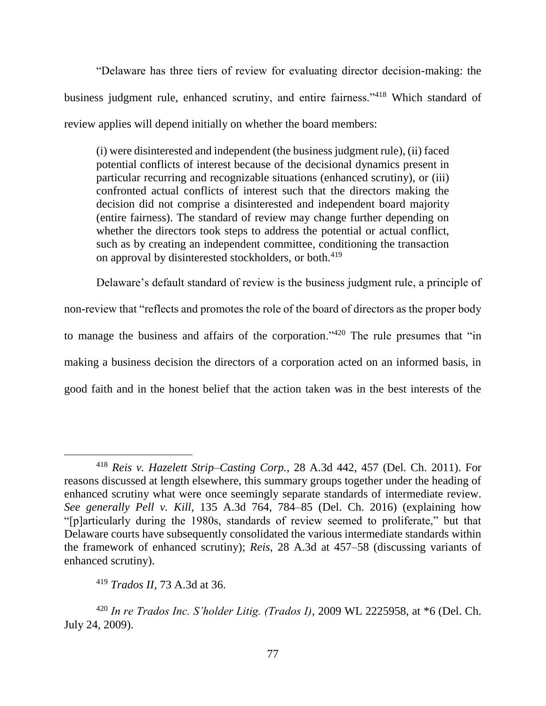"Delaware has three tiers of review for evaluating director decision-making: the business judgment rule, enhanced scrutiny, and entire fairness."<sup>418</sup> Which standard of review applies will depend initially on whether the board members:

(i) were disinterested and independent (the business judgment rule), (ii) faced potential conflicts of interest because of the decisional dynamics present in particular recurring and recognizable situations (enhanced scrutiny), or (iii) confronted actual conflicts of interest such that the directors making the decision did not comprise a disinterested and independent board majority (entire fairness). The standard of review may change further depending on whether the directors took steps to address the potential or actual conflict, such as by creating an independent committee, conditioning the transaction on approval by disinterested stockholders, or both.<sup>419</sup>

Delaware's default standard of review is the business judgment rule, a principle of non-review that "reflects and promotes the role of the board of directors as the proper body to manage the business and affairs of the corporation."<sup>420</sup> The rule presumes that "in making a business decision the directors of a corporation acted on an informed basis, in good faith and in the honest belief that the action taken was in the best interests of the

<sup>418</sup> *Reis v. Hazelett Strip–Casting Corp.*, 28 A.3d 442, 457 (Del. Ch. 2011). For reasons discussed at length elsewhere, this summary groups together under the heading of enhanced scrutiny what were once seemingly separate standards of intermediate review. *See generally Pell v. Kill*, 135 A.3d 764, 784–85 (Del. Ch. 2016) (explaining how "[p]articularly during the 1980s, standards of review seemed to proliferate," but that Delaware courts have subsequently consolidated the various intermediate standards within the framework of enhanced scrutiny); *Reis*, 28 A.3d at 457–58 (discussing variants of enhanced scrutiny).

<sup>419</sup> *Trados II*, 73 A.3d at 36.

<sup>420</sup> *In re Trados Inc. S'holder Litig. (Trados I)*, 2009 WL 2225958, at \*6 (Del. Ch. July 24, 2009).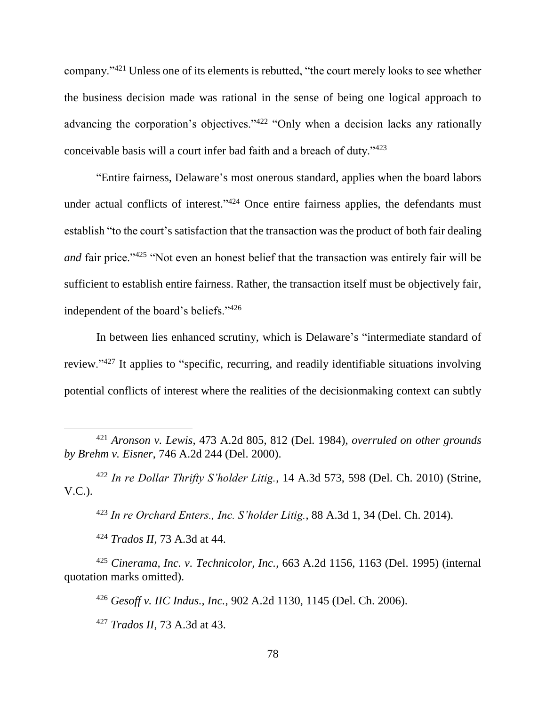company."<sup>421</sup> Unless one of its elements is rebutted, "the court merely looks to see whether the business decision made was rational in the sense of being one logical approach to advancing the corporation's objectives."<sup>422</sup> "Only when a decision lacks any rationally conceivable basis will a court infer bad faith and a breach of duty."<sup>423</sup>

"Entire fairness, Delaware's most onerous standard, applies when the board labors under actual conflicts of interest."<sup>424</sup> Once entire fairness applies, the defendants must establish "to the court's satisfaction that the transaction was the product of both fair dealing *and* fair price."<sup>425</sup> "Not even an honest belief that the transaction was entirely fair will be sufficient to establish entire fairness. Rather, the transaction itself must be objectively fair, independent of the board's beliefs."<sup>426</sup>

In between lies enhanced scrutiny, which is Delaware's "intermediate standard of review."<sup>427</sup> It applies to "specific, recurring, and readily identifiable situations involving potential conflicts of interest where the realities of the decisionmaking context can subtly

<sup>422</sup> *In re Dollar Thrifty S'holder Litig.*, 14 A.3d 573, 598 (Del. Ch. 2010) (Strine, V.C.).

<sup>423</sup> *In re Orchard Enters., Inc. S'holder Litig.*, 88 A.3d 1, 34 (Del. Ch. 2014).

<sup>424</sup> *Trados II*, 73 A.3d at 44.

 $\overline{a}$ 

<sup>425</sup> *Cinerama, Inc. v. Technicolor, Inc.*, 663 A.2d 1156, 1163 (Del. 1995) (internal quotation marks omitted).

<sup>426</sup> *Gesoff v. IIC Indus., Inc.*, 902 A.2d 1130, 1145 (Del. Ch. 2006).

<sup>427</sup> *Trados II*, 73 A.3d at 43.

<sup>421</sup> *Aronson v. Lewis*, 473 A.2d 805, 812 (Del. 1984), *overruled on other grounds by Brehm v. Eisner*, 746 A.2d 244 (Del. 2000).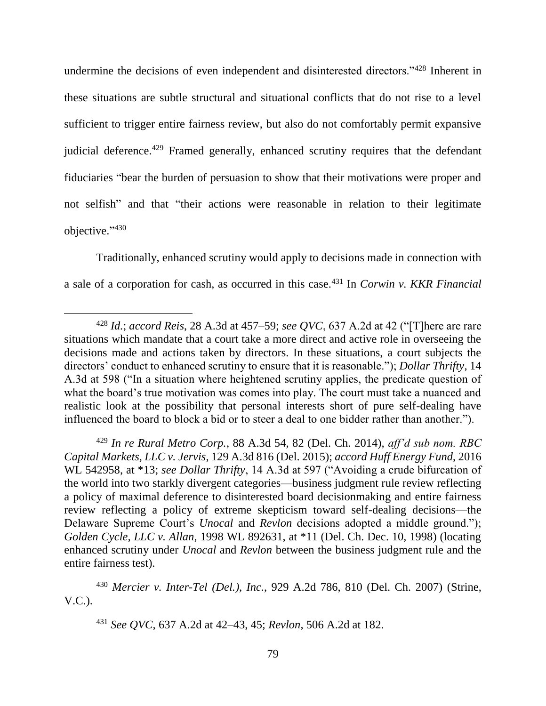undermine the decisions of even independent and disinterested directors."<sup>428</sup> Inherent in these situations are subtle structural and situational conflicts that do not rise to a level sufficient to trigger entire fairness review, but also do not comfortably permit expansive judicial deference.<sup>429</sup> Framed generally, enhanced scrutiny requires that the defendant fiduciaries "bear the burden of persuasion to show that their motivations were proper and not selfish" and that "their actions were reasonable in relation to their legitimate objective." 430

Traditionally, enhanced scrutiny would apply to decisions made in connection with a sale of a corporation for cash, as occurred in this case.<sup>431</sup> In *Corwin v. KKR Financial* 

 $\overline{a}$ 

<sup>429</sup> *In re Rural Metro Corp.*, 88 A.3d 54, 82 (Del. Ch. 2014), *aff'd sub nom. RBC Capital Markets, LLC v. Jervis*, 129 A.3d 816 (Del. 2015); *accord Huff Energy Fund*, 2016 WL 542958, at \*13; *see Dollar Thrifty*, 14 A.3d at 597 ("Avoiding a crude bifurcation of the world into two starkly divergent categories—business judgment rule review reflecting a policy of maximal deference to disinterested board decisionmaking and entire fairness review reflecting a policy of extreme skepticism toward self-dealing decisions—the Delaware Supreme Court's *Unocal* and *Revlon* decisions adopted a middle ground."); *Golden Cycle, LLC v. Allan*, 1998 WL 892631, at \*11 (Del. Ch. Dec. 10, 1998) (locating enhanced scrutiny under *Unocal* and *Revlon* between the business judgment rule and the entire fairness test).

<sup>430</sup> *Mercier v. Inter-Tel (Del.), Inc.*, 929 A.2d 786, 810 (Del. Ch. 2007) (Strine, V.C.).

<sup>428</sup> *Id.*; *accord Reis*, 28 A.3d at 457–59; *see QVC*, 637 A.2d at 42 ("[T]here are rare situations which mandate that a court take a more direct and active role in overseeing the decisions made and actions taken by directors. In these situations, a court subjects the directors' conduct to enhanced scrutiny to ensure that it is reasonable."); *Dollar Thrifty*, 14 A.3d at 598 ("In a situation where heightened scrutiny applies, the predicate question of what the board's true motivation was comes into play. The court must take a nuanced and realistic look at the possibility that personal interests short of pure self-dealing have influenced the board to block a bid or to steer a deal to one bidder rather than another.").

<sup>431</sup> *See QVC*, 637 A.2d at 42–43, 45; *Revlon*, 506 A.2d at 182.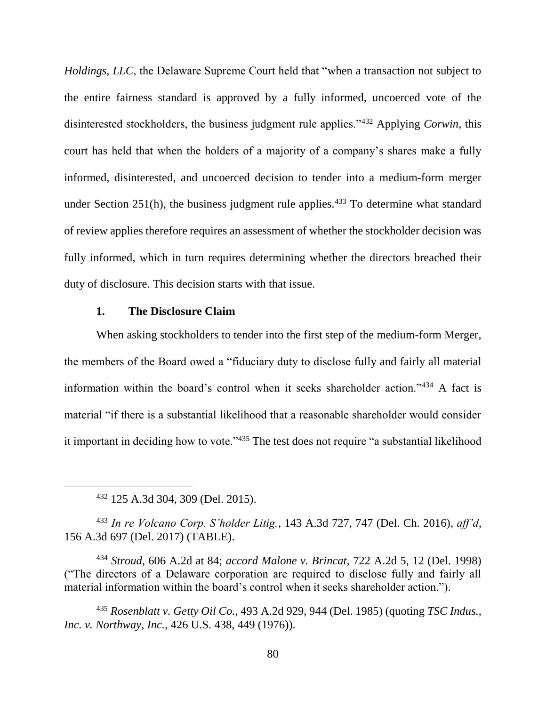*Holdings, LLC*, the Delaware Supreme Court held that "when a transaction not subject to the entire fairness standard is approved by a fully informed, uncoerced vote of the disinterested stockholders, the business judgment rule applies."<sup>432</sup> Applying *Corwin*, this court has held that when the holders of a majority of a company's shares make a fully informed, disinterested, and uncoerced decision to tender into a medium-form merger under Section  $251(h)$ , the business judgment rule applies.<sup>433</sup> To determine what standard of review applies therefore requires an assessment of whether the stockholder decision was fully informed, which in turn requires determining whether the directors breached their duty of disclosure. This decision starts with that issue.

# **1. The Disclosure Claim**

When asking stockholders to tender into the first step of the medium-form Merger, the members of the Board owed a "fiduciary duty to disclose fully and fairly all material information within the board's control when it seeks shareholder action."<sup>434</sup> A fact is material "if there is a substantial likelihood that a reasonable shareholder would consider it important in deciding how to vote."<sup>435</sup> The test does not require "a substantial likelihood

<sup>432</sup> 125 A.3d 304, 309 (Del. 2015).

 $\overline{a}$ 

<sup>433</sup> *In re Volcano Corp. S'holder Litig.*, 143 A.3d 727, 747 (Del. Ch. 2016), *aff'd*, 156 A.3d 697 (Del. 2017) (TABLE).

<sup>434</sup> *Stroud*, 606 A.2d at 84; *accord Malone v. Brincat*, 722 A.2d 5, 12 (Del. 1998) ("The directors of a Delaware corporation are required to disclose fully and fairly all material information within the board's control when it seeks shareholder action.").

<sup>435</sup> *Rosenblatt v. Getty Oil Co.*, 493 A.2d 929, 944 (Del. 1985) (quoting *TSC Indus., Inc. v. Northway, Inc.*, 426 U.S. 438, 449 (1976)).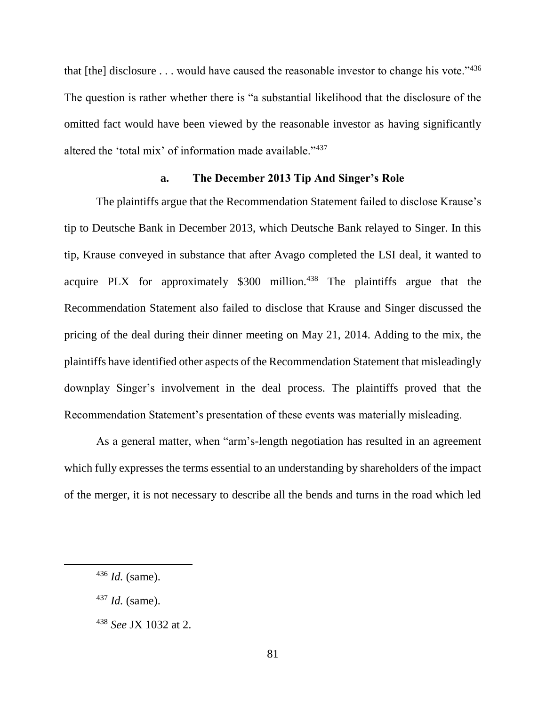that [the] disclosure . . . would have caused the reasonable investor to change his vote."436 The question is rather whether there is "a substantial likelihood that the disclosure of the omitted fact would have been viewed by the reasonable investor as having significantly altered the 'total mix' of information made available."<sup>437</sup>

### **a. The December 2013 Tip And Singer's Role**

The plaintiffs argue that the Recommendation Statement failed to disclose Krause's tip to Deutsche Bank in December 2013, which Deutsche Bank relayed to Singer. In this tip, Krause conveyed in substance that after Avago completed the LSI deal, it wanted to acquire PLX for approximately  $$300$  million.<sup>438</sup> The plaintiffs argue that the Recommendation Statement also failed to disclose that Krause and Singer discussed the pricing of the deal during their dinner meeting on May 21, 2014. Adding to the mix, the plaintiffs have identified other aspects of the Recommendation Statement that misleadingly downplay Singer's involvement in the deal process. The plaintiffs proved that the Recommendation Statement's presentation of these events was materially misleading.

As a general matter, when "arm's-length negotiation has resulted in an agreement which fully expresses the terms essential to an understanding by shareholders of the impact of the merger, it is not necessary to describe all the bends and turns in the road which led

<sup>436</sup> *Id.* (same).

<sup>437</sup> *Id.* (same).

<sup>438</sup> *See* JX 1032 at 2.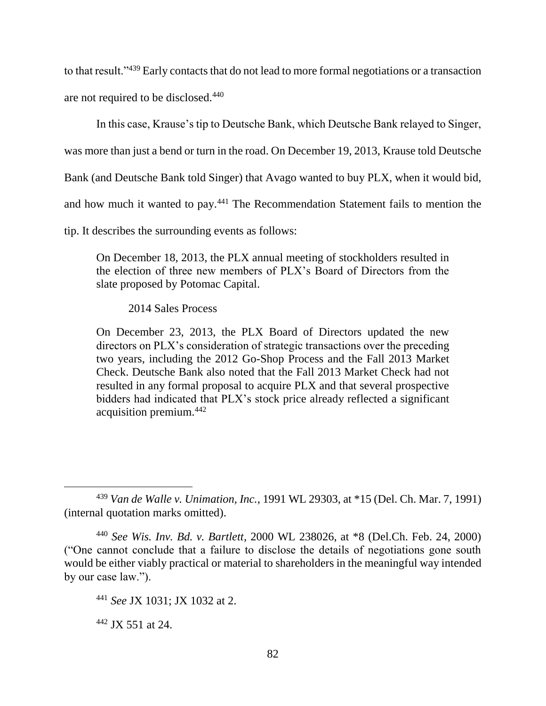to that result."<sup>439</sup> Early contacts that do not lead to more formal negotiations or a transaction are not required to be disclosed.<sup>440</sup>

In this case, Krause's tip to Deutsche Bank, which Deutsche Bank relayed to Singer,

was more than just a bend or turn in the road. On December 19, 2013, Krause told Deutsche

Bank (and Deutsche Bank told Singer) that Avago wanted to buy PLX, when it would bid,

and how much it wanted to pay.<sup>441</sup> The Recommendation Statement fails to mention the

tip. It describes the surrounding events as follows:

On December 18, 2013, the PLX annual meeting of stockholders resulted in the election of three new members of PLX's Board of Directors from the slate proposed by Potomac Capital.

2014 Sales Process

On December 23, 2013, the PLX Board of Directors updated the new directors on PLX's consideration of strategic transactions over the preceding two years, including the 2012 Go-Shop Process and the Fall 2013 Market Check. Deutsche Bank also noted that the Fall 2013 Market Check had not resulted in any formal proposal to acquire PLX and that several prospective bidders had indicated that PLX's stock price already reflected a significant acquisition premium.<sup>442</sup>

<sup>439</sup> *Van de Walle v. Unimation, Inc.*, 1991 WL 29303, at \*15 (Del. Ch. Mar. 7, 1991) (internal quotation marks omitted).

<sup>440</sup> *See Wis. Inv. Bd. v. Bartlett*, 2000 WL 238026, at \*8 (Del.Ch. Feb. 24, 2000) ("One cannot conclude that a failure to disclose the details of negotiations gone south would be either viably practical or material to shareholders in the meaningful way intended by our case law.").

<sup>441</sup> *See* JX 1031; JX 1032 at 2.

 $442$  JX 551 at 24.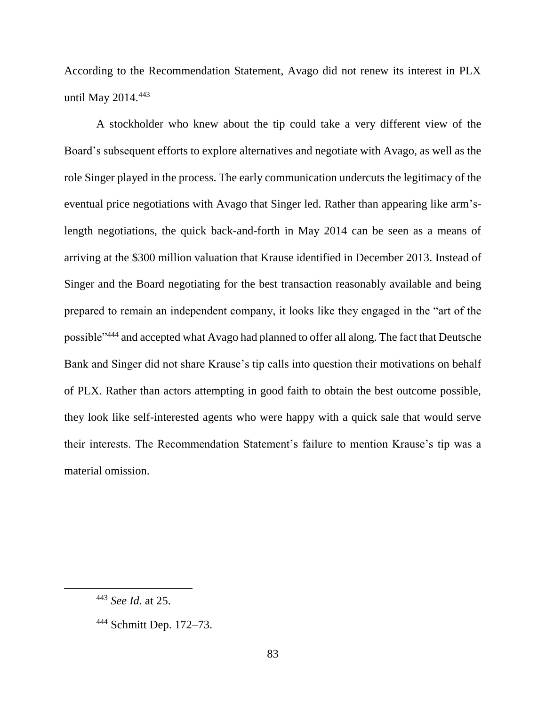According to the Recommendation Statement, Avago did not renew its interest in PLX until May 2014.<sup>443</sup>

A stockholder who knew about the tip could take a very different view of the Board's subsequent efforts to explore alternatives and negotiate with Avago, as well as the role Singer played in the process. The early communication undercuts the legitimacy of the eventual price negotiations with Avago that Singer led. Rather than appearing like arm'slength negotiations, the quick back-and-forth in May 2014 can be seen as a means of arriving at the \$300 million valuation that Krause identified in December 2013. Instead of Singer and the Board negotiating for the best transaction reasonably available and being prepared to remain an independent company, it looks like they engaged in the "art of the possible"<sup>444</sup> and accepted what Avago had planned to offer all along. The fact that Deutsche Bank and Singer did not share Krause's tip calls into question their motivations on behalf of PLX. Rather than actors attempting in good faith to obtain the best outcome possible, they look like self-interested agents who were happy with a quick sale that would serve their interests. The Recommendation Statement's failure to mention Krause's tip was a material omission.

<sup>443</sup> *See Id.* at 25.

<sup>444</sup> Schmitt Dep. 172–73.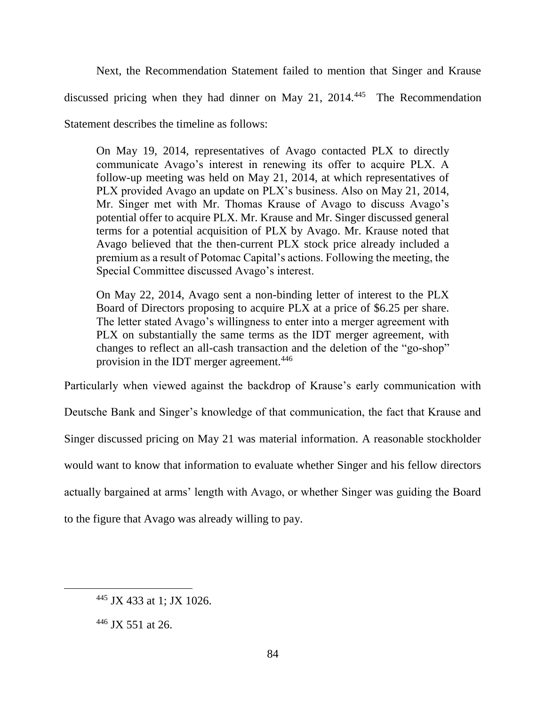Next, the Recommendation Statement failed to mention that Singer and Krause discussed pricing when they had dinner on May 21, 2014.<sup>445</sup> The Recommendation Statement describes the timeline as follows:

On May 19, 2014, representatives of Avago contacted PLX to directly communicate Avago's interest in renewing its offer to acquire PLX. A follow-up meeting was held on May 21, 2014, at which representatives of PLX provided Avago an update on PLX's business. Also on May 21, 2014, Mr. Singer met with Mr. Thomas Krause of Avago to discuss Avago's potential offer to acquire PLX. Mr. Krause and Mr. Singer discussed general terms for a potential acquisition of PLX by Avago. Mr. Krause noted that Avago believed that the then-current PLX stock price already included a premium as a result of Potomac Capital's actions. Following the meeting, the Special Committee discussed Avago's interest.

On May 22, 2014, Avago sent a non-binding letter of interest to the PLX Board of Directors proposing to acquire PLX at a price of \$6.25 per share. The letter stated Avago's willingness to enter into a merger agreement with PLX on substantially the same terms as the IDT merger agreement, with changes to reflect an all-cash transaction and the deletion of the "go-shop" provision in the IDT merger agreement.<sup>446</sup>

Particularly when viewed against the backdrop of Krause's early communication with

Deutsche Bank and Singer's knowledge of that communication, the fact that Krause and

Singer discussed pricing on May 21 was material information. A reasonable stockholder

would want to know that information to evaluate whether Singer and his fellow directors

actually bargained at arms' length with Avago, or whether Singer was guiding the Board

to the figure that Avago was already willing to pay.

<sup>445</sup> JX 433 at 1; JX 1026.

 $446$  JX 551 at 26.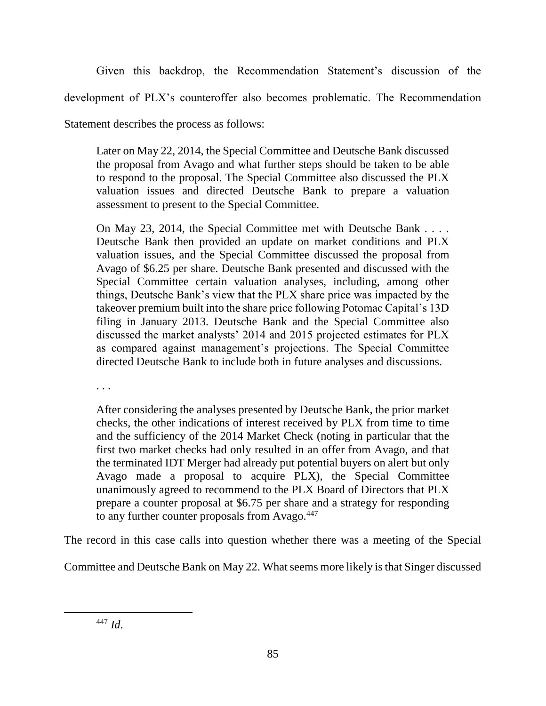Given this backdrop, the Recommendation Statement's discussion of the

development of PLX's counteroffer also becomes problematic. The Recommendation

Statement describes the process as follows:

Later on May 22, 2014, the Special Committee and Deutsche Bank discussed the proposal from Avago and what further steps should be taken to be able to respond to the proposal. The Special Committee also discussed the PLX valuation issues and directed Deutsche Bank to prepare a valuation assessment to present to the Special Committee.

On May 23, 2014, the Special Committee met with Deutsche Bank . . . . Deutsche Bank then provided an update on market conditions and PLX valuation issues, and the Special Committee discussed the proposal from Avago of \$6.25 per share. Deutsche Bank presented and discussed with the Special Committee certain valuation analyses, including, among other things, Deutsche Bank's view that the PLX share price was impacted by the takeover premium built into the share price following Potomac Capital's 13D filing in January 2013. Deutsche Bank and the Special Committee also discussed the market analysts' 2014 and 2015 projected estimates for PLX as compared against management's projections. The Special Committee directed Deutsche Bank to include both in future analyses and discussions.

. . .

After considering the analyses presented by Deutsche Bank, the prior market checks, the other indications of interest received by PLX from time to time and the sufficiency of the 2014 Market Check (noting in particular that the first two market checks had only resulted in an offer from Avago, and that the terminated IDT Merger had already put potential buyers on alert but only Avago made a proposal to acquire PLX), the Special Committee unanimously agreed to recommend to the PLX Board of Directors that PLX prepare a counter proposal at \$6.75 per share and a strategy for responding to any further counter proposals from Avago.<sup>447</sup>

The record in this case calls into question whether there was a meeting of the Special

Committee and Deutsche Bank on May 22. What seems more likely is that Singer discussed

<sup>447</sup> *Id*.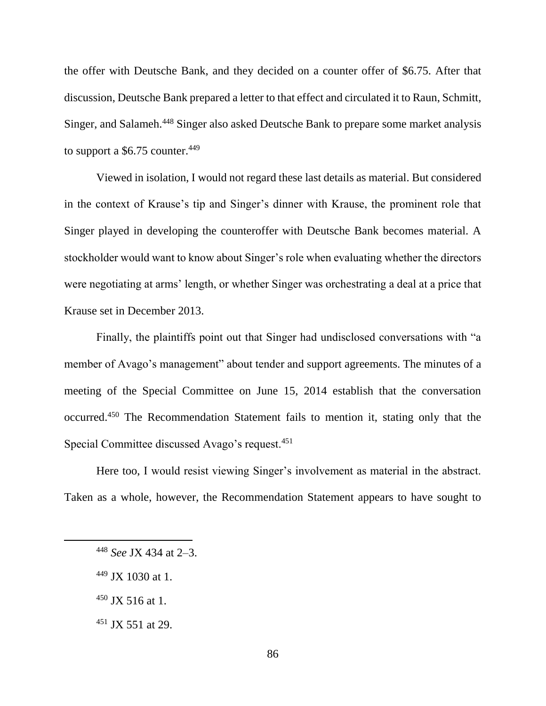the offer with Deutsche Bank, and they decided on a counter offer of \$6.75. After that discussion, Deutsche Bank prepared a letter to that effect and circulated it to Raun, Schmitt, Singer, and Salameh.<sup>448</sup> Singer also asked Deutsche Bank to prepare some market analysis to support a  $$6.75$  counter.<sup>449</sup>

Viewed in isolation, I would not regard these last details as material. But considered in the context of Krause's tip and Singer's dinner with Krause, the prominent role that Singer played in developing the counteroffer with Deutsche Bank becomes material. A stockholder would want to know about Singer's role when evaluating whether the directors were negotiating at arms' length, or whether Singer was orchestrating a deal at a price that Krause set in December 2013.

Finally, the plaintiffs point out that Singer had undisclosed conversations with "a member of Avago's management" about tender and support agreements. The minutes of a meeting of the Special Committee on June 15, 2014 establish that the conversation occurred.<sup>450</sup> The Recommendation Statement fails to mention it, stating only that the Special Committee discussed Avago's request.<sup>451</sup>

Here too, I would resist viewing Singer's involvement as material in the abstract. Taken as a whole, however, the Recommendation Statement appears to have sought to

- $450$  JX 516 at 1.
- $451$  JX 551 at 29.

<sup>448</sup> *See* JX 434 at 2–3.

<sup>449</sup> JX 1030 at 1.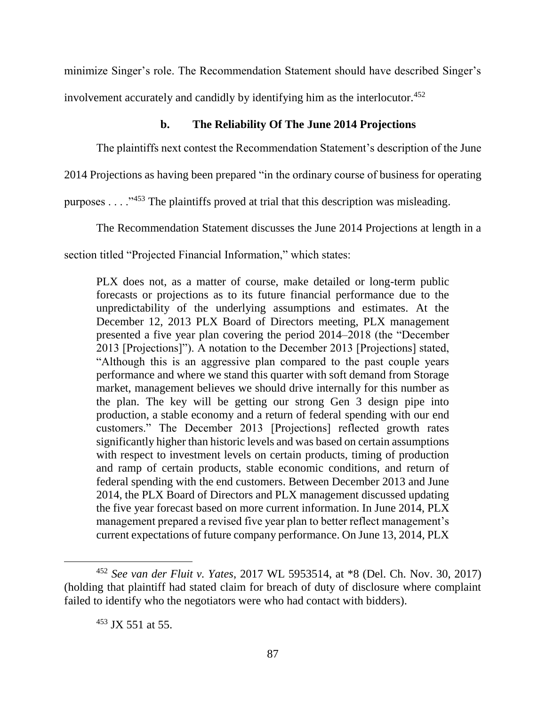minimize Singer's role. The Recommendation Statement should have described Singer's involvement accurately and candidly by identifying him as the interlocutor.<sup>452</sup>

# **b. The Reliability Of The June 2014 Projections**

The plaintiffs next contest the Recommendation Statement's description of the June

2014 Projections as having been prepared "in the ordinary course of business for operating

purposes . . . ."<sup>453</sup> The plaintiffs proved at trial that this description was misleading.

The Recommendation Statement discusses the June 2014 Projections at length in a

section titled "Projected Financial Information," which states:

PLX does not, as a matter of course, make detailed or long-term public forecasts or projections as to its future financial performance due to the unpredictability of the underlying assumptions and estimates. At the December 12, 2013 PLX Board of Directors meeting, PLX management presented a five year plan covering the period 2014–2018 (the "December 2013 [Projections]"). A notation to the December 2013 [Projections] stated, "Although this is an aggressive plan compared to the past couple years performance and where we stand this quarter with soft demand from Storage market, management believes we should drive internally for this number as the plan. The key will be getting our strong Gen 3 design pipe into production, a stable economy and a return of federal spending with our end customers." The December 2013 [Projections] reflected growth rates significantly higher than historic levels and was based on certain assumptions with respect to investment levels on certain products, timing of production and ramp of certain products, stable economic conditions, and return of federal spending with the end customers. Between December 2013 and June 2014, the PLX Board of Directors and PLX management discussed updating the five year forecast based on more current information. In June 2014, PLX management prepared a revised five year plan to better reflect management's current expectations of future company performance. On June 13, 2014, PLX

<sup>452</sup> *See van der Fluit v. Yates*, 2017 WL 5953514, at \*8 (Del. Ch. Nov. 30, 2017) (holding that plaintiff had stated claim for breach of duty of disclosure where complaint failed to identify who the negotiators were who had contact with bidders).

<sup>453</sup> JX 551 at 55.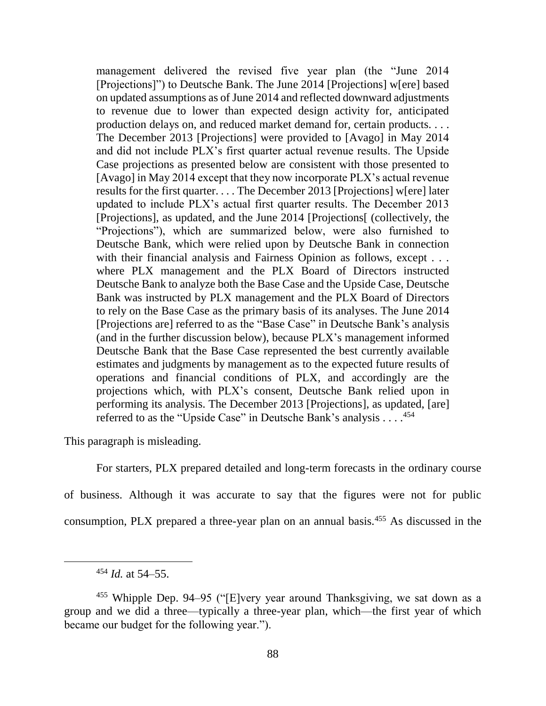management delivered the revised five year plan (the "June 2014 [Projections]") to Deutsche Bank. The June 2014 [Projections] w[ere] based on updated assumptions as of June 2014 and reflected downward adjustments to revenue due to lower than expected design activity for, anticipated production delays on, and reduced market demand for, certain products. . . . The December 2013 [Projections] were provided to [Avago] in May 2014 and did not include PLX's first quarter actual revenue results. The Upside Case projections as presented below are consistent with those presented to [Avago] in May 2014 except that they now incorporate PLX's actual revenue results for the first quarter. . . . The December 2013 [Projections] w[ere] later updated to include PLX's actual first quarter results. The December 2013 [Projections], as updated, and the June 2014 [Projections[ (collectively, the "Projections"), which are summarized below, were also furnished to Deutsche Bank, which were relied upon by Deutsche Bank in connection with their financial analysis and Fairness Opinion as follows, except . . . where PLX management and the PLX Board of Directors instructed Deutsche Bank to analyze both the Base Case and the Upside Case, Deutsche Bank was instructed by PLX management and the PLX Board of Directors to rely on the Base Case as the primary basis of its analyses. The June 2014 [Projections are] referred to as the "Base Case" in Deutsche Bank's analysis (and in the further discussion below), because PLX's management informed Deutsche Bank that the Base Case represented the best currently available estimates and judgments by management as to the expected future results of operations and financial conditions of PLX, and accordingly are the projections which, with PLX's consent, Deutsche Bank relied upon in performing its analysis. The December 2013 [Projections], as updated, [are] referred to as the "Upside Case" in Deutsche Bank's analysis . . . .<sup>454</sup>

This paragraph is misleading.

For starters, PLX prepared detailed and long-term forecasts in the ordinary course

of business. Although it was accurate to say that the figures were not for public

consumption, PLX prepared a three-year plan on an annual basis.<sup>455</sup> As discussed in the

<sup>454</sup> *Id.* at 54–55.

<sup>455</sup> Whipple Dep. 94–95 ("[E]very year around Thanksgiving, we sat down as a group and we did a three—typically a three-year plan, which—the first year of which became our budget for the following year.").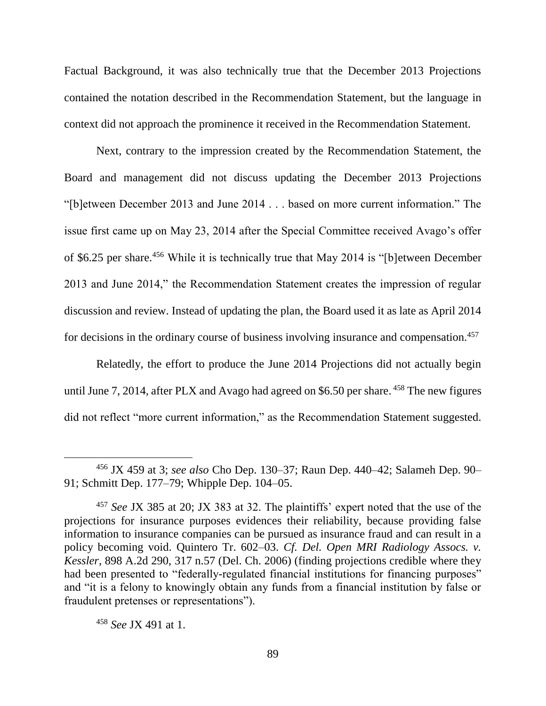Factual Background, it was also technically true that the December 2013 Projections contained the notation described in the Recommendation Statement, but the language in context did not approach the prominence it received in the Recommendation Statement.

Next, contrary to the impression created by the Recommendation Statement, the Board and management did not discuss updating the December 2013 Projections "[b]etween December 2013 and June 2014 . . . based on more current information." The issue first came up on May 23, 2014 after the Special Committee received Avago's offer of \$6.25 per share.<sup>456</sup> While it is technically true that May 2014 is "[b]etween December 2013 and June 2014," the Recommendation Statement creates the impression of regular discussion and review. Instead of updating the plan, the Board used it as late as April 2014 for decisions in the ordinary course of business involving insurance and compensation.<sup>457</sup>

Relatedly, the effort to produce the June 2014 Projections did not actually begin until June 7, 2014, after PLX and Avago had agreed on \$6.50 per share. <sup>458</sup> The new figures did not reflect "more current information," as the Recommendation Statement suggested.

<sup>456</sup> JX 459 at 3; *see also* Cho Dep. 130–37; Raun Dep. 440–42; Salameh Dep. 90– 91; Schmitt Dep. 177–79; Whipple Dep. 104–05.

<sup>457</sup> *See* JX 385 at 20; JX 383 at 32. The plaintiffs' expert noted that the use of the projections for insurance purposes evidences their reliability, because providing false information to insurance companies can be pursued as insurance fraud and can result in a policy becoming void. Quintero Tr. 602–03. *Cf. Del. Open MRI Radiology Assocs. v. Kessler*, 898 A.2d 290, 317 n.57 (Del. Ch. 2006) (finding projections credible where they had been presented to "federally-regulated financial institutions for financing purposes" and "it is a felony to knowingly obtain any funds from a financial institution by false or fraudulent pretenses or representations").

<sup>458</sup> *See* JX 491 at 1.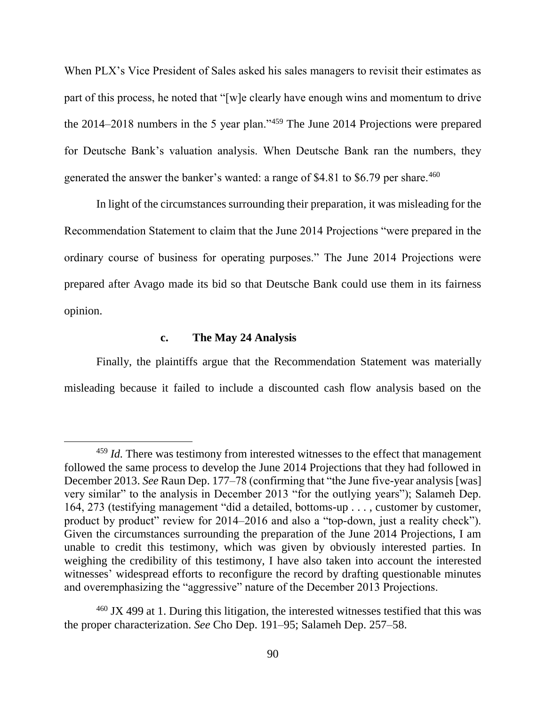When PLX's Vice President of Sales asked his sales managers to revisit their estimates as part of this process, he noted that "[w]e clearly have enough wins and momentum to drive the 2014–2018 numbers in the 5 year plan."<sup>459</sup> The June 2014 Projections were prepared for Deutsche Bank's valuation analysis. When Deutsche Bank ran the numbers, they generated the answer the banker's wanted: a range of \$4.81 to \$6.79 per share.<sup>460</sup>

In light of the circumstances surrounding their preparation, it was misleading for the Recommendation Statement to claim that the June 2014 Projections "were prepared in the ordinary course of business for operating purposes." The June 2014 Projections were prepared after Avago made its bid so that Deutsche Bank could use them in its fairness opinion.

## **c. The May 24 Analysis**

 $\overline{a}$ 

Finally, the plaintiffs argue that the Recommendation Statement was materially misleading because it failed to include a discounted cash flow analysis based on the

<sup>459</sup> *Id.* There was testimony from interested witnesses to the effect that management followed the same process to develop the June 2014 Projections that they had followed in December 2013. *See* Raun Dep. 177–78 (confirming that "the June five-year analysis [was] very similar" to the analysis in December 2013 "for the outlying years"); Salameh Dep. 164, 273 (testifying management "did a detailed, bottoms-up . . . , customer by customer, product by product" review for 2014–2016 and also a "top-down, just a reality check"). Given the circumstances surrounding the preparation of the June 2014 Projections, I am unable to credit this testimony, which was given by obviously interested parties. In weighing the credibility of this testimony, I have also taken into account the interested witnesses' widespread efforts to reconfigure the record by drafting questionable minutes and overemphasizing the "aggressive" nature of the December 2013 Projections.

 $460$  JX 499 at 1. During this litigation, the interested witnesses testified that this was the proper characterization. *See* Cho Dep. 191–95; Salameh Dep. 257–58.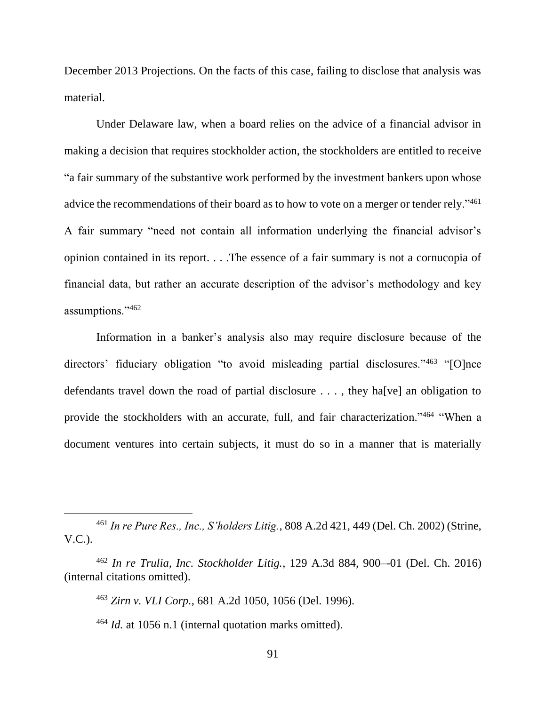December 2013 Projections. On the facts of this case, failing to disclose that analysis was material.

Under Delaware law, when a board relies on the advice of a financial advisor in making a decision that requires stockholder action, the stockholders are entitled to receive "a fair summary of the substantive work performed by the investment bankers upon whose advice the recommendations of their board as to how to vote on a merger or tender rely."<sup>461</sup> A fair summary "need not contain all information underlying the financial advisor's opinion contained in its report. . . .The essence of a fair summary is not a cornucopia of financial data, but rather an accurate description of the advisor's methodology and key assumptions."<sup>462</sup>

Information in a banker's analysis also may require disclosure because of the directors' fiduciary obligation "to avoid misleading partial disclosures."<sup>463</sup> "[O]nce defendants travel down the road of partial disclosure . . . , they ha[ve] an obligation to provide the stockholders with an accurate, full, and fair characterization."<sup>464</sup> "When a document ventures into certain subjects, it must do so in a manner that is materially

<sup>461</sup> *In re Pure Res., Inc., S'holders Litig.*, 808 A.2d 421, 449 (Del. Ch. 2002) (Strine, V.C.).

<sup>462</sup> *In re Trulia, Inc. Stockholder Litig.*, 129 A.3d 884, 900–-01 (Del. Ch. 2016) (internal citations omitted).

<sup>463</sup> *Zirn v. VLI Corp.*, 681 A.2d 1050, 1056 (Del. 1996).

<sup>464</sup> *Id.* at 1056 n.1 (internal quotation marks omitted).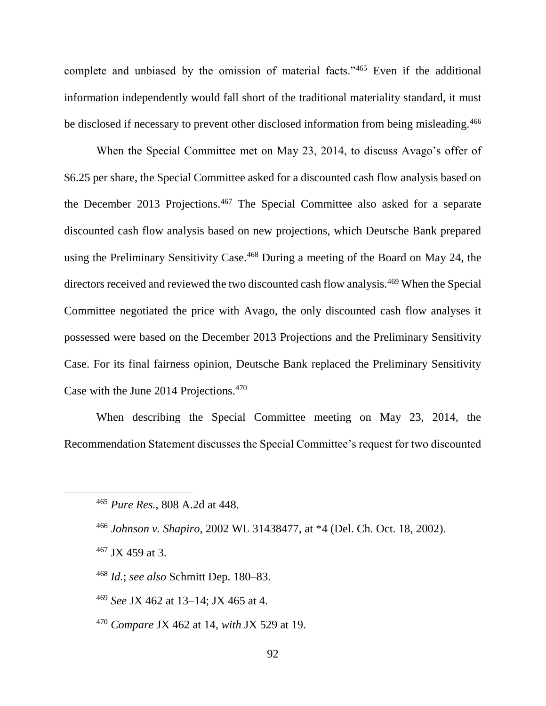complete and unbiased by the omission of material facts."<sup>465</sup> Even if the additional information independently would fall short of the traditional materiality standard, it must be disclosed if necessary to prevent other disclosed information from being misleading.<sup>466</sup>

When the Special Committee met on May 23, 2014, to discuss Avago's offer of \$6.25 per share, the Special Committee asked for a discounted cash flow analysis based on the December 2013 Projections.<sup>467</sup> The Special Committee also asked for a separate discounted cash flow analysis based on new projections, which Deutsche Bank prepared using the Preliminary Sensitivity Case.<sup>468</sup> During a meeting of the Board on May 24, the directors received and reviewed the two discounted cash flow analysis.<sup>469</sup> When the Special Committee negotiated the price with Avago, the only discounted cash flow analyses it possessed were based on the December 2013 Projections and the Preliminary Sensitivity Case. For its final fairness opinion, Deutsche Bank replaced the Preliminary Sensitivity Case with the June 2014 Projections.<sup>470</sup>

When describing the Special Committee meeting on May 23, 2014, the Recommendation Statement discusses the Special Committee's request for two discounted

- <sup>469</sup> *See* JX 462 at 13–14; JX 465 at 4.
- <sup>470</sup> *Compare* JX 462 at 14, *with* JX 529 at 19.

<sup>465</sup> *Pure Res.*, 808 A.2d at 448.

<sup>466</sup> *Johnson v. Shapiro*, 2002 WL 31438477, at \*4 (Del. Ch. Oct. 18, 2002).

 $467$  JX 459 at 3.

<sup>468</sup> *Id.*; *see also* Schmitt Dep. 180–83.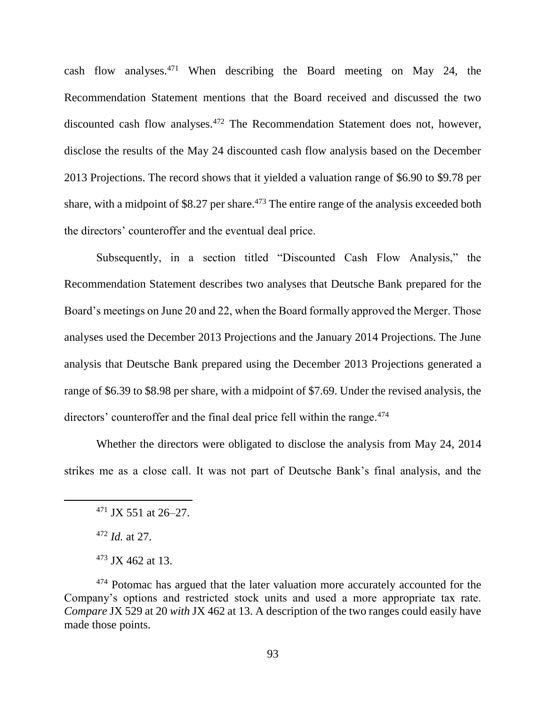cash flow analyses.<sup>471</sup> When describing the Board meeting on May 24, the Recommendation Statement mentions that the Board received and discussed the two discounted cash flow analyses.<sup>472</sup> The Recommendation Statement does not, however, disclose the results of the May 24 discounted cash flow analysis based on the December 2013 Projections. The record shows that it yielded a valuation range of \$6.90 to \$9.78 per share, with a midpoint of \$8.27 per share.<sup>473</sup> The entire range of the analysis exceeded both the directors' counteroffer and the eventual deal price.

Subsequently, in a section titled "Discounted Cash Flow Analysis," the Recommendation Statement describes two analyses that Deutsche Bank prepared for the Board's meetings on June 20 and 22, when the Board formally approved the Merger. Those analyses used the December 2013 Projections and the January 2014 Projections. The June analysis that Deutsche Bank prepared using the December 2013 Projections generated a range of \$6.39 to \$8.98 per share, with a midpoint of \$7.69. Under the revised analysis, the directors' counteroffer and the final deal price fell within the range.<sup>474</sup>

Whether the directors were obligated to disclose the analysis from May 24, 2014 strikes me as a close call. It was not part of Deutsche Bank's final analysis, and the

 $471$  JX 551 at 26–27.

<sup>472</sup> *Id.* at 27.

 $473$  JX 462 at 13.

<sup>&</sup>lt;sup>474</sup> Potomac has argued that the later valuation more accurately accounted for the Company's options and restricted stock units and used a more appropriate tax rate. *Compare* JX 529 at 20 *with* JX 462 at 13. A description of the two ranges could easily have made those points.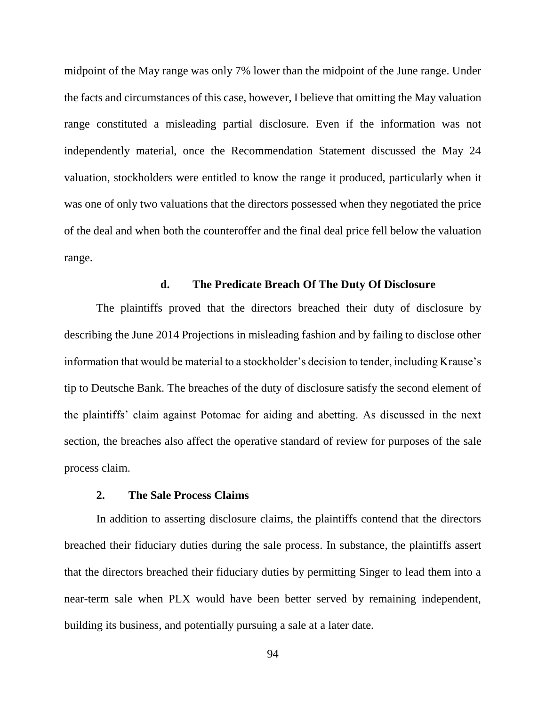midpoint of the May range was only 7% lower than the midpoint of the June range. Under the facts and circumstances of this case, however, I believe that omitting the May valuation range constituted a misleading partial disclosure. Even if the information was not independently material, once the Recommendation Statement discussed the May 24 valuation, stockholders were entitled to know the range it produced, particularly when it was one of only two valuations that the directors possessed when they negotiated the price of the deal and when both the counteroffer and the final deal price fell below the valuation range.

## **d. The Predicate Breach Of The Duty Of Disclosure**

The plaintiffs proved that the directors breached their duty of disclosure by describing the June 2014 Projections in misleading fashion and by failing to disclose other information that would be material to a stockholder's decision to tender, including Krause's tip to Deutsche Bank. The breaches of the duty of disclosure satisfy the second element of the plaintiffs' claim against Potomac for aiding and abetting. As discussed in the next section, the breaches also affect the operative standard of review for purposes of the sale process claim.

#### **2. The Sale Process Claims**

In addition to asserting disclosure claims, the plaintiffs contend that the directors breached their fiduciary duties during the sale process. In substance, the plaintiffs assert that the directors breached their fiduciary duties by permitting Singer to lead them into a near-term sale when PLX would have been better served by remaining independent, building its business, and potentially pursuing a sale at a later date.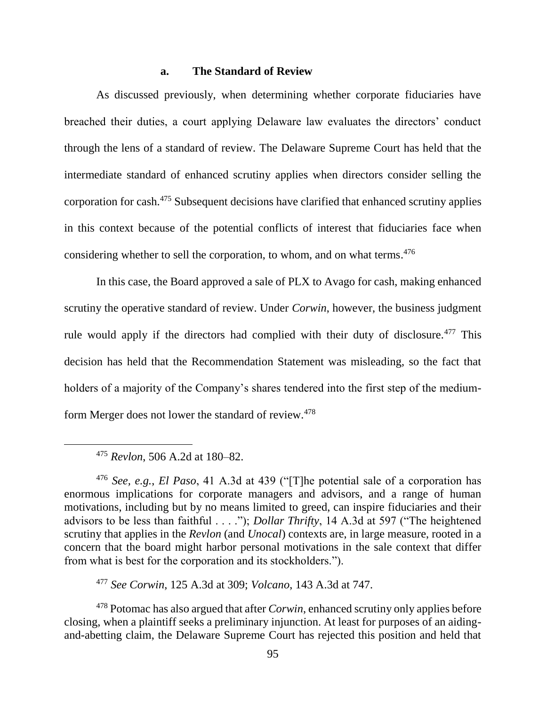## **a. The Standard of Review**

As discussed previously, when determining whether corporate fiduciaries have breached their duties, a court applying Delaware law evaluates the directors' conduct through the lens of a standard of review. The Delaware Supreme Court has held that the intermediate standard of enhanced scrutiny applies when directors consider selling the corporation for cash. <sup>475</sup> Subsequent decisions have clarified that enhanced scrutiny applies in this context because of the potential conflicts of interest that fiduciaries face when considering whether to sell the corporation, to whom, and on what terms.<sup>476</sup>

In this case, the Board approved a sale of PLX to Avago for cash, making enhanced scrutiny the operative standard of review. Under *Corwin*, however, the business judgment rule would apply if the directors had complied with their duty of disclosure.<sup>477</sup> This decision has held that the Recommendation Statement was misleading, so the fact that holders of a majority of the Company's shares tendered into the first step of the mediumform Merger does not lower the standard of review.<sup>478</sup>

<sup>476</sup> *See, e.g.*, *El Paso*, 41 A.3d at 439 ("[T]he potential sale of a corporation has enormous implications for corporate managers and advisors, and a range of human motivations, including but by no means limited to greed, can inspire fiduciaries and their advisors to be less than faithful . . . ."); *Dollar Thrifty*, 14 A.3d at 597 ("The heightened scrutiny that applies in the *Revlon* (and *Unocal*) contexts are, in large measure, rooted in a concern that the board might harbor personal motivations in the sale context that differ from what is best for the corporation and its stockholders.").

<sup>477</sup> *See Corwin*, 125 A.3d at 309; *Volcano*, 143 A.3d at 747.

<sup>478</sup> Potomac has also argued that after *Corwin*, enhanced scrutiny only applies before closing, when a plaintiff seeks a preliminary injunction. At least for purposes of an aidingand-abetting claim, the Delaware Supreme Court has rejected this position and held that

<sup>475</sup> *Revlon*, 506 A.2d at 180–82.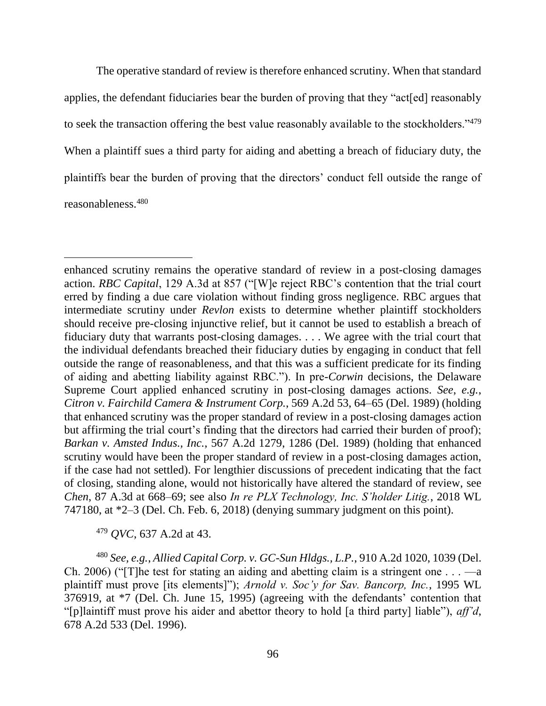The operative standard of review is therefore enhanced scrutiny. When that standard applies, the defendant fiduciaries bear the burden of proving that they "act[ed] reasonably to seek the transaction offering the best value reasonably available to the stockholders."<sup>479</sup> When a plaintiff sues a third party for aiding and abetting a breach of fiduciary duty, the plaintiffs bear the burden of proving that the directors' conduct fell outside the range of reasonableness.<sup>480</sup>

enhanced scrutiny remains the operative standard of review in a post-closing damages action. *RBC Capital*, 129 A.3d at 857 ("[W]e reject RBC's contention that the trial court erred by finding a due care violation without finding gross negligence. RBC argues that intermediate scrutiny under *Revlon* exists to determine whether plaintiff stockholders should receive pre-closing injunctive relief, but it cannot be used to establish a breach of fiduciary duty that warrants post-closing damages. . . . We agree with the trial court that the individual defendants breached their fiduciary duties by engaging in conduct that fell outside the range of reasonableness, and that this was a sufficient predicate for its finding of aiding and abetting liability against RBC."). In pre-*Corwin* decisions, the Delaware Supreme Court applied enhanced scrutiny in post-closing damages actions. *See*, *e.g.*, *Citron v. Fairchild Camera & Instrument Corp.*, 569 A.2d 53, 64–65 (Del. 1989) (holding that enhanced scrutiny was the proper standard of review in a post-closing damages action but affirming the trial court's finding that the directors had carried their burden of proof); *Barkan v. Amsted Indus., Inc.*, 567 A.2d 1279, 1286 (Del. 1989) (holding that enhanced scrutiny would have been the proper standard of review in a post-closing damages action, if the case had not settled). For lengthier discussions of precedent indicating that the fact of closing, standing alone, would not historically have altered the standard of review, see *Chen*, 87 A.3d at 668–69; see also *In re PLX Technology, Inc. S'holder Litig.*, 2018 WL 747180, at \*2–3 (Del. Ch. Feb. 6, 2018) (denying summary judgment on this point).

<sup>479</sup> *QVC*, 637 A.2d at 43.

<sup>480</sup> *See, e.g.*, *Allied Capital Corp. v. GC-Sun Hldgs., L.P.*, 910 A.2d 1020, 1039 (Del. Ch. 2006) ("[T] he test for stating an aiding and abetting claim is a stringent one  $\dots$  —a plaintiff must prove [its elements]"); *Arnold v. Soc'y for Sav. Bancorp, Inc.*, 1995 WL 376919, at \*7 (Del. Ch. June 15, 1995) (agreeing with the defendants' contention that "[p]laintiff must prove his aider and abettor theory to hold [a third party] liable"), *aff'd*, 678 A.2d 533 (Del. 1996).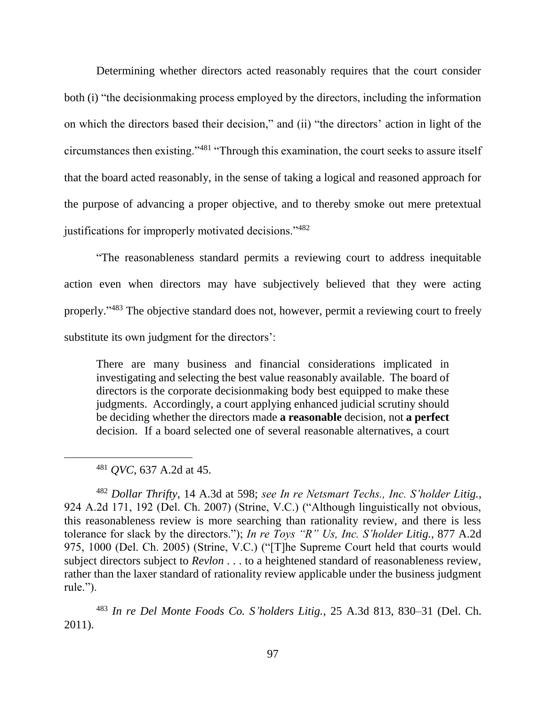Determining whether directors acted reasonably requires that the court consider both (i) "the decisionmaking process employed by the directors, including the information on which the directors based their decision," and (ii) "the directors' action in light of the circumstances then existing."<sup>481</sup> "Through this examination, the court seeks to assure itself that the board acted reasonably, in the sense of taking a logical and reasoned approach for the purpose of advancing a proper objective, and to thereby smoke out mere pretextual justifications for improperly motivated decisions."<sup>482</sup>

"The reasonableness standard permits a reviewing court to address inequitable action even when directors may have subjectively believed that they were acting properly."<sup>483</sup> The objective standard does not, however, permit a reviewing court to freely substitute its own judgment for the directors':

There are many business and financial considerations implicated in investigating and selecting the best value reasonably available. The board of directors is the corporate decisionmaking body best equipped to make these judgments. Accordingly, a court applying enhanced judicial scrutiny should be deciding whether the directors made **a reasonable** decision, not **a perfect**  decision. If a board selected one of several reasonable alternatives, a court

<sup>482</sup> *Dollar Thrifty*, 14 A.3d at 598; *see In re Netsmart Techs., Inc. S'holder Litig.*, 924 A.2d 171, 192 (Del. Ch. 2007) (Strine, V.C.) ("Although linguistically not obvious, this reasonableness review is more searching than rationality review, and there is less tolerance for slack by the directors."); *In re Toys "R" Us, Inc. S'holder Litig.*, 877 A.2d 975, 1000 (Del. Ch. 2005) (Strine, V.C.) ("[T]he Supreme Court held that courts would subject directors subject to *Revlon* . . . to a heightened standard of reasonableness review, rather than the laxer standard of rationality review applicable under the business judgment rule.").

<sup>483</sup> *In re Del Monte Foods Co. S'holders Litig.*, 25 A.3d 813, 830–31 (Del. Ch. 2011).

<sup>481</sup> *QVC*, 637 A.2d at 45.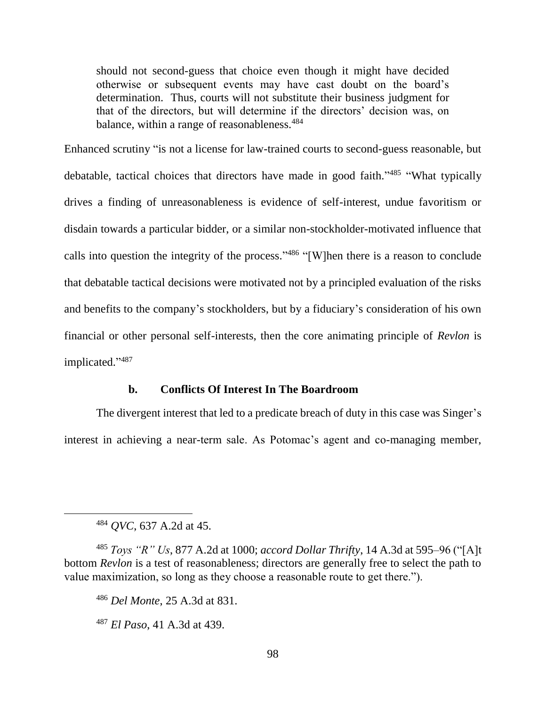should not second-guess that choice even though it might have decided otherwise or subsequent events may have cast doubt on the board's determination. Thus, courts will not substitute their business judgment for that of the directors, but will determine if the directors' decision was, on balance, within a range of reasonableness.<sup>484</sup>

Enhanced scrutiny "is not a license for law-trained courts to second-guess reasonable, but debatable, tactical choices that directors have made in good faith."<sup>485</sup> "What typically drives a finding of unreasonableness is evidence of self-interest, undue favoritism or disdain towards a particular bidder, or a similar non-stockholder-motivated influence that calls into question the integrity of the process." <sup>486</sup> "[W]hen there is a reason to conclude that debatable tactical decisions were motivated not by a principled evaluation of the risks and benefits to the company's stockholders, but by a fiduciary's consideration of his own financial or other personal self-interests, then the core animating principle of *Revlon* is implicated." 487

## **b. Conflicts Of Interest In The Boardroom**

The divergent interest that led to a predicate breach of duty in this case was Singer's interest in achieving a near-term sale. As Potomac's agent and co-managing member,

<sup>484</sup> *QVC*, 637 A.2d at 45.

<sup>485</sup> *Toys "R" Us*, 877 A.2d at 1000; *accord Dollar Thrifty*, 14 A.3d at 595–96 ("[A]t bottom *Revlon* is a test of reasonableness; directors are generally free to select the path to value maximization, so long as they choose a reasonable route to get there.").

<sup>486</sup> *Del Monte*, 25 A.3d at 831.

<sup>487</sup> *El Paso*, 41 A.3d at 439.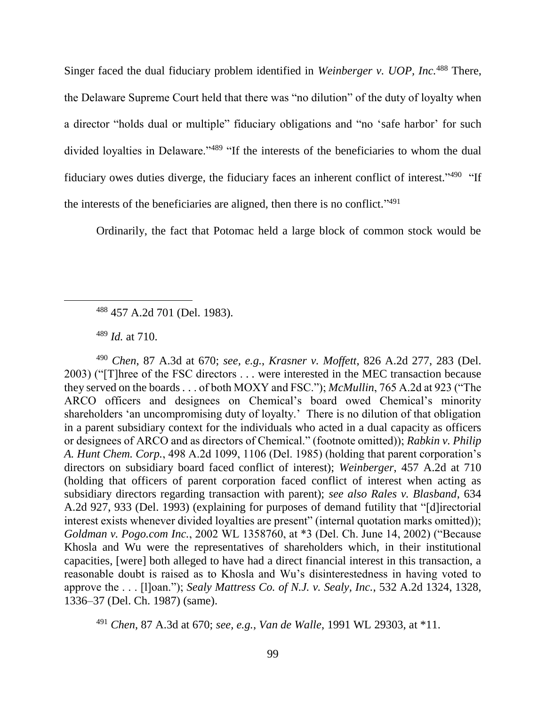Singer faced the dual fiduciary problem identified in *Weinberger v. UOP, Inc.*<sup>488</sup> There, the Delaware Supreme Court held that there was "no dilution" of the duty of loyalty when a director "holds dual or multiple" fiduciary obligations and "no 'safe harbor' for such divided loyalties in Delaware."<sup>489</sup> "If the interests of the beneficiaries to whom the dual fiduciary owes duties diverge, the fiduciary faces an inherent conflict of interest."<sup>490</sup> "If the interests of the beneficiaries are aligned, then there is no conflict."<sup>491</sup>

Ordinarily, the fact that Potomac held a large block of common stock would be

 $\overline{a}$ 

<sup>490</sup> *Chen*, 87 A.3d at 670; *see, e.g.*, *Krasner v. Moffett*, 826 A.2d 277, 283 (Del. 2003) ("[T]hree of the FSC directors . . . were interested in the MEC transaction because they served on the boards . . . of both MOXY and FSC."); *McMullin*, 765 A.2d at 923 ("The ARCO officers and designees on Chemical's board owed Chemical's minority shareholders 'an uncompromising duty of loyalty.' There is no dilution of that obligation in a parent subsidiary context for the individuals who acted in a dual capacity as officers or designees of ARCO and as directors of Chemical." (footnote omitted)); *Rabkin v. Philip A. Hunt Chem. Corp.*, 498 A.2d 1099, 1106 (Del. 1985) (holding that parent corporation's directors on subsidiary board faced conflict of interest); *Weinberger*, 457 A.2d at 710 (holding that officers of parent corporation faced conflict of interest when acting as subsidiary directors regarding transaction with parent); *see also Rales v. Blasband*, 634 A.2d 927, 933 (Del. 1993) (explaining for purposes of demand futility that "[d]irectorial interest exists whenever divided loyalties are present" (internal quotation marks omitted)); *Goldman v. Pogo.com Inc.*, 2002 WL 1358760, at \*3 (Del. Ch. June 14, 2002) ("Because Khosla and Wu were the representatives of shareholders which, in their institutional capacities, [were] both alleged to have had a direct financial interest in this transaction, a reasonable doubt is raised as to Khosla and Wu's disinterestedness in having voted to approve the . . . [l]oan."); *Sealy Mattress Co. of N.J. v. Sealy, Inc.*, 532 A.2d 1324, 1328, 1336–37 (Del. Ch. 1987) (same).

<sup>491</sup> *Chen*, 87 A.3d at 670; *see, e.g.*, *Van de Walle*, 1991 WL 29303, at \*11.

<sup>488</sup> 457 A.2d 701 (Del. 1983).

<sup>489</sup> *Id.* at 710.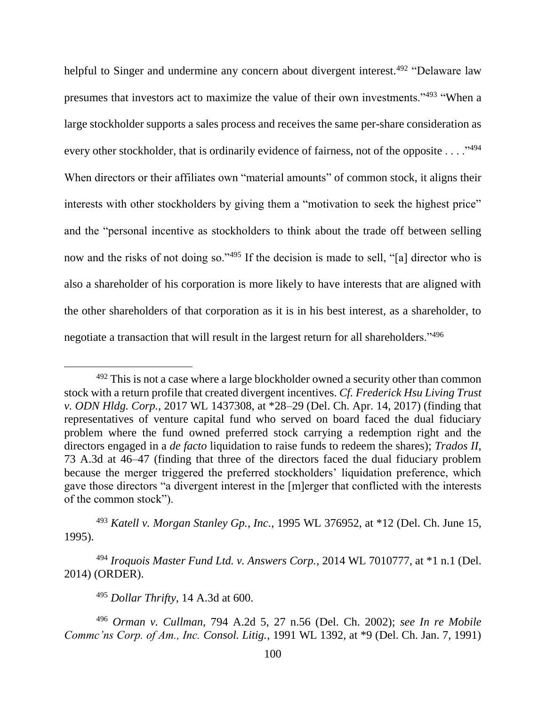helpful to Singer and undermine any concern about divergent interest.<sup>492</sup> "Delaware law presumes that investors act to maximize the value of their own investments."<sup>493</sup> "When a large stockholder supports a sales process and receives the same per-share consideration as every other stockholder, that is ordinarily evidence of fairness, not of the opposite . . . ."494 When directors or their affiliates own "material amounts" of common stock, it aligns their interests with other stockholders by giving them a "motivation to seek the highest price" and the "personal incentive as stockholders to think about the trade off between selling now and the risks of not doing so."<sup>495</sup> If the decision is made to sell, "[a] director who is also a shareholder of his corporation is more likely to have interests that are aligned with the other shareholders of that corporation as it is in his best interest, as a shareholder, to negotiate a transaction that will result in the largest return for all shareholders."<sup>496</sup>

<sup>493</sup> *Katell v. Morgan Stanley Gp., Inc.*, 1995 WL 376952, at \*12 (Del. Ch. June 15, 1995).

<sup>494</sup> *Iroquois Master Fund Ltd. v. Answers Corp.*, 2014 WL 7010777, at \*1 n.1 (Del. 2014) (ORDER).

<sup>495</sup> *Dollar Thrifty*, 14 A.3d at 600.

 $\overline{a}$ 

<sup>496</sup> *Orman v. Cullman*, 794 A.2d 5, 27 n.56 (Del. Ch. 2002); *see In re Mobile Commc'ns Corp. of Am., Inc. Consol. Litig.*, 1991 WL 1392, at \*9 (Del. Ch. Jan. 7, 1991)

 $492$  This is not a case where a large blockholder owned a security other than common stock with a return profile that created divergent incentives. *Cf. Frederick Hsu Living Trust v. ODN Hldg. Corp.*, 2017 WL 1437308, at \*28–29 (Del. Ch. Apr. 14, 2017) (finding that representatives of venture capital fund who served on board faced the dual fiduciary problem where the fund owned preferred stock carrying a redemption right and the directors engaged in a *de facto* liquidation to raise funds to redeem the shares); *Trados II*, 73 A.3d at 46–47 (finding that three of the directors faced the dual fiduciary problem because the merger triggered the preferred stockholders' liquidation preference, which gave those directors "a divergent interest in the [m]erger that conflicted with the interests of the common stock").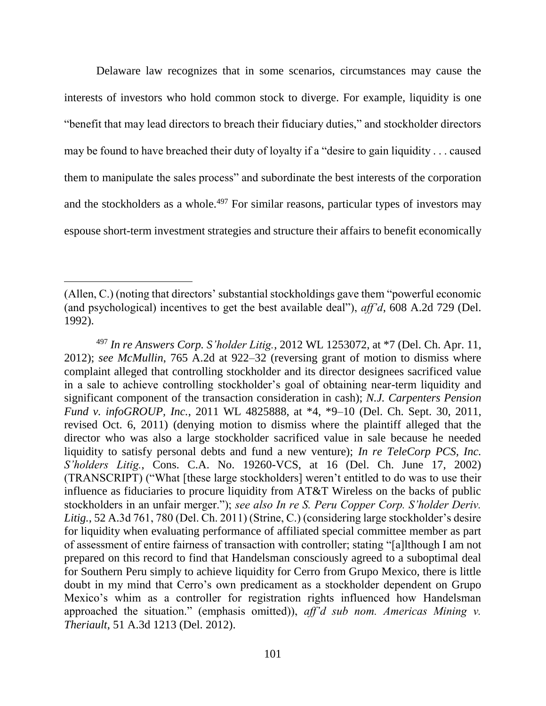Delaware law recognizes that in some scenarios, circumstances may cause the interests of investors who hold common stock to diverge. For example, liquidity is one "benefit that may lead directors to breach their fiduciary duties," and stockholder directors may be found to have breached their duty of loyalty if a "desire to gain liquidity . . . caused them to manipulate the sales process" and subordinate the best interests of the corporation and the stockholders as a whole.<sup>497</sup> For similar reasons, particular types of investors may espouse short-term investment strategies and structure their affairs to benefit economically

<sup>(</sup>Allen, C.) (noting that directors' substantial stockholdings gave them "powerful economic (and psychological) incentives to get the best available deal"), *aff'd*, 608 A.2d 729 (Del. 1992).

<sup>497</sup> *In re Answers Corp. S'holder Litig.*, 2012 WL 1253072, at \*7 (Del. Ch. Apr. 11, 2012); *see McMullin*, 765 A.2d at 922–32 (reversing grant of motion to dismiss where complaint alleged that controlling stockholder and its director designees sacrificed value in a sale to achieve controlling stockholder's goal of obtaining near-term liquidity and significant component of the transaction consideration in cash); *N.J. Carpenters Pension Fund v. infoGROUP, Inc.*, 2011 WL 4825888, at \*4, \*9–10 (Del. Ch. Sept. 30, 2011, revised Oct. 6, 2011) (denying motion to dismiss where the plaintiff alleged that the director who was also a large stockholder sacrificed value in sale because he needed liquidity to satisfy personal debts and fund a new venture); *In re TeleCorp PCS, Inc. S'holders Litig.*, Cons. C.A. No. 19260-VCS, at 16 (Del. Ch. June 17, 2002) (TRANSCRIPT) ("What [these large stockholders] weren't entitled to do was to use their influence as fiduciaries to procure liquidity from AT&T Wireless on the backs of public stockholders in an unfair merger."); *see also In re S. Peru Copper Corp. S'holder Deriv. Litig.*, 52 A.3d 761, 780 (Del. Ch. 2011) (Strine, C.) (considering large stockholder's desire for liquidity when evaluating performance of affiliated special committee member as part of assessment of entire fairness of transaction with controller; stating "[a]lthough I am not prepared on this record to find that Handelsman consciously agreed to a suboptimal deal for Southern Peru simply to achieve liquidity for Cerro from Grupo Mexico, there is little doubt in my mind that Cerro's own predicament as a stockholder dependent on Grupo Mexico's whim as a controller for registration rights influenced how Handelsman approached the situation." (emphasis omitted)), *aff'd sub nom. Americas Mining v. Theriault*, 51 A.3d 1213 (Del. 2012).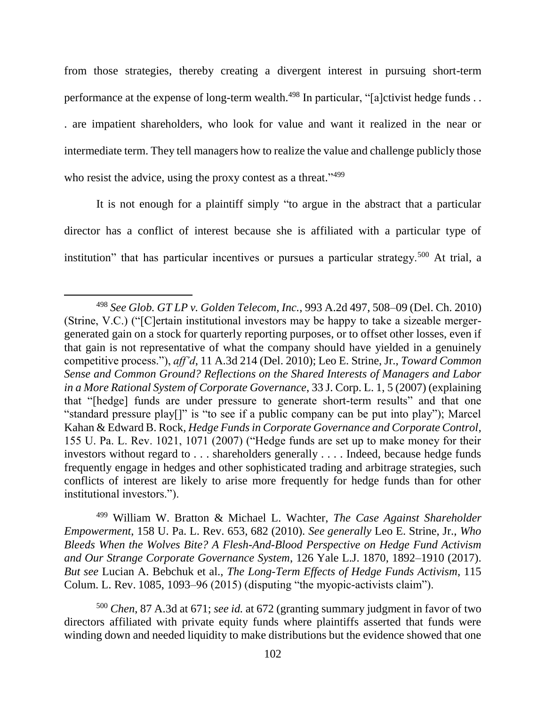from those strategies, thereby creating a divergent interest in pursuing short-term performance at the expense of long-term wealth.<sup>498</sup> In particular, "[a]ctivist hedge funds . . . are impatient shareholders, who look for value and want it realized in the near or intermediate term. They tell managers how to realize the value and challenge publicly those who resist the advice, using the proxy contest as a threat."<sup>499</sup>

It is not enough for a plaintiff simply "to argue in the abstract that a particular director has a conflict of interest because she is affiliated with a particular type of institution" that has particular incentives or pursues a particular strategy.<sup>500</sup> At trial, a

 $\overline{a}$ 

<sup>499</sup> William W. Bratton & Michael L. Wachter, *The Case Against Shareholder Empowerment*, 158 U. Pa. L. Rev. 653, 682 (2010). *See generally* Leo E. Strine, Jr., *Who Bleeds When the Wolves Bite? A Flesh-And-Blood Perspective on Hedge Fund Activism and Our Strange Corporate Governance System*, 126 Yale L.J. 1870, 1892–1910 (2017). *But see* Lucian A. Bebchuk et al., *The Long-Term Effects of Hedge Funds Activism*, 115 Colum. L. Rev. 1085, 1093–96 (2015) (disputing "the myopic-activists claim").

<sup>500</sup> *Chen*, 87 A.3d at 671; *see id.* at 672 (granting summary judgment in favor of two directors affiliated with private equity funds where plaintiffs asserted that funds were winding down and needed liquidity to make distributions but the evidence showed that one

<sup>498</sup> *See Glob. GT LP v. Golden Telecom, Inc.*, 993 A.2d 497, 508–09 (Del. Ch. 2010) (Strine, V.C.) ("[C]ertain institutional investors may be happy to take a sizeable mergergenerated gain on a stock for quarterly reporting purposes, or to offset other losses, even if that gain is not representative of what the company should have yielded in a genuinely competitive process."), *aff'd*, 11 A.3d 214 (Del. 2010); Leo E. Strine, Jr., *Toward Common Sense and Common Ground? Reflections on the Shared Interests of Managers and Labor in a More Rational System of Corporate Governance*, 33 J. Corp. L. 1, 5 (2007) (explaining that "[hedge] funds are under pressure to generate short-term results" and that one "standard pressure play[]" is "to see if a public company can be put into play"); Marcel Kahan & Edward B. Rock, *Hedge Funds in Corporate Governance and Corporate Control*, 155 U. Pa. L. Rev. 1021, 1071 (2007) ("Hedge funds are set up to make money for their investors without regard to . . . shareholders generally . . . . Indeed, because hedge funds frequently engage in hedges and other sophisticated trading and arbitrage strategies, such conflicts of interest are likely to arise more frequently for hedge funds than for other institutional investors.").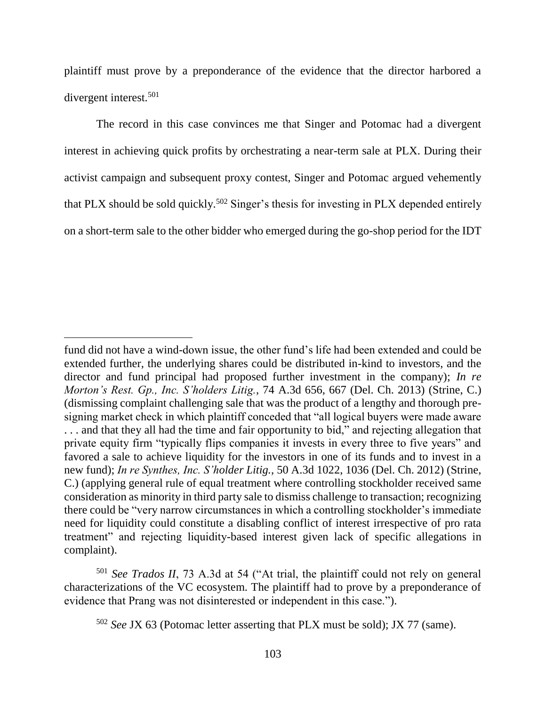plaintiff must prove by a preponderance of the evidence that the director harbored a divergent interest.<sup>501</sup>

The record in this case convinces me that Singer and Potomac had a divergent interest in achieving quick profits by orchestrating a near-term sale at PLX. During their activist campaign and subsequent proxy contest, Singer and Potomac argued vehemently that PLX should be sold quickly.<sup>502</sup> Singer's thesis for investing in PLX depended entirely on a short-term sale to the other bidder who emerged during the go-shop period for the IDT

 $\overline{a}$ 

<sup>501</sup> *See Trados II*, 73 A.3d at 54 ("At trial, the plaintiff could not rely on general characterizations of the VC ecosystem. The plaintiff had to prove by a preponderance of evidence that Prang was not disinterested or independent in this case.").

fund did not have a wind-down issue, the other fund's life had been extended and could be extended further, the underlying shares could be distributed in-kind to investors, and the director and fund principal had proposed further investment in the company); *In re Morton's Rest. Gp., Inc. S'holders Litig.*, 74 A.3d 656, 667 (Del. Ch. 2013) (Strine, C.) (dismissing complaint challenging sale that was the product of a lengthy and thorough presigning market check in which plaintiff conceded that "all logical buyers were made aware . . . and that they all had the time and fair opportunity to bid," and rejecting allegation that private equity firm "typically flips companies it invests in every three to five years" and favored a sale to achieve liquidity for the investors in one of its funds and to invest in a new fund); *In re Synthes, Inc. S'holder Litig.*, 50 A.3d 1022, 1036 (Del. Ch. 2012) (Strine, C.) (applying general rule of equal treatment where controlling stockholder received same consideration as minority in third party sale to dismiss challenge to transaction; recognizing there could be "very narrow circumstances in which a controlling stockholder's immediate need for liquidity could constitute a disabling conflict of interest irrespective of pro rata treatment" and rejecting liquidity-based interest given lack of specific allegations in complaint).

<sup>502</sup> *See* JX 63 (Potomac letter asserting that PLX must be sold); JX 77 (same).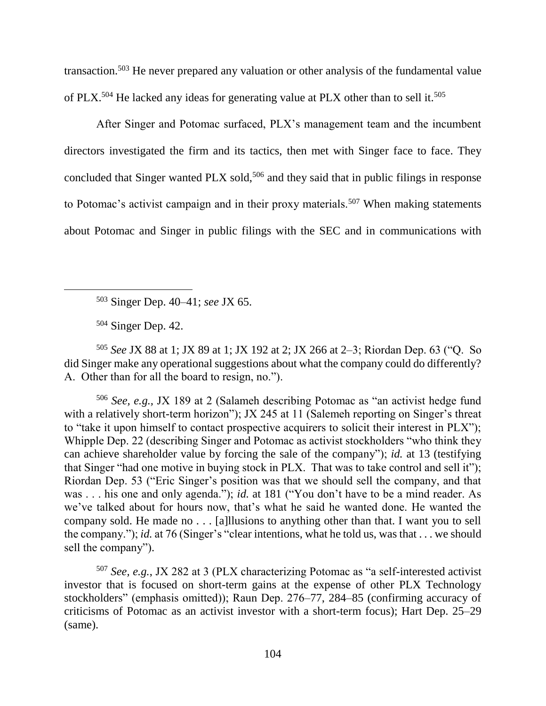transaction.<sup>503</sup> He never prepared any valuation or other analysis of the fundamental value of PLX.<sup>504</sup> He lacked any ideas for generating value at PLX other than to sell it.<sup>505</sup>

After Singer and Potomac surfaced, PLX's management team and the incumbent directors investigated the firm and its tactics, then met with Singer face to face. They concluded that Singer wanted PLX sold,<sup>506</sup> and they said that in public filings in response to Potomac's activist campaign and in their proxy materials.<sup>507</sup> When making statements about Potomac and Singer in public filings with the SEC and in communications with

<sup>503</sup> Singer Dep. 40–41; *see* JX 65.

<sup>504</sup> Singer Dep. 42.

 $\overline{a}$ 

<sup>505</sup> *See* JX 88 at 1; JX 89 at 1; JX 192 at 2; JX 266 at 2–3; Riordan Dep. 63 ("Q. So did Singer make any operational suggestions about what the company could do differently? A. Other than for all the board to resign, no.").

<sup>506</sup> *See, e.g.,* JX 189 at 2 (Salameh describing Potomac as "an activist hedge fund with a relatively short-term horizon"); JX 245 at 11 (Salemeh reporting on Singer's threat to "take it upon himself to contact prospective acquirers to solicit their interest in PLX"); Whipple Dep. 22 (describing Singer and Potomac as activist stockholders "who think they can achieve shareholder value by forcing the sale of the company"); *id.* at 13 (testifying that Singer "had one motive in buying stock in PLX. That was to take control and sell it"); Riordan Dep. 53 ("Eric Singer's position was that we should sell the company, and that was . . . his one and only agenda."); *id.* at 181 ("You don't have to be a mind reader. As we've talked about for hours now, that's what he said he wanted done. He wanted the company sold. He made no . . . [a]llusions to anything other than that. I want you to sell the company."); *id.* at 76 (Singer's "clear intentions, what he told us, was that . . . we should sell the company").

<sup>507</sup> *See, e.g.*, JX 282 at 3 (PLX characterizing Potomac as "a self-interested activist investor that is focused on short-term gains at the expense of other PLX Technology stockholders" (emphasis omitted)); Raun Dep. 276–77, 284–85 (confirming accuracy of criticisms of Potomac as an activist investor with a short-term focus); Hart Dep. 25–29 (same).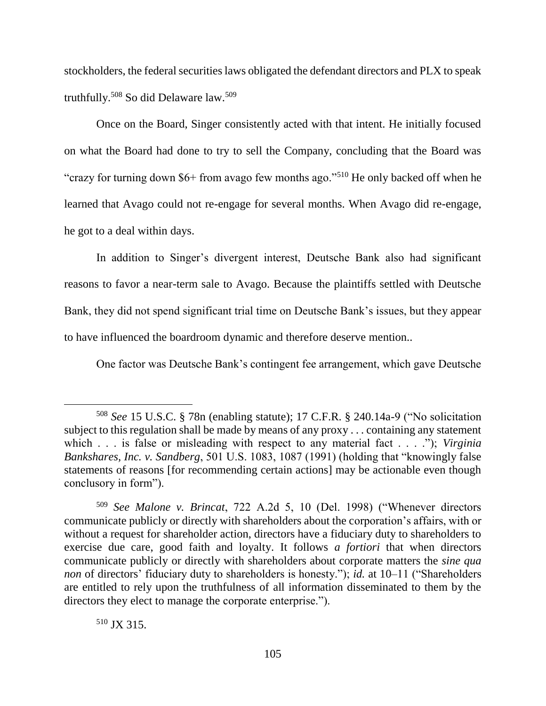stockholders, the federal securities laws obligated the defendant directors and PLX to speak truthfully.<sup>508</sup> So did Delaware law.<sup>509</sup>

Once on the Board, Singer consistently acted with that intent. He initially focused on what the Board had done to try to sell the Company, concluding that the Board was "crazy for turning down \$6+ from avago few months ago."<sup>510</sup> He only backed off when he learned that Avago could not re-engage for several months. When Avago did re-engage, he got to a deal within days.

In addition to Singer's divergent interest, Deutsche Bank also had significant reasons to favor a near-term sale to Avago. Because the plaintiffs settled with Deutsche Bank, they did not spend significant trial time on Deutsche Bank's issues, but they appear to have influenced the boardroom dynamic and therefore deserve mention..

One factor was Deutsche Bank's contingent fee arrangement, which gave Deutsche

<sup>510</sup> JX 315.

<sup>508</sup> *See* 15 U.S.C. § 78n (enabling statute); 17 C.F.R. § 240.14a-9 ("No solicitation subject to this regulation shall be made by means of any proxy . . . containing any statement which . . . is false or misleading with respect to any material fact . . . ."); *Virginia Bankshares, Inc. v. Sandberg*, 501 U.S. 1083, 1087 (1991) (holding that "knowingly false statements of reasons [for recommending certain actions] may be actionable even though conclusory in form").

<sup>509</sup> *See Malone v. Brincat*, 722 A.2d 5, 10 (Del. 1998) ("Whenever directors communicate publicly or directly with shareholders about the corporation's affairs, with or without a request for shareholder action, directors have a fiduciary duty to shareholders to exercise due care, good faith and loyalty. It follows *a fortiori* that when directors communicate publicly or directly with shareholders about corporate matters the *sine qua non* of directors' fiduciary duty to shareholders is honesty."); *id.* at 10–11 ("Shareholders are entitled to rely upon the truthfulness of all information disseminated to them by the directors they elect to manage the corporate enterprise.").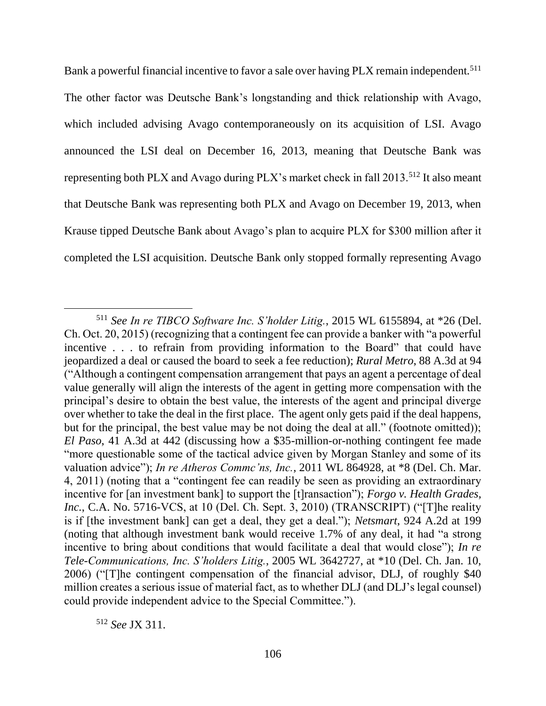Bank a powerful financial incentive to favor a sale over having PLX remain independent.<sup>511</sup> The other factor was Deutsche Bank's longstanding and thick relationship with Avago, which included advising Avago contemporaneously on its acquisition of LSI. Avago announced the LSI deal on December 16, 2013, meaning that Deutsche Bank was representing both PLX and Avago during PLX's market check in fall 2013.<sup>512</sup> It also meant that Deutsche Bank was representing both PLX and Avago on December 19, 2013, when Krause tipped Deutsche Bank about Avago's plan to acquire PLX for \$300 million after it completed the LSI acquisition. Deutsche Bank only stopped formally representing Avago

<sup>512</sup> *See* JX 311.

<sup>511</sup> *See In re TIBCO Software Inc. S'holder Litig.*, 2015 WL 6155894, at \*26 (Del. Ch. Oct. 20, 2015) (recognizing that a contingent fee can provide a banker with "a powerful incentive . . . to refrain from providing information to the Board" that could have jeopardized a deal or caused the board to seek a fee reduction); *Rural Metro*, 88 A.3d at 94 ("Although a contingent compensation arrangement that pays an agent a percentage of deal value generally will align the interests of the agent in getting more compensation with the principal's desire to obtain the best value, the interests of the agent and principal diverge over whether to take the deal in the first place. The agent only gets paid if the deal happens, but for the principal, the best value may be not doing the deal at all." (footnote omitted)); *El Paso*, 41 A.3d at 442 (discussing how a \$35-million-or-nothing contingent fee made "more questionable some of the tactical advice given by Morgan Stanley and some of its valuation advice"); *In re Atheros Commc'ns, Inc.*, 2011 WL 864928, at \*8 (Del. Ch. Mar. 4, 2011) (noting that a "contingent fee can readily be seen as providing an extraordinary incentive for [an investment bank] to support the [t]ransaction"); *Forgo v. Health Grades, Inc.*, C.A. No. 5716-VCS, at 10 (Del. Ch. Sept. 3, 2010) (TRANSCRIPT) ("[T]he reality is if [the investment bank] can get a deal, they get a deal."); *Netsmart*, 924 A.2d at 199 (noting that although investment bank would receive 1.7% of any deal, it had "a strong incentive to bring about conditions that would facilitate a deal that would close"); *In re Tele-Communications, Inc. S'holders Litig.*, 2005 WL 3642727, at \*10 (Del. Ch. Jan. 10, 2006) ("[T]he contingent compensation of the financial advisor, DLJ, of roughly \$40 million creates a serious issue of material fact, as to whether DLJ (and DLJ's legal counsel) could provide independent advice to the Special Committee.").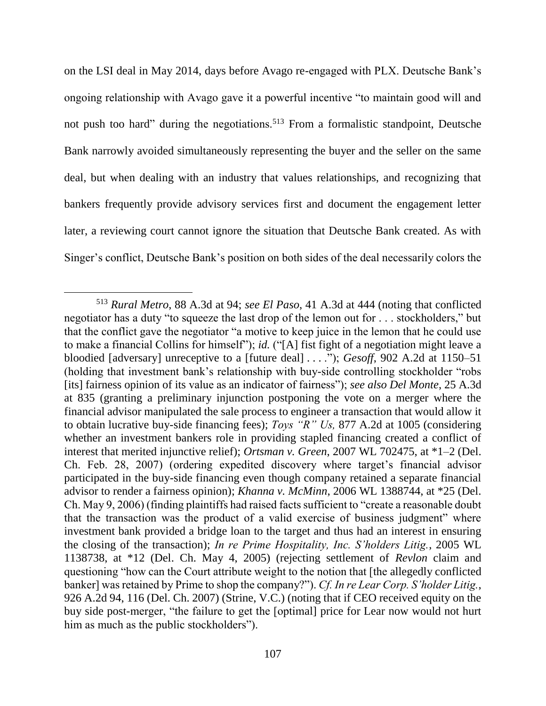on the LSI deal in May 2014, days before Avago re-engaged with PLX. Deutsche Bank's ongoing relationship with Avago gave it a powerful incentive "to maintain good will and not push too hard" during the negotiations.<sup>513</sup> From a formalistic standpoint, Deutsche Bank narrowly avoided simultaneously representing the buyer and the seller on the same deal, but when dealing with an industry that values relationships, and recognizing that bankers frequently provide advisory services first and document the engagement letter later, a reviewing court cannot ignore the situation that Deutsche Bank created. As with Singer's conflict, Deutsche Bank's position on both sides of the deal necessarily colors the

<sup>513</sup> *Rural Metro*, 88 A.3d at 94; *see El Paso*, 41 A.3d at 444 (noting that conflicted negotiator has a duty "to squeeze the last drop of the lemon out for . . . stockholders," but that the conflict gave the negotiator "a motive to keep juice in the lemon that he could use to make a financial Collins for himself"); *id.* ("[A] fist fight of a negotiation might leave a bloodied [adversary] unreceptive to a [future deal] . . . ."); *Gesoff*, 902 A.2d at 1150–51 (holding that investment bank's relationship with buy-side controlling stockholder "robs [its] fairness opinion of its value as an indicator of fairness"); *see also Del Monte*, 25 A.3d at 835 (granting a preliminary injunction postponing the vote on a merger where the financial advisor manipulated the sale process to engineer a transaction that would allow it to obtain lucrative buy-side financing fees); *Toys "R" Us,* 877 A.2d at 1005 (considering whether an investment bankers role in providing stapled financing created a conflict of interest that merited injunctive relief); *Ortsman v. Green*, 2007 WL 702475, at \*1–2 (Del. Ch. Feb. 28, 2007) (ordering expedited discovery where target's financial advisor participated in the buy-side financing even though company retained a separate financial advisor to render a fairness opinion); *Khanna v. McMinn*, 2006 WL 1388744, at \*25 (Del. Ch. May 9, 2006) (finding plaintiffs had raised facts sufficient to "create a reasonable doubt that the transaction was the product of a valid exercise of business judgment" where investment bank provided a bridge loan to the target and thus had an interest in ensuring the closing of the transaction); *In re Prime Hospitality, Inc. S'holders Litig.*, 2005 WL 1138738, at \*12 (Del. Ch. May 4, 2005) (rejecting settlement of *Revlon* claim and questioning "how can the Court attribute weight to the notion that [the allegedly conflicted banker] was retained by Prime to shop the company?"). *Cf. In re Lear Corp. S'holder Litig.*, 926 A.2d 94, 116 (Del. Ch. 2007) (Strine, V.C.) (noting that if CEO received equity on the buy side post-merger, "the failure to get the [optimal] price for Lear now would not hurt him as much as the public stockholders".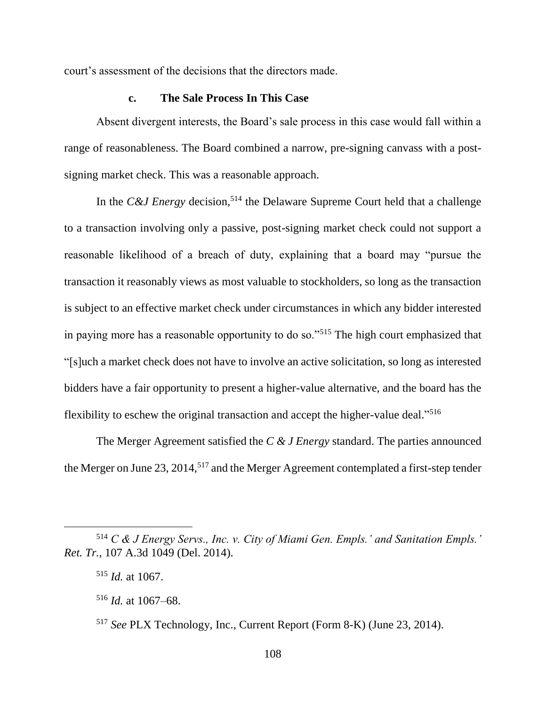court's assessment of the decisions that the directors made.

### **c. The Sale Process In This Case**

Absent divergent interests, the Board's sale process in this case would fall within a range of reasonableness. The Board combined a narrow, pre-signing canvass with a postsigning market check. This was a reasonable approach.

In the *C&J Energy* decision,<sup>514</sup> the Delaware Supreme Court held that a challenge to a transaction involving only a passive, post-signing market check could not support a reasonable likelihood of a breach of duty, explaining that a board may "pursue the transaction it reasonably views as most valuable to stockholders, so long as the transaction is subject to an effective market check under circumstances in which any bidder interested in paying more has a reasonable opportunity to do so."<sup>515</sup> The high court emphasized that "[s]uch a market check does not have to involve an active solicitation, so long as interested bidders have a fair opportunity to present a higher-value alternative, and the board has the flexibility to eschew the original transaction and accept the higher-value deal."<sup>516</sup>

The Merger Agreement satisfied the *C & J Energy* standard. The parties announced the Merger on June 23, 2014,<sup>517</sup> and the Merger Agreement contemplated a first-step tender

<sup>514</sup> *C & J Energy Servs., Inc. v. City of Miami Gen. Empls.' and Sanitation Empls.' Ret. Tr.*, 107 A.3d 1049 (Del. 2014).

<sup>515</sup> *Id.* at 1067.

<sup>516</sup> *Id.* at 1067–68.

<sup>517</sup> *See* PLX Technology, Inc., Current Report (Form 8-K) (June 23, 2014).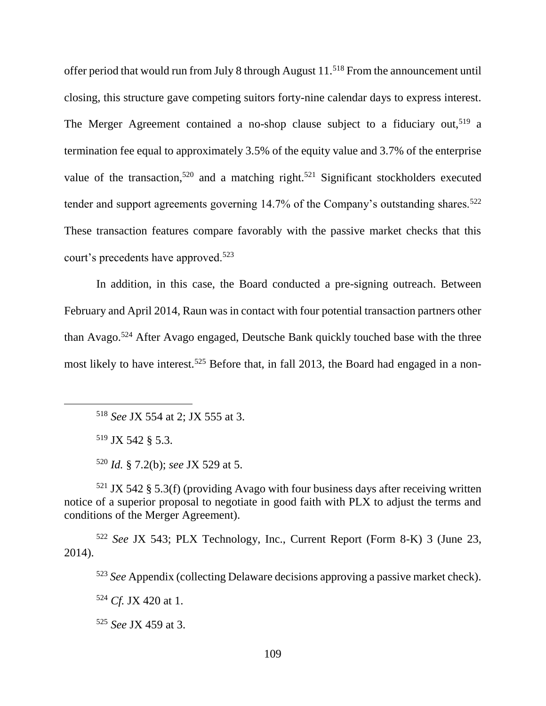offer period that would run from July 8 through August 11.<sup>518</sup> From the announcement until closing, this structure gave competing suitors forty-nine calendar days to express interest. The Merger Agreement contained a no-shop clause subject to a fiduciary out,<sup>519</sup> a termination fee equal to approximately 3.5% of the equity value and 3.7% of the enterprise value of the transaction,<sup>520</sup> and a matching right.<sup>521</sup> Significant stockholders executed tender and support agreements governing  $14.7\%$  of the Company's outstanding shares.<sup>522</sup> These transaction features compare favorably with the passive market checks that this court's precedents have approved.<sup>523</sup>

In addition, in this case, the Board conducted a pre-signing outreach. Between February and April 2014, Raun was in contact with four potential transaction partners other than Avago.<sup>524</sup> After Avago engaged, Deutsche Bank quickly touched base with the three most likely to have interest.<sup>525</sup> Before that, in fall 2013, the Board had engaged in a non-

<sup>518</sup> *See* JX 554 at 2; JX 555 at 3.

<sup>519</sup> JX 542 § 5.3.

<sup>520</sup> *Id.* § 7.2(b); *see* JX 529 at 5.

 $521$  JX 542 § 5.3(f) (providing Avago with four business days after receiving written notice of a superior proposal to negotiate in good faith with PLX to adjust the terms and conditions of the Merger Agreement).

<sup>522</sup> *See* JX 543; PLX Technology, Inc., Current Report (Form 8-K) 3 (June 23, 2014).

<sup>523</sup> *See* Appendix (collecting Delaware decisions approving a passive market check).

<sup>524</sup> *Cf.* JX 420 at 1.

<sup>525</sup> *See* JX 459 at 3.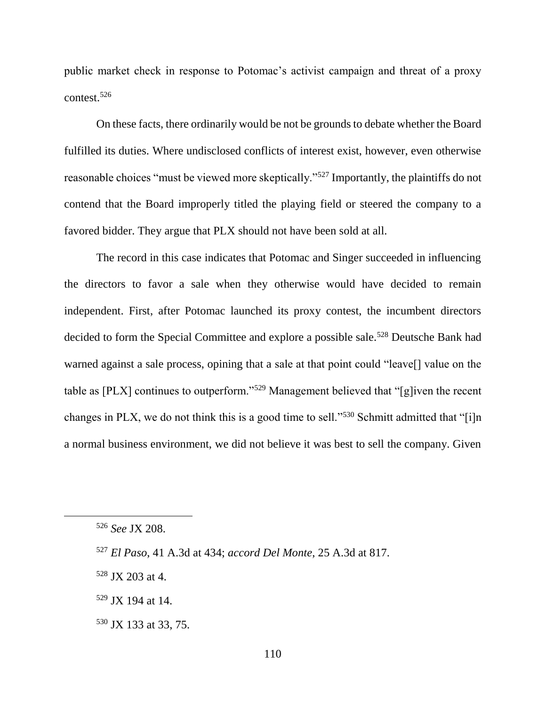public market check in response to Potomac's activist campaign and threat of a proxy contest.<sup>526</sup>

On these facts, there ordinarily would be not be grounds to debate whether the Board fulfilled its duties. Where undisclosed conflicts of interest exist, however, even otherwise reasonable choices "must be viewed more skeptically."<sup>527</sup> Importantly, the plaintiffs do not contend that the Board improperly titled the playing field or steered the company to a favored bidder. They argue that PLX should not have been sold at all.

The record in this case indicates that Potomac and Singer succeeded in influencing the directors to favor a sale when they otherwise would have decided to remain independent. First, after Potomac launched its proxy contest, the incumbent directors decided to form the Special Committee and explore a possible sale.<sup>528</sup> Deutsche Bank had warned against a sale process, opining that a sale at that point could "leave[] value on the table as [PLX] continues to outperform."<sup>529</sup> Management believed that "[g]iven the recent changes in PLX, we do not think this is a good time to sell."<sup>530</sup> Schmitt admitted that "[i]n a normal business environment, we did not believe it was best to sell the company. Given

<sup>528</sup> JX 203 at 4.

 $529$  JX 194 at 14.

<sup>530</sup> JX 133 at 33, 75.

<sup>526</sup> *See* JX 208.

<sup>527</sup> *El Paso*, 41 A.3d at 434; *accord Del Monte*, 25 A.3d at 817.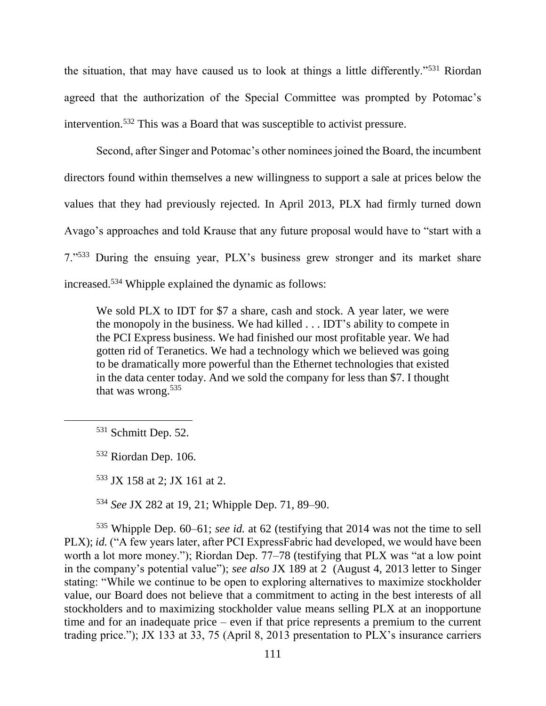the situation, that may have caused us to look at things a little differently."<sup>531</sup> Riordan agreed that the authorization of the Special Committee was prompted by Potomac's intervention.<sup>532</sup> This was a Board that was susceptible to activist pressure.

Second, after Singer and Potomac's other nominees joined the Board, the incumbent directors found within themselves a new willingness to support a sale at prices below the values that they had previously rejected. In April 2013, PLX had firmly turned down Avago's approaches and told Krause that any future proposal would have to "start with a 7."<sup>533</sup> During the ensuing year, PLX's business grew stronger and its market share increased.<sup>534</sup> Whipple explained the dynamic as follows:

We sold PLX to IDT for \$7 a share, cash and stock. A year later, we were the monopoly in the business. We had killed . . . IDT's ability to compete in the PCI Express business. We had finished our most profitable year. We had gotten rid of Teranetics. We had a technology which we believed was going to be dramatically more powerful than the Ethernet technologies that existed in the data center today. And we sold the company for less than \$7. I thought that was wrong.<sup>535</sup>

 $\overline{a}$ 

<sup>533</sup> JX 158 at 2; JX 161 at 2.

<sup>534</sup> *See* JX 282 at 19, 21; Whipple Dep. 71, 89–90.

<sup>535</sup> Whipple Dep. 60–61; *see id.* at 62 (testifying that 2014 was not the time to sell PLX); *id.* ("A few years later, after PCI ExpressFabric had developed, we would have been worth a lot more money."); Riordan Dep. 77–78 (testifying that PLX was "at a low point in the company's potential value"); *see also* JX 189 at 2 (August 4, 2013 letter to Singer stating: "While we continue to be open to exploring alternatives to maximize stockholder value, our Board does not believe that a commitment to acting in the best interests of all stockholders and to maximizing stockholder value means selling PLX at an inopportune time and for an inadequate price – even if that price represents a premium to the current trading price."); JX 133 at 33, 75 (April 8, 2013 presentation to PLX's insurance carriers

<sup>531</sup> Schmitt Dep. 52.

<sup>532</sup> Riordan Dep. 106.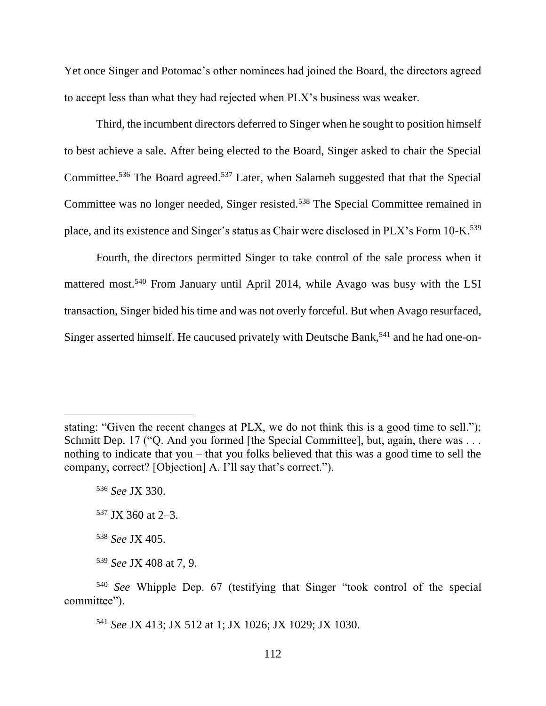Yet once Singer and Potomac's other nominees had joined the Board, the directors agreed to accept less than what they had rejected when PLX's business was weaker.

Third, the incumbent directors deferred to Singer when he sought to position himself to best achieve a sale. After being elected to the Board, Singer asked to chair the Special Committee.<sup>536</sup> The Board agreed.<sup>537</sup> Later, when Salameh suggested that that the Special Committee was no longer needed, Singer resisted.<sup>538</sup> The Special Committee remained in place, and its existence and Singer's status as Chair were disclosed in PLX's Form 10-K.<sup>539</sup>

Fourth, the directors permitted Singer to take control of the sale process when it mattered most.<sup>540</sup> From January until April 2014, while Avago was busy with the LSI transaction, Singer bided his time and was not overly forceful. But when Avago resurfaced, Singer asserted himself. He caucused privately with Deutsche Bank,<sup>541</sup> and he had one-on-

stating: "Given the recent changes at PLX, we do not think this is a good time to sell."); Schmitt Dep. 17 ("Q. And you formed [the Special Committee], but, again, there was . . . nothing to indicate that you – that you folks believed that this was a good time to sell the company, correct? [Objection] A. I'll say that's correct.").

<sup>536</sup> *See* JX 330.

<sup>537</sup> JX 360 at 2–3.

<sup>538</sup> *See* JX 405.

<sup>539</sup> *See* JX 408 at 7, 9.

<sup>540</sup> *See* Whipple Dep. 67 (testifying that Singer "took control of the special committee").

<sup>541</sup> *See* JX 413; JX 512 at 1; JX 1026; JX 1029; JX 1030.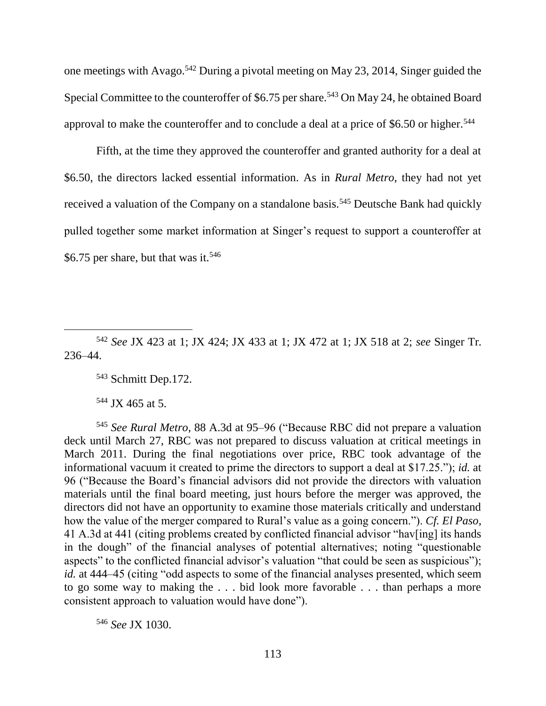one meetings with Avago.<sup>542</sup> During a pivotal meeting on May 23, 2014, Singer guided the Special Committee to the counteroffer of \$6.75 per share.<sup>543</sup> On May 24, he obtained Board approval to make the counteroffer and to conclude a deal at a price of \$6.50 or higher.<sup>544</sup>

Fifth, at the time they approved the counteroffer and granted authority for a deal at \$6.50, the directors lacked essential information. As in *Rural Metro*, they had not yet received a valuation of the Company on a standalone basis.<sup>545</sup> Deutsche Bank had quickly pulled together some market information at Singer's request to support a counteroffer at \$6.75 per share, but that was it. $546$ 

<sup>542</sup> *See* JX 423 at 1; JX 424; JX 433 at 1; JX 472 at 1; JX 518 at 2; *see* Singer Tr. 236–44.

<sup>543</sup> Schmitt Dep.172.

<sup>544</sup> JX 465 at 5.

<sup>545</sup> *See Rural Metro*, 88 A.3d at 95–96 ("Because RBC did not prepare a valuation deck until March 27, RBC was not prepared to discuss valuation at critical meetings in March 2011. During the final negotiations over price, RBC took advantage of the informational vacuum it created to prime the directors to support a deal at \$17.25."); *id.* at 96 ("Because the Board's financial advisors did not provide the directors with valuation materials until the final board meeting, just hours before the merger was approved, the directors did not have an opportunity to examine those materials critically and understand how the value of the merger compared to Rural's value as a going concern."). *Cf. El Paso*, 41 A.3d at 441 (citing problems created by conflicted financial advisor "hav[ing] its hands in the dough" of the financial analyses of potential alternatives; noting "questionable aspects" to the conflicted financial advisor's valuation "that could be seen as suspicious"); *id.* at 444–45 (citing "odd aspects to some of the financial analyses presented, which seem to go some way to making the . . . bid look more favorable . . . than perhaps a more consistent approach to valuation would have done").

<sup>546</sup> *See* JX 1030.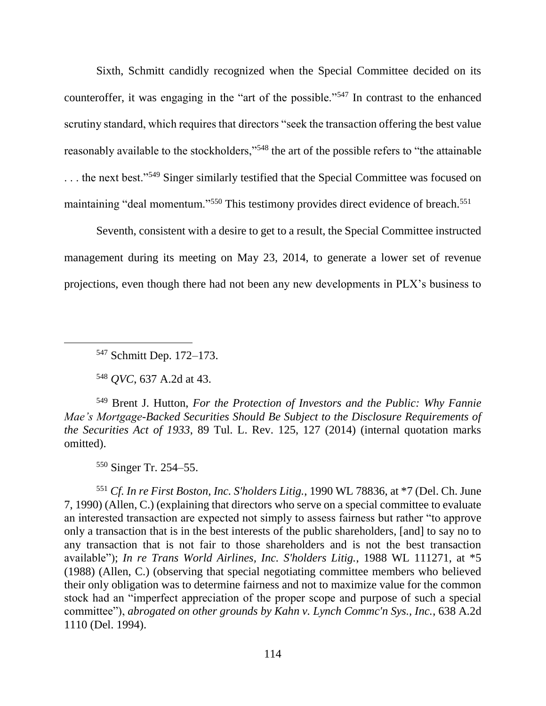Sixth, Schmitt candidly recognized when the Special Committee decided on its counteroffer, it was engaging in the "art of the possible."<sup>547</sup> In contrast to the enhanced scrutiny standard, which requires that directors "seek the transaction offering the best value reasonably available to the stockholders,"<sup>548</sup> the art of the possible refers to "the attainable" ... the next best."<sup>549</sup> Singer similarly testified that the Special Committee was focused on maintaining "deal momentum."<sup>550</sup> This testimony provides direct evidence of breach.<sup>551</sup>

Seventh, consistent with a desire to get to a result, the Special Committee instructed management during its meeting on May 23, 2014, to generate a lower set of revenue projections, even though there had not been any new developments in PLX's business to

<sup>547</sup> Schmitt Dep. 172–173.

<sup>548</sup> *QVC*, 637 A.2d at 43.

<sup>549</sup> Brent J. Hutton, *For the Protection of Investors and the Public: Why Fannie Mae's Mortgage-Backed Securities Should Be Subject to the Disclosure Requirements of the Securities Act of 1933*, 89 Tul. L. Rev. 125, 127 (2014) (internal quotation marks omitted).

<sup>550</sup> Singer Tr. 254–55.

<sup>551</sup> *Cf. In re First Boston, Inc. S'holders Litig.*, 1990 WL 78836, at \*7 (Del. Ch. June 7, 1990) (Allen, C.) (explaining that directors who serve on a special committee to evaluate an interested transaction are expected not simply to assess fairness but rather "to approve only a transaction that is in the best interests of the public shareholders, [and] to say no to any transaction that is not fair to those shareholders and is not the best transaction available"); *In re Trans World Airlines, Inc. S'holders Litig.*, 1988 WL 111271, at \*5 (1988) (Allen, C.) (observing that special negotiating committee members who believed their only obligation was to determine fairness and not to maximize value for the common stock had an "imperfect appreciation of the proper scope and purpose of such a special committee"), *abrogated on other grounds by Kahn v. Lynch Commc'n Sys., Inc.*, 638 A.2d 1110 (Del. 1994).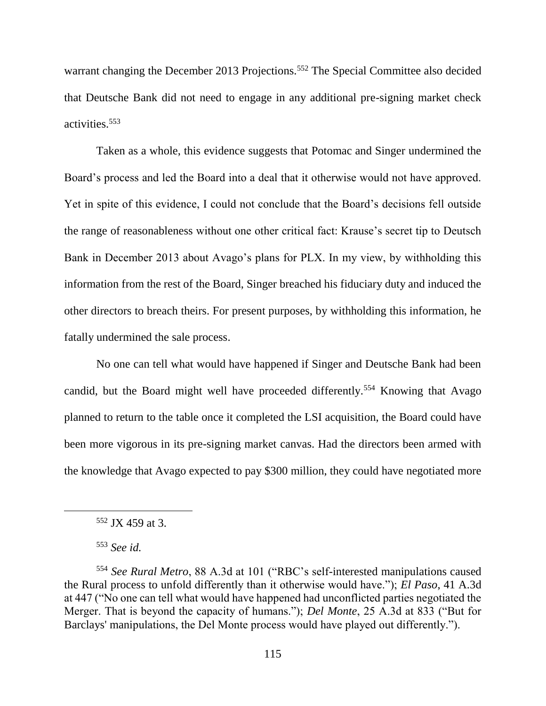warrant changing the December 2013 Projections.<sup>552</sup> The Special Committee also decided that Deutsche Bank did not need to engage in any additional pre-signing market check activities.<sup>553</sup>

Taken as a whole, this evidence suggests that Potomac and Singer undermined the Board's process and led the Board into a deal that it otherwise would not have approved. Yet in spite of this evidence, I could not conclude that the Board's decisions fell outside the range of reasonableness without one other critical fact: Krause's secret tip to Deutsch Bank in December 2013 about Avago's plans for PLX. In my view, by withholding this information from the rest of the Board, Singer breached his fiduciary duty and induced the other directors to breach theirs. For present purposes, by withholding this information, he fatally undermined the sale process.

No one can tell what would have happened if Singer and Deutsche Bank had been candid, but the Board might well have proceeded differently.<sup>554</sup> Knowing that Avago planned to return to the table once it completed the LSI acquisition, the Board could have been more vigorous in its pre-signing market canvas. Had the directors been armed with the knowledge that Avago expected to pay \$300 million, they could have negotiated more

<sup>552</sup> JX 459 at 3.

<sup>553</sup> *See id.*

<sup>554</sup> *See Rural Metro*, 88 A.3d at 101 ("RBC's self-interested manipulations caused the Rural process to unfold differently than it otherwise would have."); *El Paso*, 41 A.3d at 447 ("No one can tell what would have happened had unconflicted parties negotiated the Merger. That is beyond the capacity of humans."); *Del Monte*, 25 A.3d at 833 ("But for Barclays' manipulations, the Del Monte process would have played out differently.").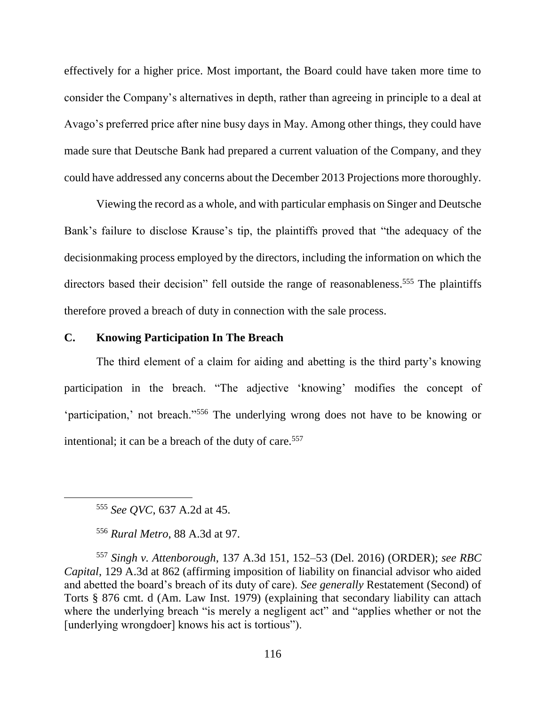effectively for a higher price. Most important, the Board could have taken more time to consider the Company's alternatives in depth, rather than agreeing in principle to a deal at Avago's preferred price after nine busy days in May. Among other things, they could have made sure that Deutsche Bank had prepared a current valuation of the Company, and they could have addressed any concerns about the December 2013 Projections more thoroughly.

Viewing the record as a whole, and with particular emphasis on Singer and Deutsche Bank's failure to disclose Krause's tip, the plaintiffs proved that "the adequacy of the decisionmaking process employed by the directors, including the information on which the directors based their decision" fell outside the range of reasonableness.<sup>555</sup> The plaintiffs therefore proved a breach of duty in connection with the sale process.

### **C. Knowing Participation In The Breach**

The third element of a claim for aiding and abetting is the third party's knowing participation in the breach. "The adjective 'knowing' modifies the concept of 'participation,' not breach."<sup>556</sup> The underlying wrong does not have to be knowing or intentional; it can be a breach of the duty of care.<sup>557</sup>

<sup>555</sup> *See QVC*, 637 A.2d at 45.

 $\overline{a}$ 

<sup>556</sup> *Rural Metro*, 88 A.3d at 97.

<sup>557</sup> *Singh v. Attenborough*, 137 A.3d 151, 152–53 (Del. 2016) (ORDER); *see RBC Capital*, 129 A.3d at 862 (affirming imposition of liability on financial advisor who aided and abetted the board's breach of its duty of care). *See generally* Restatement (Second) of Torts § 876 cmt. d (Am. Law Inst. 1979) (explaining that secondary liability can attach where the underlying breach "is merely a negligent act" and "applies whether or not the [underlying wrongdoer] knows his act is tortious").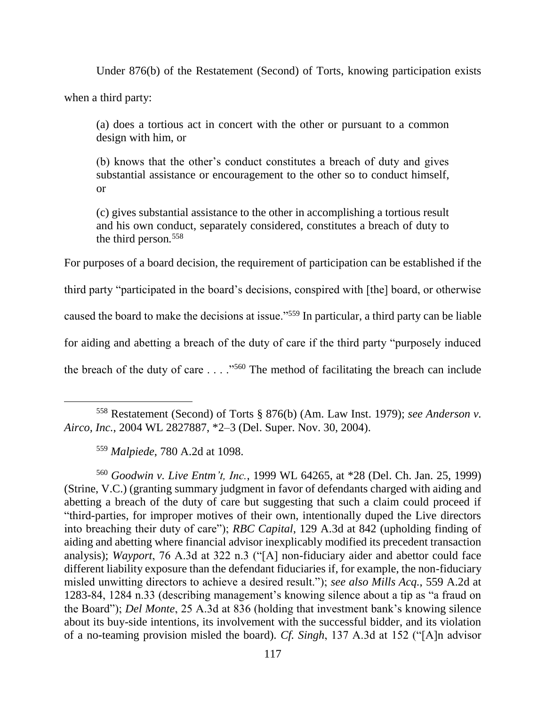Under 876(b) of the Restatement (Second) of Torts, knowing participation exists

when a third party:

 $\overline{a}$ 

(a) does a tortious act in concert with the other or pursuant to a common design with him, or

(b) knows that the other's conduct constitutes a breach of duty and gives substantial assistance or encouragement to the other so to conduct himself, or

(c) gives substantial assistance to the other in accomplishing a tortious result and his own conduct, separately considered, constitutes a breach of duty to the third person*.* 558

For purposes of a board decision, the requirement of participation can be established if the

third party "participated in the board's decisions, conspired with [the] board, or otherwise

caused the board to make the decisions at issue."<sup>559</sup> In particular, a third party can be liable

for aiding and abetting a breach of the duty of care if the third party "purposely induced

the breach of the duty of care  $\dots$ ."<sup>560</sup> The method of facilitating the breach can include

<sup>560</sup> *Goodwin v. Live Entm't, Inc.*, 1999 WL 64265, at \*28 (Del. Ch. Jan. 25, 1999) (Strine, V.C.) (granting summary judgment in favor of defendants charged with aiding and abetting a breach of the duty of care but suggesting that such a claim could proceed if "third-parties, for improper motives of their own, intentionally duped the Live directors into breaching their duty of care"); *RBC Capital*, 129 A.3d at 842 (upholding finding of aiding and abetting where financial advisor inexplicably modified its precedent transaction analysis); *Wayport*, 76 A.3d at 322 n.3 ("[A] non-fiduciary aider and abettor could face different liability exposure than the defendant fiduciaries if, for example, the non-fiduciary misled unwitting directors to achieve a desired result."); *see also Mills Acq.*, 559 A.2d at 1283-84, 1284 n.33 (describing management's knowing silence about a tip as "a fraud on the Board"); *Del Monte*, 25 A.3d at 836 (holding that investment bank's knowing silence about its buy-side intentions, its involvement with the successful bidder, and its violation of a no-teaming provision misled the board). *Cf. Singh*, 137 A.3d at 152 ("[A]n advisor

<sup>558</sup> Restatement (Second) of Torts § 876(b) (Am. Law Inst. 1979); *see Anderson v. Airco, Inc.*, 2004 WL 2827887, \*2–3 (Del. Super. Nov. 30, 2004).

<sup>559</sup> *Malpiede*, 780 A.2d at 1098.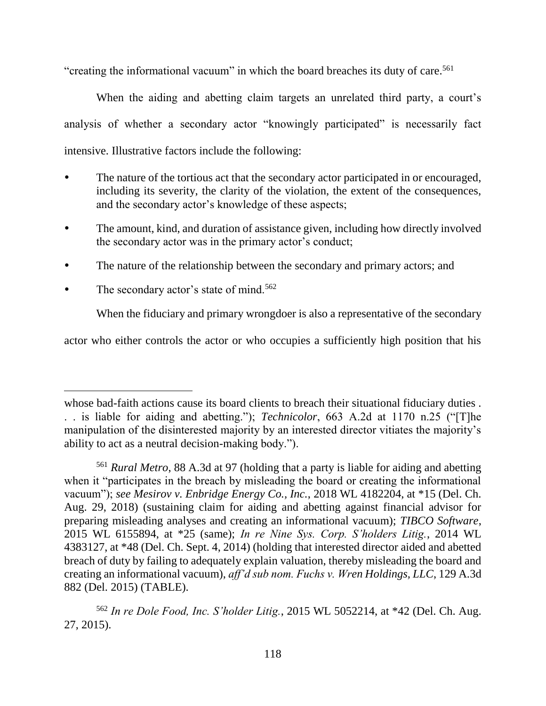"creating the informational vacuum" in which the board breaches its duty of care.<sup>561</sup>

When the aiding and abetting claim targets an unrelated third party, a court's analysis of whether a secondary actor "knowingly participated" is necessarily fact intensive. Illustrative factors include the following:

- The nature of the tortious act that the secondary actor participated in or encouraged, including its severity, the clarity of the violation, the extent of the consequences, and the secondary actor's knowledge of these aspects;
- The amount, kind, and duration of assistance given, including how directly involved the secondary actor was in the primary actor's conduct;
- The nature of the relationship between the secondary and primary actors; and
- The secondary actor's state of mind.<sup>562</sup>

 $\overline{a}$ 

When the fiduciary and primary wrongdoer is also a representative of the secondary

actor who either controls the actor or who occupies a sufficiently high position that his

whose bad-faith actions cause its board clients to breach their situational fiduciary duties. . . is liable for aiding and abetting."); *Technicolor*, 663 A.2d at 1170 n.25 ("[T]he manipulation of the disinterested majority by an interested director vitiates the majority's ability to act as a neutral decision-making body.").

<sup>561</sup> *Rural Metro*, 88 A.3d at 97 (holding that a party is liable for aiding and abetting when it "participates in the breach by misleading the board or creating the informational vacuum"); *see Mesirov v. Enbridge Energy Co., Inc.*, 2018 WL 4182204, at \*15 (Del. Ch. Aug. 29, 2018) (sustaining claim for aiding and abetting against financial advisor for preparing misleading analyses and creating an informational vacuum); *TIBCO Software*, 2015 WL 6155894, at \*25 (same); *In re Nine Sys. Corp. S'holders Litig.*, 2014 WL 4383127, at \*48 (Del. Ch. Sept. 4, 2014) (holding that interested director aided and abetted breach of duty by failing to adequately explain valuation, thereby misleading the board and creating an informational vacuum), *aff'd sub nom. Fuchs v. Wren Holdings, LLC*, 129 A.3d 882 (Del. 2015) (TABLE).

<sup>562</sup> *In re Dole Food, Inc. S'holder Litig.*, 2015 WL 5052214, at \*42 (Del. Ch. Aug. 27, 2015).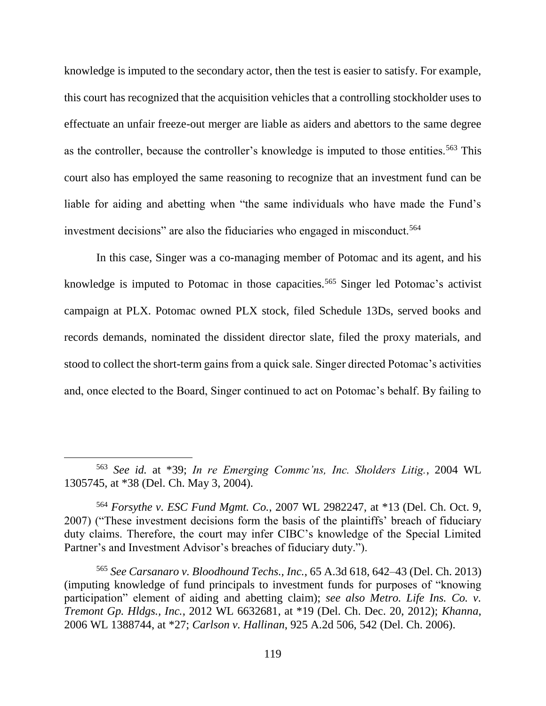knowledge is imputed to the secondary actor, then the test is easier to satisfy. For example, this court has recognized that the acquisition vehicles that a controlling stockholder uses to effectuate an unfair freeze-out merger are liable as aiders and abettors to the same degree as the controller, because the controller's knowledge is imputed to those entities.<sup>563</sup> This court also has employed the same reasoning to recognize that an investment fund can be liable for aiding and abetting when "the same individuals who have made the Fund's investment decisions" are also the fiduciaries who engaged in misconduct.<sup>564</sup>

In this case, Singer was a co-managing member of Potomac and its agent, and his knowledge is imputed to Potomac in those capacities.<sup>565</sup> Singer led Potomac's activist campaign at PLX. Potomac owned PLX stock, filed Schedule 13Ds, served books and records demands, nominated the dissident director slate, filed the proxy materials, and stood to collect the short-term gains from a quick sale. Singer directed Potomac's activities and, once elected to the Board, Singer continued to act on Potomac's behalf. By failing to

<sup>563</sup> *See id.* at \*39; *In re Emerging Commc'ns, Inc. Sholders Litig.*, 2004 WL 1305745, at \*38 (Del. Ch. May 3, 2004).

<sup>564</sup> *Forsythe v. ESC Fund Mgmt. Co.*, 2007 WL 2982247, at \*13 (Del. Ch. Oct. 9, 2007) ("These investment decisions form the basis of the plaintiffs' breach of fiduciary duty claims. Therefore, the court may infer CIBC's knowledge of the Special Limited Partner's and Investment Advisor's breaches of fiduciary duty.").

<sup>565</sup> *See Carsanaro v. Bloodhound Techs., Inc.*, 65 A.3d 618, 642–43 (Del. Ch. 2013) (imputing knowledge of fund principals to investment funds for purposes of "knowing participation" element of aiding and abetting claim); *see also Metro. Life Ins. Co. v. Tremont Gp. Hldgs., Inc.*, 2012 WL 6632681, at \*19 (Del. Ch. Dec. 20, 2012); *Khanna*, 2006 WL 1388744, at \*27; *Carlson v. Hallinan*, 925 A.2d 506, 542 (Del. Ch. 2006).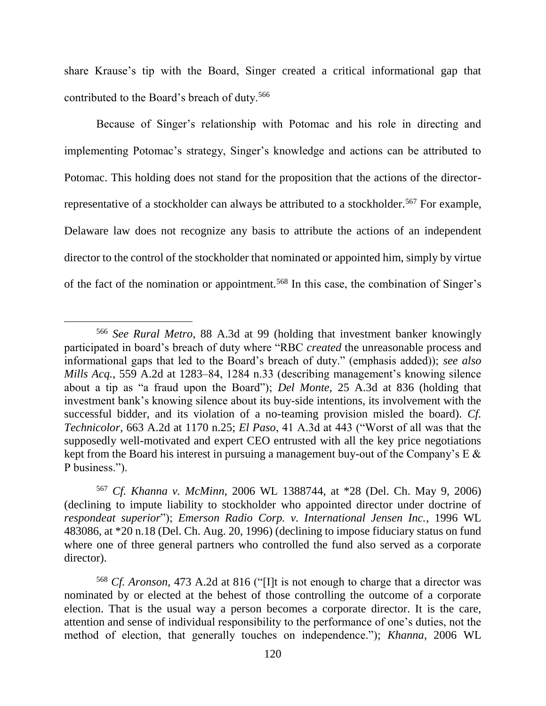share Krause's tip with the Board, Singer created a critical informational gap that contributed to the Board's breach of duty.<sup>566</sup>

Because of Singer's relationship with Potomac and his role in directing and implementing Potomac's strategy, Singer's knowledge and actions can be attributed to Potomac. This holding does not stand for the proposition that the actions of the directorrepresentative of a stockholder can always be attributed to a stockholder.<sup>567</sup> For example, Delaware law does not recognize any basis to attribute the actions of an independent director to the control of the stockholder that nominated or appointed him, simply by virtue of the fact of the nomination or appointment.<sup>568</sup> In this case, the combination of Singer's

 $\overline{a}$ 

<sup>567</sup> *Cf. Khanna v. McMinn*, 2006 WL 1388744, at \*28 (Del. Ch. May 9, 2006) (declining to impute liability to stockholder who appointed director under doctrine of *respondeat superior*"); *Emerson Radio Corp. v. International Jensen Inc.*, 1996 WL 483086, at \*20 n.18 (Del. Ch. Aug. 20, 1996) (declining to impose fiduciary status on fund where one of three general partners who controlled the fund also served as a corporate director).

<sup>566</sup> *See Rural Metro*, 88 A.3d at 99 (holding that investment banker knowingly participated in board's breach of duty where "RBC *created* the unreasonable process and informational gaps that led to the Board's breach of duty." (emphasis added)); *see also Mills Acq.*, 559 A.2d at 1283–84, 1284 n.33 (describing management's knowing silence about a tip as "a fraud upon the Board"); *Del Monte*, 25 A.3d at 836 (holding that investment bank's knowing silence about its buy-side intentions, its involvement with the successful bidder, and its violation of a no-teaming provision misled the board). *Cf. Technicolor*, 663 A.2d at 1170 n.25; *El Paso*, 41 A.3d at 443 ("Worst of all was that the supposedly well-motivated and expert CEO entrusted with all the key price negotiations kept from the Board his interest in pursuing a management buy-out of the Company's E & P business.").

<sup>568</sup> *Cf. Aronson*, 473 A.2d at 816 ("[I]t is not enough to charge that a director was nominated by or elected at the behest of those controlling the outcome of a corporate election. That is the usual way a person becomes a corporate director. It is the care, attention and sense of individual responsibility to the performance of one's duties, not the method of election, that generally touches on independence."); *Khanna*, 2006 WL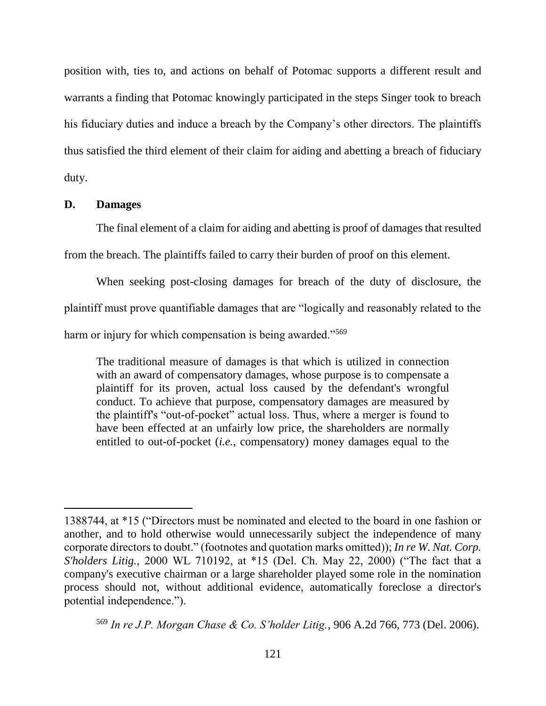position with, ties to, and actions on behalf of Potomac supports a different result and warrants a finding that Potomac knowingly participated in the steps Singer took to breach his fiduciary duties and induce a breach by the Company's other directors. The plaintiffs thus satisfied the third element of their claim for aiding and abetting a breach of fiduciary duty.

### **D. Damages**

 $\overline{a}$ 

The final element of a claim for aiding and abetting is proof of damages that resulted

from the breach. The plaintiffs failed to carry their burden of proof on this element.

When seeking post-closing damages for breach of the duty of disclosure, the plaintiff must prove quantifiable damages that are "logically and reasonably related to the harm or injury for which compensation is being awarded."<sup>569</sup>

The traditional measure of damages is that which is utilized in connection with an award of compensatory damages, whose purpose is to compensate a plaintiff for its proven, actual loss caused by the defendant's wrongful conduct. To achieve that purpose, compensatory damages are measured by the plaintiff's "out-of-pocket" actual loss. Thus, where a merger is found to have been effected at an unfairly low price, the shareholders are normally entitled to out-of-pocket (*i.e.*, compensatory) money damages equal to the

<sup>1388744,</sup> at \*15 ("Directors must be nominated and elected to the board in one fashion or another, and to hold otherwise would unnecessarily subject the independence of many corporate directors to doubt." (footnotes and quotation marks omitted)); *In re W. Nat. Corp. S'holders Litig.*, 2000 WL 710192, at \*15 (Del. Ch. May 22, 2000) ("The fact that a company's executive chairman or a large shareholder played some role in the nomination process should not, without additional evidence, automatically foreclose a director's potential independence.").

<sup>569</sup> *In re J.P. Morgan Chase & Co. S'holder Litig.*, 906 A.2d 766, 773 (Del. 2006).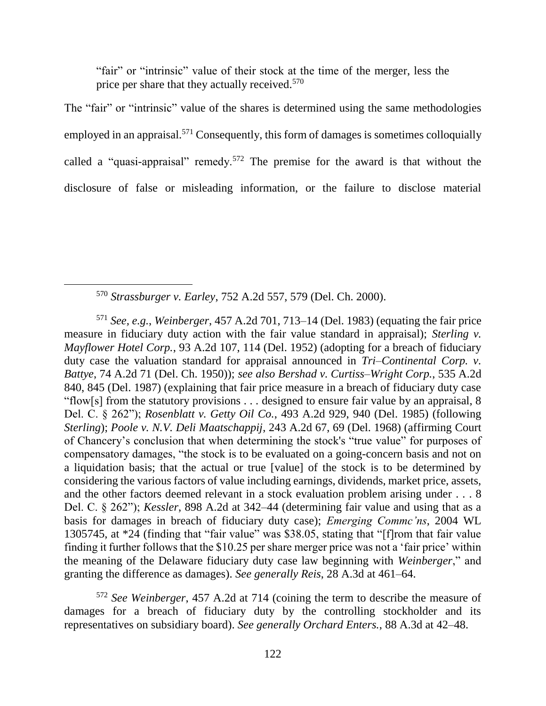"fair" or "intrinsic" value of their stock at the time of the merger, less the price per share that they actually received.<sup>570</sup>

The "fair" or "intrinsic" value of the shares is determined using the same methodologies employed in an appraisal.<sup>571</sup> Consequently, this form of damages is sometimes colloquially called a "quasi-appraisal" remedy.<sup>572</sup> The premise for the award is that without the disclosure of false or misleading information, or the failure to disclose material

 $\overline{a}$ 

<sup>571</sup> *See, e.g.*, *Weinberger*, 457 A.2d 701, 713–14 (Del. 1983) (equating the fair price measure in fiduciary duty action with the fair value standard in appraisal); *Sterling v. Mayflower Hotel Corp.*, 93 A.2d 107, 114 (Del. 1952) (adopting for a breach of fiduciary duty case the valuation standard for appraisal announced in *Tri–Continental Corp. v. Battye*, 74 A.2d 71 (Del. Ch. 1950)); *see also Bershad v. Curtiss–Wright Corp.*, 535 A.2d 840, 845 (Del. 1987) (explaining that fair price measure in a breach of fiduciary duty case "flow[s] from the statutory provisions . . . designed to ensure fair value by an appraisal, 8 Del. C. § 262"); *Rosenblatt v. Getty Oil Co.*, 493 A.2d 929, 940 (Del. 1985) (following *Sterling*); *Poole v. N.V. Deli Maatschappij*, 243 A.2d 67, 69 (Del. 1968) (affirming Court of Chancery's conclusion that when determining the stock's "true value" for purposes of compensatory damages, "the stock is to be evaluated on a going-concern basis and not on a liquidation basis; that the actual or true [value] of the stock is to be determined by considering the various factors of value including earnings, dividends, market price, assets, and the other factors deemed relevant in a stock evaluation problem arising under . . . 8 Del. C. § 262"); *Kessler*, 898 A.2d at 342–44 (determining fair value and using that as a basis for damages in breach of fiduciary duty case); *Emerging Commc'ns*, 2004 WL 1305745, at \*24 (finding that "fair value" was \$38.05, stating that "[f]rom that fair value finding it further follows that the \$10.25 per share merger price was not a 'fair price' within the meaning of the Delaware fiduciary duty case law beginning with *Weinberger*," and granting the difference as damages). *See generally Reis*, 28 A.3d at 461–64.

<sup>572</sup> *See Weinberger*, 457 A.2d at 714 (coining the term to describe the measure of damages for a breach of fiduciary duty by the controlling stockholder and its representatives on subsidiary board). *See generally Orchard Enters.*, 88 A.3d at 42–48.

<sup>570</sup> *Strassburger v. Earley*, 752 A.2d 557, 579 (Del. Ch. 2000).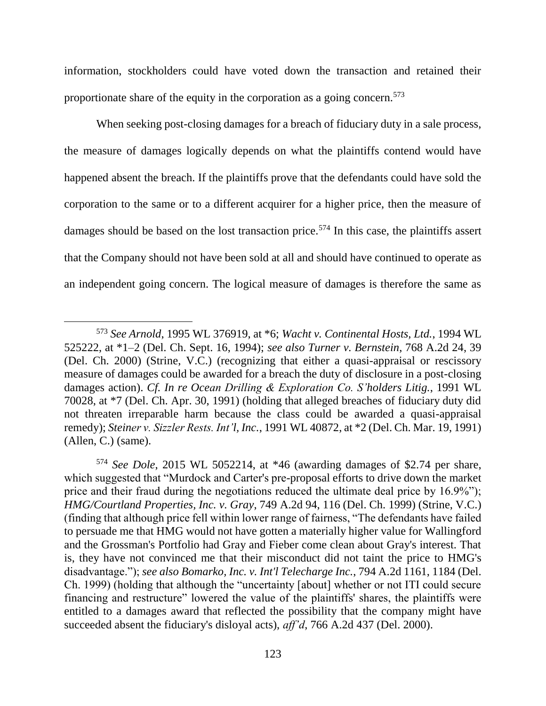information, stockholders could have voted down the transaction and retained their proportionate share of the equity in the corporation as a going concern.<sup>573</sup>

When seeking post-closing damages for a breach of fiduciary duty in a sale process, the measure of damages logically depends on what the plaintiffs contend would have happened absent the breach. If the plaintiffs prove that the defendants could have sold the corporation to the same or to a different acquirer for a higher price, then the measure of damages should be based on the lost transaction price.<sup>574</sup> In this case, the plaintiffs assert that the Company should not have been sold at all and should have continued to operate as an independent going concern. The logical measure of damages is therefore the same as

<sup>573</sup> *See Arnold*, 1995 WL 376919, at \*6; *Wacht v. Continental Hosts, Ltd.*, 1994 WL 525222, at \*1–2 (Del. Ch. Sept. 16, 1994); *see also Turner v. Bernstein*, 768 A.2d 24, 39 (Del. Ch. 2000) (Strine, V.C.) (recognizing that either a quasi-appraisal or rescissory measure of damages could be awarded for a breach the duty of disclosure in a post-closing damages action). *Cf. In re Ocean Drilling & Exploration Co. S'holders Litig.*, 1991 WL 70028, at \*7 (Del. Ch. Apr. 30, 1991) (holding that alleged breaches of fiduciary duty did not threaten irreparable harm because the class could be awarded a quasi-appraisal remedy); *Steiner v. Sizzler Rests. Int'l, Inc.*, 1991 WL 40872, at \*2 (Del. Ch. Mar. 19, 1991) (Allen, C.) (same).

<sup>574</sup> *See Dole*, 2015 WL 5052214, at \*46 (awarding damages of \$2.74 per share, which suggested that "Murdock and Carter's pre-proposal efforts to drive down the market price and their fraud during the negotiations reduced the ultimate deal price by 16.9%"); *HMG/Courtland Properties, Inc. v. Gray*, 749 A.2d 94, 116 (Del. Ch. 1999) (Strine, V.C.) (finding that although price fell within lower range of fairness, "The defendants have failed to persuade me that HMG would not have gotten a materially higher value for Wallingford and the Grossman's Portfolio had Gray and Fieber come clean about Gray's interest. That is, they have not convinced me that their misconduct did not taint the price to HMG's disadvantage."); *see also Bomarko, Inc. v. Int'l Telecharge Inc.*, 794 A.2d 1161, 1184 (Del. Ch. 1999) (holding that although the "uncertainty [about] whether or not ITI could secure financing and restructure" lowered the value of the plaintiffs' shares, the plaintiffs were entitled to a damages award that reflected the possibility that the company might have succeeded absent the fiduciary's disloyal acts), *aff'd*, 766 A.2d 437 (Del. 2000).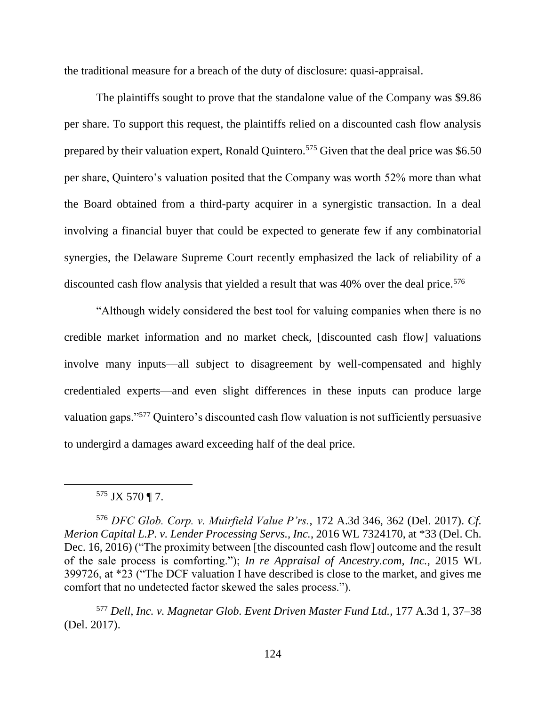the traditional measure for a breach of the duty of disclosure: quasi-appraisal.

The plaintiffs sought to prove that the standalone value of the Company was \$9.86 per share. To support this request, the plaintiffs relied on a discounted cash flow analysis prepared by their valuation expert, Ronald Quintero.<sup>575</sup> Given that the deal price was \$6.50 per share, Quintero's valuation posited that the Company was worth 52% more than what the Board obtained from a third-party acquirer in a synergistic transaction. In a deal involving a financial buyer that could be expected to generate few if any combinatorial synergies, the Delaware Supreme Court recently emphasized the lack of reliability of a discounted cash flow analysis that yielded a result that was  $40\%$  over the deal price.<sup>576</sup>

"Although widely considered the best tool for valuing companies when there is no credible market information and no market check, [discounted cash flow] valuations involve many inputs—all subject to disagreement by well-compensated and highly credentialed experts—and even slight differences in these inputs can produce large valuation gaps."<sup>577</sup> Quintero's discounted cash flow valuation is not sufficiently persuasive to undergird a damages award exceeding half of the deal price.

## $575$  JX 570 ¶ 7.

 $\overline{a}$ 

<sup>576</sup> *DFC Glob. Corp. v. Muirfield Value P'rs.*, 172 A.3d 346, 362 (Del. 2017). *Cf. Merion Capital L.P. v. Lender Processing Servs., Inc.*, 2016 WL 7324170, at \*33 (Del. Ch. Dec. 16, 2016) ("The proximity between [the discounted cash flow] outcome and the result of the sale process is comforting."); *In re Appraisal of Ancestry.com, Inc.*, 2015 WL 399726, at \*23 ("The DCF valuation I have described is close to the market, and gives me comfort that no undetected factor skewed the sales process.").

<sup>577</sup> *Dell, Inc. v. Magnetar Glob. Event Driven Master Fund Ltd.*, 177 A.3d 1, 37–38 (Del. 2017).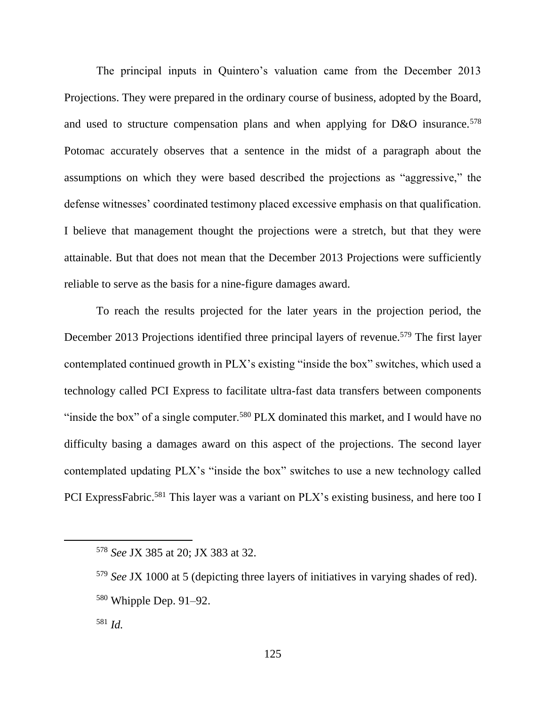The principal inputs in Quintero's valuation came from the December 2013 Projections. They were prepared in the ordinary course of business, adopted by the Board, and used to structure compensation plans and when applying for D&O insurance.<sup>578</sup> Potomac accurately observes that a sentence in the midst of a paragraph about the assumptions on which they were based described the projections as "aggressive," the defense witnesses' coordinated testimony placed excessive emphasis on that qualification. I believe that management thought the projections were a stretch, but that they were attainable. But that does not mean that the December 2013 Projections were sufficiently reliable to serve as the basis for a nine-figure damages award.

To reach the results projected for the later years in the projection period, the December 2013 Projections identified three principal layers of revenue.<sup>579</sup> The first layer contemplated continued growth in PLX's existing "inside the box" switches, which used a technology called PCI Express to facilitate ultra-fast data transfers between components "inside the box" of a single computer.<sup>580</sup> PLX dominated this market, and I would have no difficulty basing a damages award on this aspect of the projections. The second layer contemplated updating PLX's "inside the box" switches to use a new technology called PCI ExpressFabric.<sup>581</sup> This layer was a variant on PLX's existing business, and here too I

<sup>578</sup> *See* JX 385 at 20; JX 383 at 32.

<sup>579</sup> *See* JX 1000 at 5 (depicting three layers of initiatives in varying shades of red).  $580$  Whipple Dep. 91–92.

<sup>581</sup> *Id.*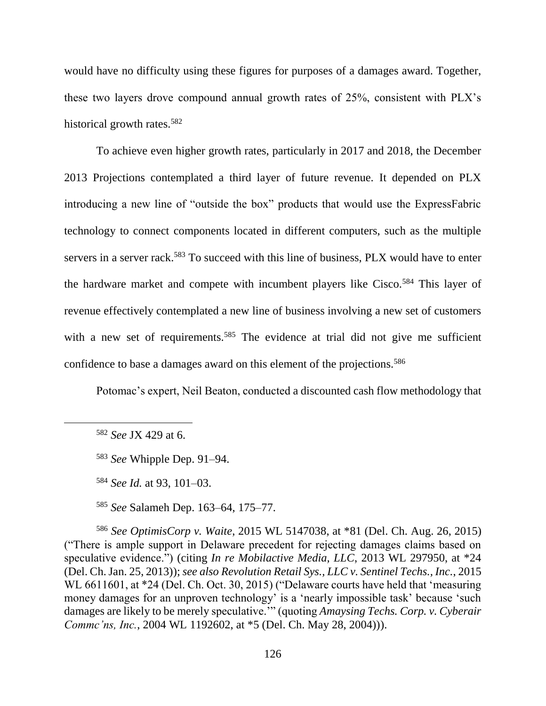would have no difficulty using these figures for purposes of a damages award. Together, these two layers drove compound annual growth rates of 25%, consistent with PLX's historical growth rates.<sup>582</sup>

To achieve even higher growth rates, particularly in 2017 and 2018, the December 2013 Projections contemplated a third layer of future revenue. It depended on PLX introducing a new line of "outside the box" products that would use the ExpressFabric technology to connect components located in different computers, such as the multiple servers in a server rack.<sup>583</sup> To succeed with this line of business, PLX would have to enter the hardware market and compete with incumbent players like Cisco.<sup>584</sup> This layer of revenue effectively contemplated a new line of business involving a new set of customers with a new set of requirements.<sup>585</sup> The evidence at trial did not give me sufficient confidence to base a damages award on this element of the projections.<sup>586</sup>

Potomac's expert, Neil Beaton, conducted a discounted cash flow methodology that

<sup>585</sup> *See* Salameh Dep. 163–64, 175–77.

<sup>586</sup> *See OptimisCorp v. Waite*, 2015 WL 5147038, at \*81 (Del. Ch. Aug. 26, 2015) ("There is ample support in Delaware precedent for rejecting damages claims based on speculative evidence.") (citing *In re Mobilactive Media, LLC*, 2013 WL 297950, at \*24 (Del. Ch. Jan. 25, 2013)); *see also Revolution Retail Sys., LLC v. Sentinel Techs., Inc.*, 2015 WL 6611601, at \*24 (Del. Ch. Oct. 30, 2015) ("Delaware courts have held that 'measuring money damages for an unproven technology' is a 'nearly impossible task' because 'such damages are likely to be merely speculative.'" (quoting *Amaysing Techs. Corp. v. Cyberair Commc'ns, Inc.*, 2004 WL 1192602, at \*5 (Del. Ch. May 28, 2004))).

<sup>582</sup> *See* JX 429 at 6.

<sup>583</sup> *See* Whipple Dep. 91–94.

<sup>584</sup> *See Id.* at 93, 101–03.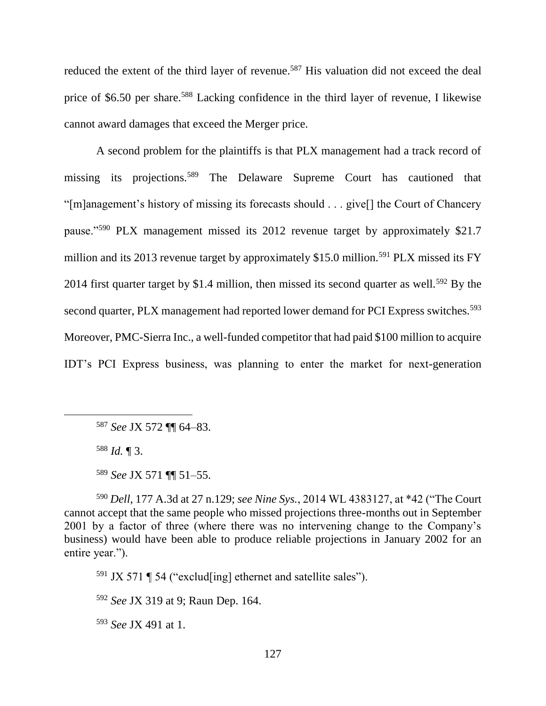reduced the extent of the third layer of revenue.<sup>587</sup> His valuation did not exceed the deal price of \$6.50 per share.<sup>588</sup> Lacking confidence in the third layer of revenue, I likewise cannot award damages that exceed the Merger price.

A second problem for the plaintiffs is that PLX management had a track record of missing its projections.<sup>589</sup> The Delaware Supreme Court has cautioned that "[m]anagement's history of missing its forecasts should . . . give[] the Court of Chancery pause."<sup>590</sup> PLX management missed its 2012 revenue target by approximately \$21.7 million and its 2013 revenue target by approximately \$15.0 million.<sup>591</sup> PLX missed its FY 2014 first quarter target by \$1.4 million, then missed its second quarter as well.<sup>592</sup> By the second quarter, PLX management had reported lower demand for PCI Express switches.<sup>593</sup> Moreover, PMC-Sierra Inc., a well-funded competitor that had paid \$100 million to acquire IDT's PCI Express business, was planning to enter the market for next-generation

<sup>588</sup> *Id.* ¶ 3.

<sup>590</sup> *Dell*, 177 A.3d at 27 n.129; *see Nine Sys.*, 2014 WL 4383127, at \*42 ("The Court cannot accept that the same people who missed projections three-months out in September 2001 by a factor of three (where there was no intervening change to the Company's business) would have been able to produce reliable projections in January 2002 for an entire year.").

 $591$  JX 571 ¶ 54 ("exclud[ing] ethernet and satellite sales").

<sup>592</sup> *See* JX 319 at 9; Raun Dep. 164.

<sup>593</sup> *See* JX 491 at 1.

<sup>587</sup> *See* JX 572 ¶¶ 64–83.

<sup>589</sup> *See* JX 571 ¶¶ 51–55.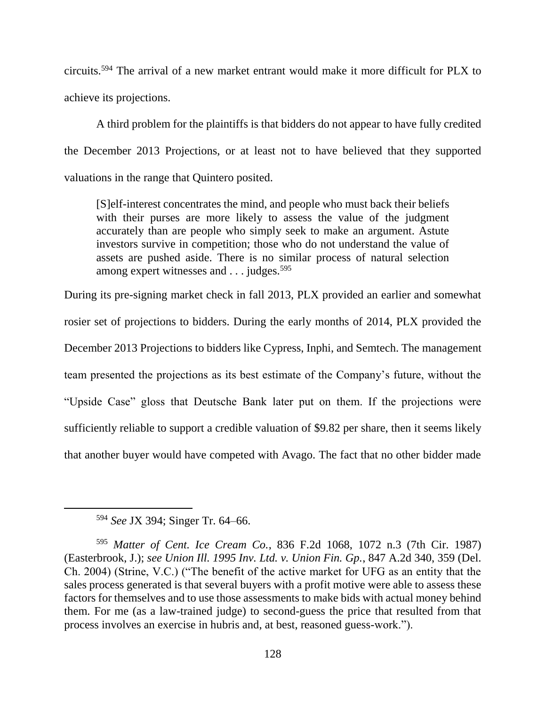circuits.<sup>594</sup> The arrival of a new market entrant would make it more difficult for PLX to achieve its projections.

A third problem for the plaintiffs is that bidders do not appear to have fully credited the December 2013 Projections, or at least not to have believed that they supported valuations in the range that Quintero posited.

[S]elf-interest concentrates the mind, and people who must back their beliefs with their purses are more likely to assess the value of the judgment accurately than are people who simply seek to make an argument. Astute investors survive in competition; those who do not understand the value of assets are pushed aside. There is no similar process of natural selection among expert witnesses and . . . judges.<sup>595</sup>

During its pre-signing market check in fall 2013, PLX provided an earlier and somewhat rosier set of projections to bidders. During the early months of 2014, PLX provided the December 2013 Projections to bidders like Cypress, Inphi, and Semtech. The management team presented the projections as its best estimate of the Company's future, without the "Upside Case" gloss that Deutsche Bank later put on them. If the projections were sufficiently reliable to support a credible valuation of \$9.82 per share, then it seems likely that another buyer would have competed with Avago. The fact that no other bidder made

<sup>594</sup> *See* JX 394; Singer Tr. 64–66.

<sup>595</sup> *Matter of Cent. Ice Cream Co.*, 836 F.2d 1068, 1072 n.3 (7th Cir. 1987) (Easterbrook, J.); *see Union Ill. 1995 Inv. Ltd. v. Union Fin. Gp.*, 847 A.2d 340, 359 (Del. Ch. 2004) (Strine, V.C.) ("The benefit of the active market for UFG as an entity that the sales process generated is that several buyers with a profit motive were able to assess these factors for themselves and to use those assessments to make bids with actual money behind them. For me (as a law-trained judge) to second-guess the price that resulted from that process involves an exercise in hubris and, at best, reasoned guess-work.").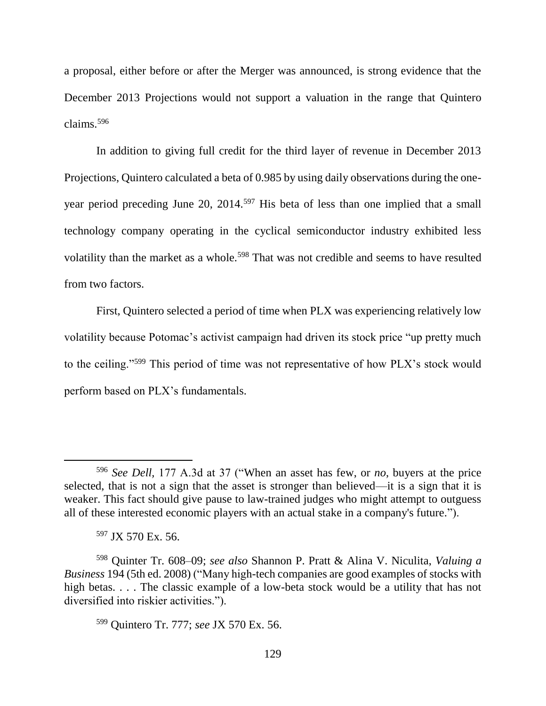a proposal, either before or after the Merger was announced, is strong evidence that the December 2013 Projections would not support a valuation in the range that Quintero claims.<sup>596</sup>

In addition to giving full credit for the third layer of revenue in December 2013 Projections, Quintero calculated a beta of 0.985 by using daily observations during the oneyear period preceding June 20, 2014.<sup>597</sup> His beta of less than one implied that a small technology company operating in the cyclical semiconductor industry exhibited less volatility than the market as a whole.<sup>598</sup> That was not credible and seems to have resulted from two factors.

First, Quintero selected a period of time when PLX was experiencing relatively low volatility because Potomac's activist campaign had driven its stock price "up pretty much to the ceiling."<sup>599</sup> This period of time was not representative of how PLX's stock would perform based on PLX's fundamentals.

<sup>596</sup> *See Dell,* 177 A.3d at 37 ("When an asset has few, or *no*, buyers at the price selected, that is not a sign that the asset is stronger than believed—it is a sign that it is weaker. This fact should give pause to law-trained judges who might attempt to outguess all of these interested economic players with an actual stake in a company's future.").

<sup>597</sup> JX 570 Ex. 56.

<sup>598</sup> Quinter Tr. 608–09; *see also* Shannon P. Pratt & Alina V. Niculita, *Valuing a Business* 194 (5th ed. 2008) ("Many high-tech companies are good examples of stocks with high betas. . . . The classic example of a low-beta stock would be a utility that has not diversified into riskier activities.").

<sup>599</sup> Quintero Tr. 777; *see* JX 570 Ex. 56.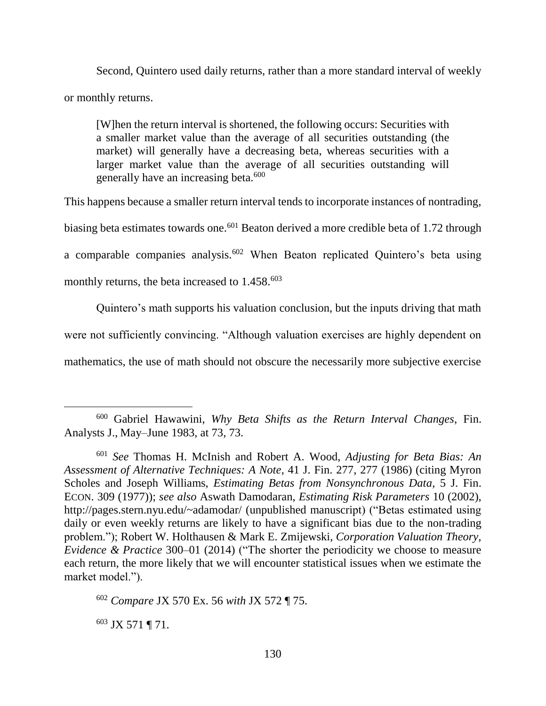Second, Quintero used daily returns, rather than a more standard interval of weekly or monthly returns.

[W]hen the return interval is shortened, the following occurs: Securities with a smaller market value than the average of all securities outstanding (the market) will generally have a decreasing beta, whereas securities with a larger market value than the average of all securities outstanding will generally have an increasing beta.<sup>600</sup>

This happens because a smaller return interval tends to incorporate instances of nontrading, biasing beta estimates towards one.<sup>601</sup> Beaton derived a more credible beta of 1.72 through a comparable companies analysis.<sup>602</sup> When Beaton replicated Quintero's beta using

monthly returns, the beta increased to  $1.458^{603}$ 

Quintero's math supports his valuation conclusion, but the inputs driving that math were not sufficiently convincing. "Although valuation exercises are highly dependent on mathematics, the use of math should not obscure the necessarily more subjective exercise

<sup>603</sup> JX 571 ¶ 71.

<sup>600</sup> Gabriel Hawawini, *Why Beta Shifts as the Return Interval Changes*, Fin. Analysts J., May–June 1983, at 73, 73.

<sup>601</sup> *See* Thomas H. McInish and Robert A. Wood, *Adjusting for Beta Bias: An Assessment of Alternative Techniques: A Note*, 41 J. Fin. 277, 277 (1986) (citing Myron Scholes and Joseph Williams, *Estimating Betas from Nonsynchronous Data*, 5 J. Fin. ECON. 309 (1977)); *see also* Aswath Damodaran, *Estimating Risk Parameters* 10 (2002), http://pages.stern.nyu.edu/~adamodar/ (unpublished manuscript) ("Betas estimated using daily or even weekly returns are likely to have a significant bias due to the non-trading problem."); Robert W. Holthausen & Mark E. Zmijewski, *Corporation Valuation Theory, Evidence & Practice* 300–01 (2014) ("The shorter the periodicity we choose to measure each return, the more likely that we will encounter statistical issues when we estimate the market model.").

<sup>602</sup> *Compare* JX 570 Ex. 56 *with* JX 572 ¶ 75.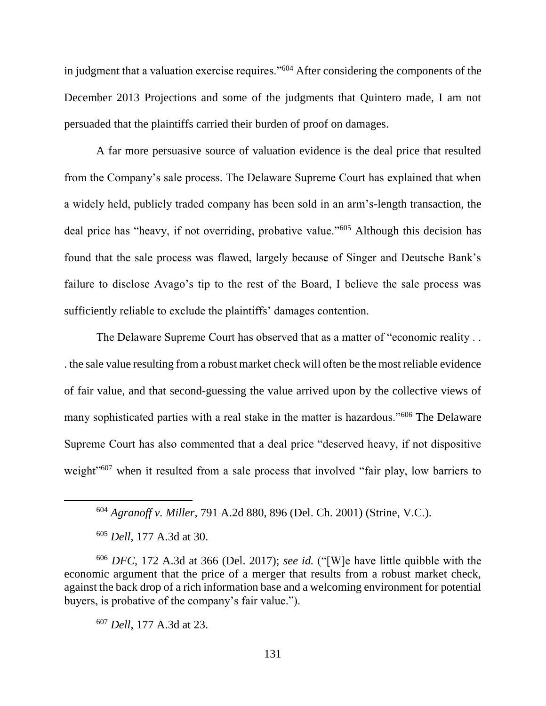in judgment that a valuation exercise requires."<sup>604</sup> After considering the components of the December 2013 Projections and some of the judgments that Quintero made, I am not persuaded that the plaintiffs carried their burden of proof on damages.

A far more persuasive source of valuation evidence is the deal price that resulted from the Company's sale process. The Delaware Supreme Court has explained that when a widely held, publicly traded company has been sold in an arm's-length transaction, the deal price has "heavy, if not overriding, probative value."<sup>605</sup> Although this decision has found that the sale process was flawed, largely because of Singer and Deutsche Bank's failure to disclose Avago's tip to the rest of the Board, I believe the sale process was sufficiently reliable to exclude the plaintiffs' damages contention.

The Delaware Supreme Court has observed that as a matter of "economic reality . . . the sale value resulting from a robust market check will often be the most reliable evidence of fair value, and that second-guessing the value arrived upon by the collective views of many sophisticated parties with a real stake in the matter is hazardous."<sup>606</sup> The Delaware Supreme Court has also commented that a deal price "deserved heavy, if not dispositive weight"<sup>607</sup> when it resulted from a sale process that involved "fair play, low barriers to

<sup>605</sup> *Dell*, 177 A.3d at 30.

 $\overline{a}$ 

<sup>606</sup> *DFC*, 172 A.3d at 366 (Del. 2017); *see id.* ("[W]e have little quibble with the economic argument that the price of a merger that results from a robust market check, against the back drop of a rich information base and a welcoming environment for potential buyers, is probative of the company's fair value.").

<sup>607</sup> *Dell*, 177 A.3d at 23.

<sup>604</sup> *Agranoff v. Miller*, 791 A.2d 880, 896 (Del. Ch. 2001) (Strine, V.C.).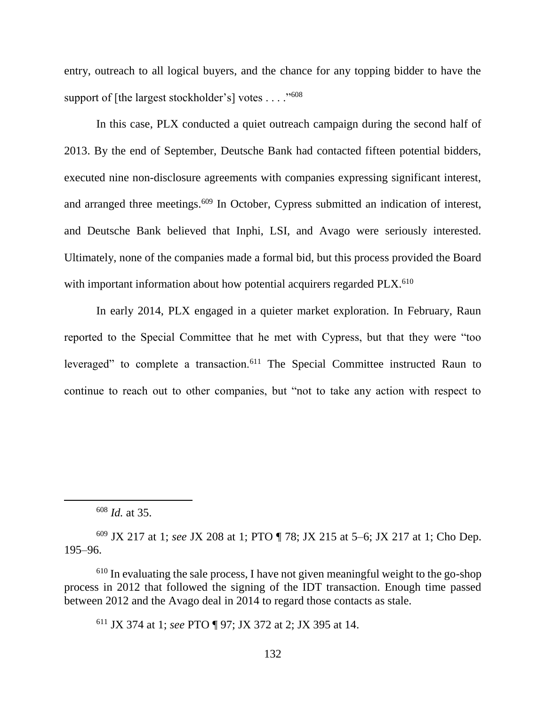entry, outreach to all logical buyers, and the chance for any topping bidder to have the support of [the largest stockholder's] votes . . . . "<sup>608</sup>

In this case, PLX conducted a quiet outreach campaign during the second half of 2013. By the end of September, Deutsche Bank had contacted fifteen potential bidders, executed nine non-disclosure agreements with companies expressing significant interest, and arranged three meetings.<sup>609</sup> In October, Cypress submitted an indication of interest, and Deutsche Bank believed that Inphi, LSI, and Avago were seriously interested. Ultimately, none of the companies made a formal bid, but this process provided the Board with important information about how potential acquirers regarded PLX.<sup>610</sup>

In early 2014, PLX engaged in a quieter market exploration. In February, Raun reported to the Special Committee that he met with Cypress, but that they were "too leveraged" to complete a transaction.<sup>611</sup> The Special Committee instructed Raun to continue to reach out to other companies, but "not to take any action with respect to

<sup>608</sup> *Id.* at 35.

 $\overline{a}$ 

<sup>609</sup> JX 217 at 1; *see* JX 208 at 1; PTO ¶ 78; JX 215 at 5–6; JX 217 at 1; Cho Dep. 195–96.

<sup>610</sup> In evaluating the sale process, I have not given meaningful weight to the go-shop process in 2012 that followed the signing of the IDT transaction. Enough time passed between 2012 and the Avago deal in 2014 to regard those contacts as stale.

<sup>611</sup> JX 374 at 1; *see* PTO ¶ 97; JX 372 at 2; JX 395 at 14.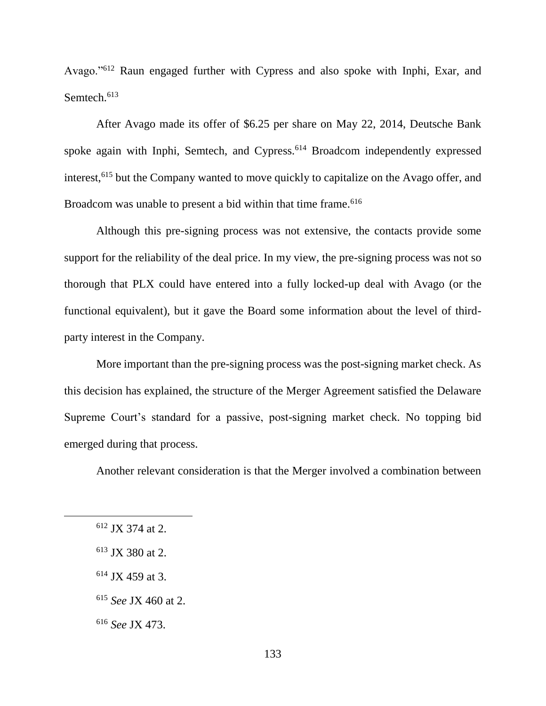Avago."<sup>612</sup> Raun engaged further with Cypress and also spoke with Inphi, Exar, and Semtech.<sup>613</sup>

After Avago made its offer of \$6.25 per share on May 22, 2014, Deutsche Bank spoke again with Inphi, Semtech, and Cypress.<sup>614</sup> Broadcom independently expressed interest,<sup>615</sup> but the Company wanted to move quickly to capitalize on the Avago offer, and Broadcom was unable to present a bid within that time frame.<sup>616</sup>

Although this pre-signing process was not extensive, the contacts provide some support for the reliability of the deal price. In my view, the pre-signing process was not so thorough that PLX could have entered into a fully locked-up deal with Avago (or the functional equivalent), but it gave the Board some information about the level of thirdparty interest in the Company.

More important than the pre-signing process was the post-signing market check. As this decision has explained, the structure of the Merger Agreement satisfied the Delaware Supreme Court's standard for a passive, post-signing market check. No topping bid emerged during that process.

Another relevant consideration is that the Merger involved a combination between

 $612$  JX 374 at 2.

<sup>613</sup> JX 380 at 2.

 $614$  JX 459 at 3.

<sup>615</sup> *See* JX 460 at 2.

<sup>616</sup> *See* JX 473.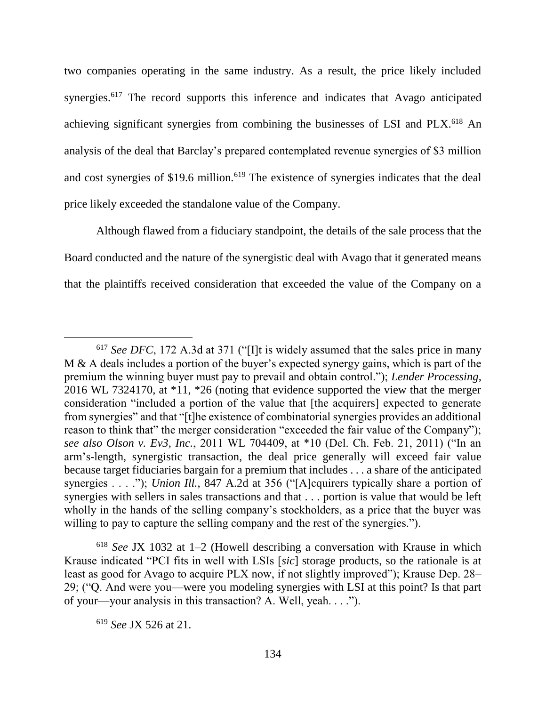two companies operating in the same industry. As a result, the price likely included synergies.<sup>617</sup> The record supports this inference and indicates that Avago anticipated achieving significant synergies from combining the businesses of LSI and PLX.<sup>618</sup> An analysis of the deal that Barclay's prepared contemplated revenue synergies of \$3 million and cost synergies of \$19.6 million.<sup>619</sup> The existence of synergies indicates that the deal price likely exceeded the standalone value of the Company.

Although flawed from a fiduciary standpoint, the details of the sale process that the Board conducted and the nature of the synergistic deal with Avago that it generated means that the plaintiffs received consideration that exceeded the value of the Company on a

<sup>617</sup> *See DFC*, 172 A.3d at 371 ("[I]t is widely assumed that the sales price in many M & A deals includes a portion of the buyer's expected synergy gains, which is part of the premium the winning buyer must pay to prevail and obtain control."); *Lender Processing*, 2016 WL 7324170, at \*11, \*26 (noting that evidence supported the view that the merger consideration "included a portion of the value that [the acquirers] expected to generate from synergies" and that "[t]he existence of combinatorial synergies provides an additional reason to think that" the merger consideration "exceeded the fair value of the Company"); *see also Olson v. Ev3, Inc.*, 2011 WL 704409, at \*10 (Del. Ch. Feb. 21, 2011) ("In an arm's-length, synergistic transaction, the deal price generally will exceed fair value because target fiduciaries bargain for a premium that includes . . . a share of the anticipated synergies . . . ."); *Union Ill.*, 847 A.2d at 356 ("[A]cquirers typically share a portion of synergies with sellers in sales transactions and that . . . portion is value that would be left wholly in the hands of the selling company's stockholders, as a price that the buyer was willing to pay to capture the selling company and the rest of the synergies.").

<sup>618</sup> *See* JX 1032 at 1–2 (Howell describing a conversation with Krause in which Krause indicated "PCI fits in well with LSIs [*sic*] storage products, so the rationale is at least as good for Avago to acquire PLX now, if not slightly improved"); Krause Dep. 28– 29; ("Q. And were you—were you modeling synergies with LSI at this point? Is that part of your—your analysis in this transaction? A. Well, yeah. . . .").

<sup>619</sup> *See* JX 526 at 21.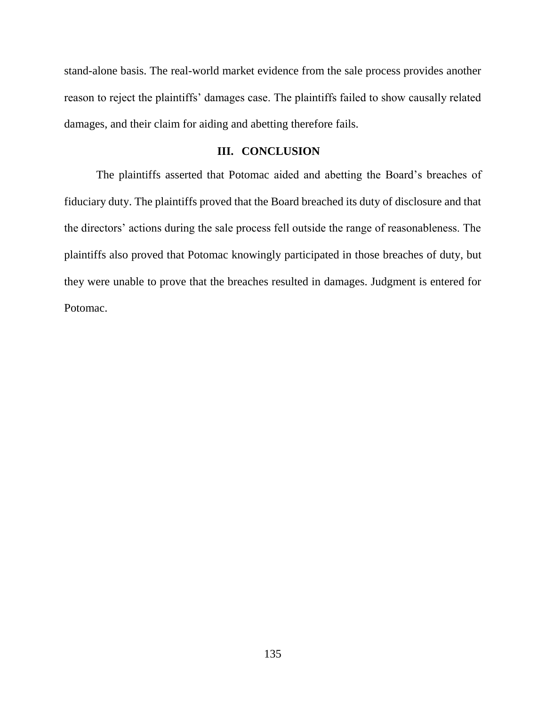stand-alone basis. The real-world market evidence from the sale process provides another reason to reject the plaintiffs' damages case. The plaintiffs failed to show causally related damages, and their claim for aiding and abetting therefore fails.

## **III. CONCLUSION**

The plaintiffs asserted that Potomac aided and abetting the Board's breaches of fiduciary duty. The plaintiffs proved that the Board breached its duty of disclosure and that the directors' actions during the sale process fell outside the range of reasonableness. The plaintiffs also proved that Potomac knowingly participated in those breaches of duty, but they were unable to prove that the breaches resulted in damages. Judgment is entered for Potomac.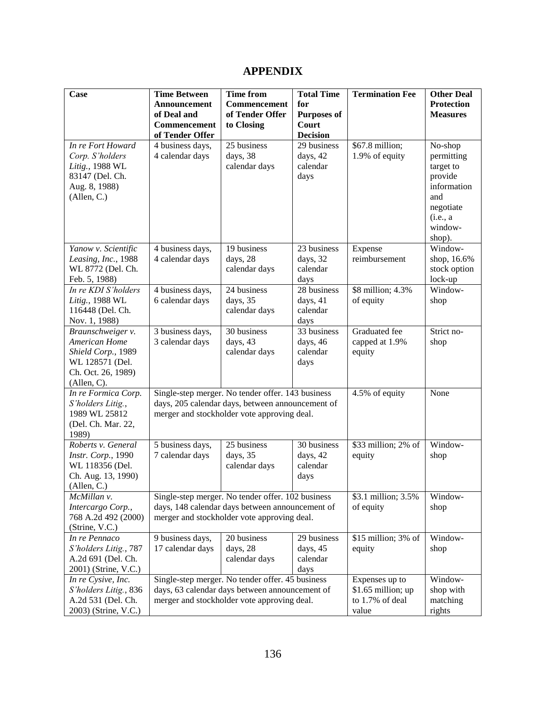# **APPENDIX**

| <b>Case</b>                                | <b>Time Between</b>                                                                           | <b>Time from</b>                                  | <b>Total Time</b>   | <b>Termination Fee</b>   | <b>Other Deal</b> |
|--------------------------------------------|-----------------------------------------------------------------------------------------------|---------------------------------------------------|---------------------|--------------------------|-------------------|
|                                            | <b>Announcement</b>                                                                           | Commencement                                      | for                 |                          | <b>Protection</b> |
|                                            | of Deal and                                                                                   | of Tender Offer                                   | <b>Purposes of</b>  |                          | <b>Measures</b>   |
|                                            | Commencement                                                                                  | to Closing                                        | Court               |                          |                   |
|                                            | of Tender Offer                                                                               |                                                   | <b>Decision</b>     |                          |                   |
| In re Fort Howard                          | 4 business days,                                                                              | 25 business                                       | 29 business         | \$67.8 million;          | No-shop           |
| Corp. S'holders                            | 4 calendar days                                                                               | days, 38                                          | days, 42            | 1.9% of equity           | permitting        |
| Litig., 1988 WL                            |                                                                                               | calendar days                                     | calendar            |                          | target to         |
| 83147 (Del. Ch.                            |                                                                                               |                                                   | days                |                          | provide           |
| Aug. 8, 1988)                              |                                                                                               |                                                   |                     |                          | information       |
| (Allen, C.)                                |                                                                                               |                                                   |                     |                          | and               |
|                                            |                                                                                               |                                                   |                     |                          | negotiate         |
|                                            |                                                                                               |                                                   |                     |                          | (i.e., a          |
|                                            |                                                                                               |                                                   |                     |                          | window-           |
|                                            |                                                                                               | 19 business                                       | 23 business         |                          | shop).<br>Window- |
| Yanow v. Scientific<br>Leasing, Inc., 1988 | 4 business days,<br>4 calendar days                                                           | days, 28                                          | days, 32            | Expense<br>reimbursement | shop, 16.6%       |
| WL 8772 (Del. Ch.                          |                                                                                               | calendar days                                     | calendar            |                          | stock option      |
| Feb. 5, 1988)                              |                                                                                               |                                                   | days                |                          | lock-up           |
| In re KDI S'holders                        | 4 business days,                                                                              | 24 business                                       | 28 business         | \$8 million; 4.3%        | Window-           |
| Litig., 1988 WL                            | 6 calendar days                                                                               | days, 35                                          | days, 41            | of equity                | shop              |
| 116448 (Del. Ch.                           |                                                                                               | calendar days                                     | calendar            |                          |                   |
| Nov. 1, 1988)                              |                                                                                               |                                                   | days                |                          |                   |
| Braunschweiger v.                          | 3 business days,                                                                              | 30 business                                       | 33 business         | Graduated fee            | Strict no-        |
| American Home                              | 3 calendar days                                                                               | days, 43                                          | days, 46            | capped at 1.9%           | shop              |
| Shield Corp., 1989                         |                                                                                               | calendar days                                     | calendar            | equity                   |                   |
| WL 128571 (Del.                            |                                                                                               |                                                   | days                |                          |                   |
| Ch. Oct. 26, 1989)                         |                                                                                               |                                                   |                     |                          |                   |
| (Allen, C).                                |                                                                                               |                                                   |                     |                          |                   |
| In re Formica Corp.                        |                                                                                               | Single-step merger. No tender offer. 143 business |                     | 4.5% of equity           | None              |
| S'holders Litig.,                          | days, 205 calendar days, between announcement of                                              |                                                   |                     |                          |                   |
| 1989 WL 25812                              |                                                                                               | merger and stockholder vote approving deal.       |                     |                          |                   |
| (Del. Ch. Mar. 22,                         |                                                                                               |                                                   |                     |                          |                   |
| 1989)<br>Roberts v. General                |                                                                                               | 25 business                                       | 30 business         | \$33 million; 2% of      | Window-           |
| Instr. Corp., 1990                         | 5 business days,<br>7 calendar days                                                           | days, 35                                          | days, 42            | equity                   | shop              |
| WL 118356 (Del.                            |                                                                                               | calendar days                                     | calendar            |                          |                   |
| Ch. Aug. 13, 1990)                         |                                                                                               |                                                   | days                |                          |                   |
| (Allen, C.)                                |                                                                                               |                                                   |                     |                          |                   |
| McMillan v.                                |                                                                                               | Single-step merger. No tender offer. 102 business |                     | \$3.1 million; 3.5%      | Window-           |
| Intercargo Corp.,                          |                                                                                               | days, 148 calendar days between announcement of   |                     | of equity                | shop              |
| 768 A.2d 492 (2000)                        | merger and stockholder vote approving deal.                                                   |                                                   |                     |                          |                   |
| (Strine, V.C.)                             |                                                                                               |                                                   |                     |                          |                   |
| In re Pennaco                              | 9 business days,                                                                              | 20 business                                       | 29 business         | \$15 million; 3% of      | Window-           |
| S'holders Litig., 787                      | 17 calendar days                                                                              | days, 28                                          | days, 45            | equity                   | shop              |
| A.2d 691 (Del. Ch.                         |                                                                                               | calendar days                                     | calendar            |                          |                   |
| 2001) (Strine, V.C.)                       |                                                                                               |                                                   | days                |                          |                   |
| In re Cysive, Inc.                         | Single-step merger. No tender offer. 45 business                                              |                                                   |                     | Expenses up to           | Window-           |
| S'holders Litig., 836                      | days, 63 calendar days between announcement of<br>merger and stockholder vote approving deal. |                                                   | $$1.65$ million; up | shop with                |                   |
| A.2d 531 (Del. Ch.                         |                                                                                               |                                                   |                     | to 1.7% of deal          | matching          |
| 2003) (Strine, V.C.)                       |                                                                                               |                                                   |                     | value                    | rights            |